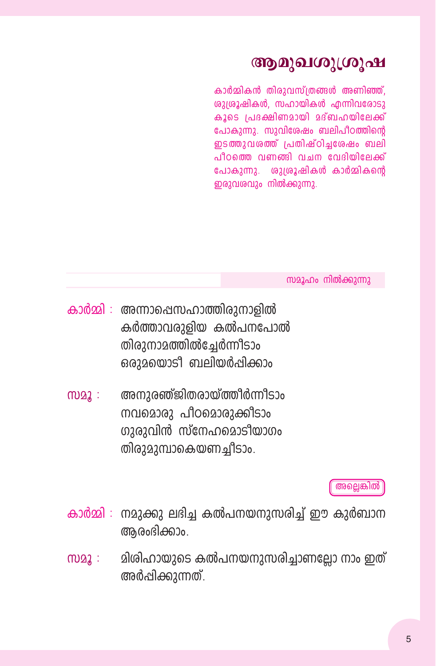## ആമുഖശുശ്രൂഷ

കാർമ്മികൻ തിരാവസ്ത്രങ്ങൾ അണിഞ്ഞ്. രുദ്രൂഷികൾ, സഹായികൾ എന്നിവരോടു കാടെ പ്രദക്ഷിണമായി മദ്ബഹയിലേക്ക് പോകുന്നു. സുവിശേഷം ബലിപീഠത്തിൻെ ഇടത്തുവരത്ത് പ്രതിഷ്ഠിചരേഷം ബലി പീറത്തെ വണങ്ങി വചന വേദിയിലേക്ക് പോകുന്നു. ശുശ്രൂഷികൾ കാർമ്മികൻെ ഇരുവശവും നിൽക്കുന്നു.

സമൂഹം നിൽക്കുന്നു

- കാർമ്മി : അന്നാഷെസഹാത്തിരുനാളിൽ കർത്താവരുളിയ കൽപനപോൽ തിരുനാമത്തിൽച്ചേർന്നീടാം ഒരാമയൊടി ബലിയർപ്പിക്കാം
- അനുരഞ്ജിതരായ്ത്തീർന്നീടാം  $m22$ : നവമൊരു പീഠമൊരുക്കീടാം ഗുരുവിൻ സ്നേഹമൊടിയാഗം തിരുമുമ്പാകെയണച്ചീടാം.

#### അല്ലെങ്കിൽ

- കാർമ്മി : നമുക്കു ലഭിച്ച കൽപനയനുസരിച്ച് ഈ കുർബാന ആരംഭിക്കാം.
- മിശിഹായുടെ കൽപനയനുസരിച്ചാണല്ലോ നാം ഇത്  $m22$ : അർപ്പിക്കുന്നത്.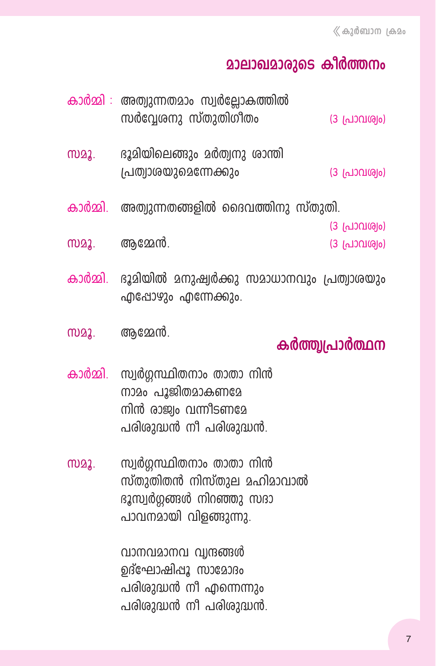# **മാലാഖമാരുടെ കീർത്തനം**

|             | കാർമ്മി : അത്വുന്നതമാം സ്വർല്ലോകത്തിൽ<br>സർവ്വേശനു സ്തുതിഗീതം                                               | (3 പ്രാവശ്വം)                  |
|-------------|-------------------------------------------------------------------------------------------------------------|--------------------------------|
| <u>MQ2.</u> | ഭൂമിയിലെങ്ങും മർത്വനു ശാന്തി<br>പ്രത്വാശയുമെന്നേക്കും                                                       | (3 പ്രാവശ്വം)                  |
|             | കാർമ്മി.  അത്വുന്നതങ്ങളിൽ ദൈവത്തിനു സ്തുതി.                                                                 |                                |
|             | സമൂ. ആമ്മേൻ.                                                                                                | (3 പ്രാവശ്വം)<br>(3 പ്രാവശ്വം) |
| കാർമ്മി.    | ഭൂമിയിൽ മനുഷ്വർക്കു സമാധാനവും പ്രത്വാശയും<br>എപ്പോഴും എന്നേക്കും.                                           |                                |
|             |                                                                                                             |                                |
| M22.        | ആമ്മേൻ.                                                                                                     | കർത്ത്വപ്രാർത്ഥന               |
| കാർമ്മി.    | സ്വർഗ്ഗസ്ഥിതനാം താതാ നിൻ<br>നാമം പൂജിതമാകണമേ<br>നിൻ രാജ്യം വന്നീടണമേ<br>പരിശുദ്ധൻ നീ പരിശുദ്ധൻ.             |                                |
| M22.        | സ്വർഗ്ഗസ്ഥിതനാം താതാ നിൻ<br>സ്തുതിതൻ നിസ്തുല മഹിമാവാൽ<br>ഭൂസ്വർഗ്ഗങ്ങൾ നിറഞ്ഞു സദാ<br>പാവനമായി വിളങ്ങുന്നു. |                                |

വാനവമാനവ വൃന്ദങ്ങൾ ഉദ്ഘോഷിപ്പൂ സാമോദം പരിശുദ്ധൻ നീ എന്നെന്നും പരിശുദ്ധൻ നീ പരിശുദ്ധൻ.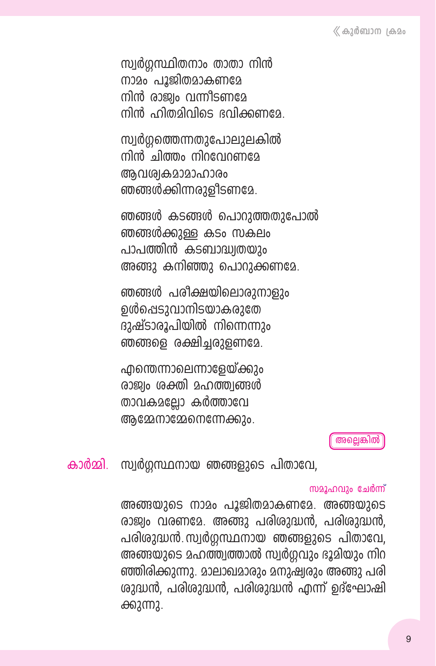സ്വർഗ്ഗസ്ഥിതനാം താതാ നിൻ നാമം പൂജിതമാകണമേ നിൻ രാജ്വം വന്നീടണമേ നിൻ ഹിതമിവിടെ ഭവിക്കണമേ

സ്വർഗ്ഗത്തെന്നതുപോലുലകിൽ നിൻ ചിത്തം നിറവേറണമേ അവശ്വകമാമാഹാരം ഞങ്ങൾക്കിന്നരുളീടണമേ.

ഞങ്ങൾ കടങ്ങൾ പൊറുത്തതുപോൽ ഞങ്ങൾക്കുള്ള കടം സകലം പാപത്തിൻ കടബാദ്ധ്വതയും അങ്ങു കനിഞ്ഞു പൊറുക്കണമേ.

ഞങ്ങൾ പരീക്ഷയിലൊരുനാളും ഉൾപ്പെടുവാനിടയാകരുതേ ദുഷ്ടാരൂപിയിൽ നിന്നെന്നും ഞങ്ങളെ രക്ഷിച്ചരുളണമേ.

എന്തെന്നാലെന്നാളേയ്ക്കും രാജ്വം ശക്തി മഹത്ത്വങ്ങൾ താവകമല്ലോ കർത്താവേ ആമ്മേനാമ്മേനെന്നേക്കും.

അല്ലെങ്കിൽ

കാർമ്മി. സ്വർഗ്ഗസ്ഥനായ ഞങ്ങളുടെ പിതാവേ.

#### സമൂഹവും ചേർന്ന്

അങ്ങയുടെ നാമം പൂജിതമാകണമേ. അങ്ങയുടെ രാജ്വം വരണമേ. അങ്ങു പരിശുദ്ധൻ, പരിശുദ്ധൻ, പരിശുദ്ധൻ സ്വർഗ്ഗസ്ഥനായ ഞങ്ങളുടെ പിതാവേ, അങ്ങയുടെ മഹത്ത്വത്താൽ സ്വർഗ്ഗവും ഭൂമിയും നിറ ഞ്ഞിരിക്കുന്നു. മാലാഖമാരും മനുഷ്വരും അങ്ങു പരി ശുദ്ധൻ, പരിശുദ്ധൻ, പരിശുദ്ധൻ എന്ന് ഉദ്ഘോഷി ക്കുന്നു.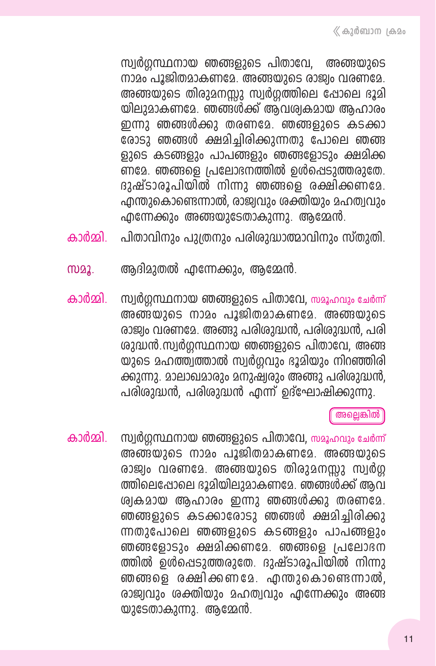സ്വർഗ്ഗസ്ഥനായ ഞങ്ങളുടെ പിതാവേ. അങ്ങയാടെ നാമം പൂജിതമാകണമേ. അങ്ങയുടെ രാജ്വം വരണമേ. അങ്ങയുടെ തിരുമനസ്സു സ്വർഗ്ഗത്തിലെ ഷോലെ ഭൂമി യിലുമാകണമേ. ഞങ്ങൾക്ക് ആവശ്വകമായ ആഹാരം ഇന്നു ഞങ്ങൾക്കു തരണമേ. ഞങ്ങളുടെ കടക്കാ രോടു ഞങ്ങൾ ക്ഷമിച്ചിരിക്കുന്നതു പോലെ ഞങ്ങ ളുടെ കടങ്ങളും പാപങ്ങളും ഞങ്ങളോടും ക്ഷമിക്ക ണമേ. ഞങ്ങളെ പ്രലോഭനത്തിൽ ഉൾപ്പെടുത്തരുതേ. ദുഷ്ടാരൂപിയിൽ നിന്നു ഞങ്ങളെ രക്ഷിക്കണമേ. എന്തുകൊണ്ടെന്നാൽ, രാജ്വവും ശക്തിയും മഹത്വവും  $\alpha$ നന്നേക്കും അങ്ങയുടേതാകുന്നു. ആമ്മേൻ.

- പിതാവിനും പുത്രനും പരിശുദ്ധാത്മാവിനും സ്തുതി. കാർമ്മി
- സമൂ. ആദിമുതൽ എന്നേക്കും, ആമ്മേൻ.
- സ്വർഗ്ഗസ്ഥനായ ഞങ്ങളുടെ പിതാവേ, സമൂഹവും ചേർന്ന് കാർമ്മി. അങ്ങയുടെ നാമം പൂജിതമാകണമേ. അങ്ങയാടെ രാജ്വം വരണമേ. അങ്ങു പരിശുദ്ധൻ, പരിശുദ്ധൻ, പരി ശുദ്ധൻ.സ്വർഗ്ഗസ്ഥനായ ഞങ്ങളുടെ പിതാവേ, അങ്ങ യുടെ മഹത്ത്വത്താൽ സ്വർഗ്ഗവും ഭൂമിയും നിറഞ്ഞിരി ക്കുന്നു. മാലാഖമാരും മനുഷ്വരും അങ്ങു പരിശുദ്ധൻ. പരിശുദ്ധൻ, പരിശുദ്ധൻ എന്ന് ഉദ്ഘോഷിക്കുന്നു.

അല്ലെങ്കിൽ

സ്വർഗ്ഗസ്ഥനായ ഞങ്ങളുടെ പിതാവേ, സമൂഹവും ചേർന്ന് കാർമ്മി അങ്ങയുടെ നാമം പൂജിതമാകണമേ. അങ്ങയുടെ രാജ്വം വരണമേ. അങ്ങയുടെ തിരുമനസ്സു സ്വർഗ്ഗ ത്തിലെപ്പോലെ ദൂമിയിലുമാകണമേ. ഞങ്ങൾക്ക് ആവ ശ്വകമായ ആഹാരം ഇന്നു ഞങ്ങൾക്കു തരണമേ. ഞങ്ങളുടെ കടക്കാരോടു ഞങ്ങൾ ക്ഷമിച്ചിരിക്കു ന്നതുപോലെ ഞങ്ങളുടെ കടങ്ങളും പാപങ്ങളും ഞങ്ങളോടും ക്ഷമിക്കണമേ. ഞങ്ങളെ പ്രലോഭന ത്തിൽ ഉൾപ്പെടുത്തരുതേ. ദുഷ്ടാരൂപിയിൽ നിന്നു ഞങ്ങളെ രക്ഷിക്കണമേ. എന്തുകൊണ്ടെന്നാൽ, രാജ്വവും ശക്തിയും മഹത്വവും എന്നേക്കും അങ്ങ യുടേതാകുന്നു. ആമ്മേൻ.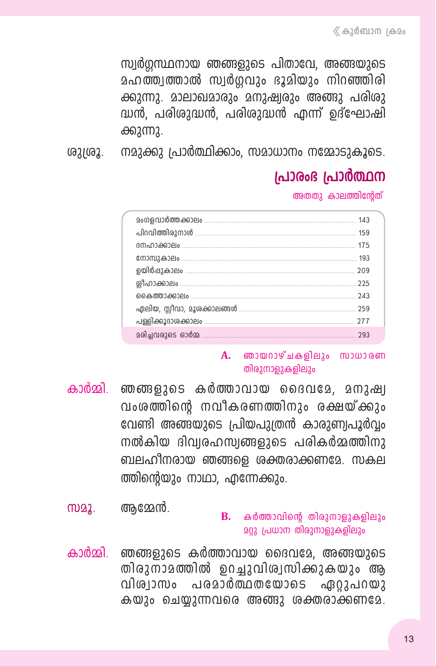സ്വർഗ്ഗസ്ഥനായ ഞങ്ങളുടെ പിതാവേ, അങ്ങയുടെ മഹത്ത്വത്താൽ സ്വർഗ്ഗവും ഭൂമിയും നിറഞ്ഞിരി ക്കുന്നു. മാലാഖമാരും മനുഷ്വരും അങ്ങു പരിരു ദ്ധൻ, പരിശുദ്ധൻ, പരിശുദ്ധൻ എന്ന് ഉദ്ഘോഷി ക്കുന്നു.

നമുക്കു പ്രാർത്ഥിക്കാം. സമാധാനം നമ്മോടുകൂടെ. ശുശ്രൂ.

# പ്രാരംഭ പ്രാർത്ഥന

അതതു കാലത്തിന്റേത്

|  | 293 |
|--|-----|

#### $\mathbf{A}$ . ഞായറാഴ്ചകളിലും സാധാരണ തിരുനാളുകളിലും

- കാർമ്മി. ഞങ്ങളുടെ കർത്താവായ ദൈവമേ, മനുഷ്വ വംശത്തിന്റെ നവീകരണത്തിനും രക്ഷയ്ക്കും വേണ്ടി അങ്ങയുടെ പ്രിയപുത്രൻ കാരുണ്വപൂർവ്വം നൽകിയ ദിവ്വരഹസ്വങ്ങളുടെ പരികർമ്മത്തിനു ബലഹീനരായ ഞങ്ങളെ ശക്തരാക്കണമേ. സകല ത്തിന്റെയും നാഥാ, എന്നേക്കും.
- ആമേൻ. M22.

#### $\mathbf{B}$ . കർത്താവിന്റെ തിരുനാളുകളിലും **203 പ്രധാന തിരുനാളുകളിലും**

കാർമ്മി. ഞങ്ങളുടെ കർത്താവായ ദൈവമേ, അങ്ങയുടെ തിരുനാമത്തിൽ ഉറച്ചുവിശ്വസിക്കുകയും ആ വിശ്വാസം പരമാർത്ഥതയോടെ ഏ02പറയ2 കയും ചെയ്യുന്നവരെ അങ്ങു ശക്തരാക്കണമേ.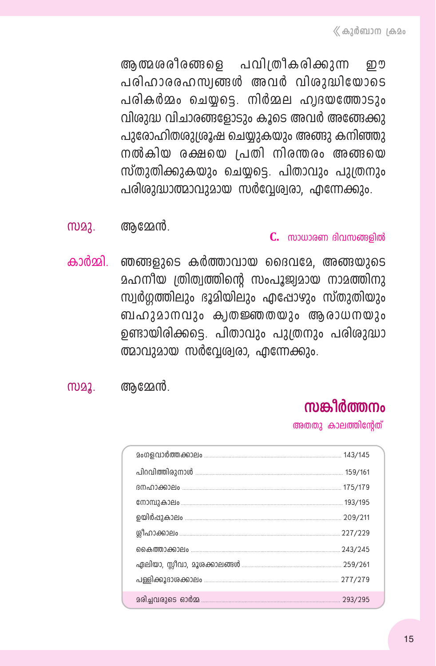ആത്മശരീരങ്ങളെ പവിത്രീകരിക്കുന്ന றை പരിഹാരരഹസ്വങ്ങൾ അവർ വിശുദ്ധിയോടെ പരികർമ്മം ചെയ്യട്ടെ. നിർമ്മല ഹ്വദയത്തോടും വിശുദ്ധ വിചാരങ്ങളോടും കൂടെ അവർ അങ്ങേക്കു പുരോഹിതശുശ്രൂഷ ചെയ്യുകയും അങ്ങു കനിഞ്ഞു നൽകിയ രക്ഷയെ പ്രതി നിരന്തരം അങ്ങയെ സ്തുതിക്കുകയും ചെയ്യട്ടെ. പിതാവും പുത്രനും പരിശുദ്ധാത്മാവുമായ സർവ്വേര്വരാ, എന്നേക്കും.

ആമ്മേൻ. m22.

#### $C_{1}$  സാധാരണ ദിവസങ്ങളിൽ

- ഞങ്ങളുടെ കർത്താവായ ദൈവമേ. അങ്ങയുടെ കാർമ്മി മഹനീയ ത്രിത്വത്തിന്റെ സംപൂജ്വമായ നാമത്തിനു സ്വർഗത്തിലും ഭൂമിയിലും എപ്പോഴും സ്തുതിയും ബഹുമാനവും ക്വതജ്ഞതയും ആരാധനയും ഉണ്ടായിരിക്കട്ടെ. പിതാവും പുത്രനും പരിശുദ്ധാ ത്മാവുമായ സർവ്വേര്വരാ, എന്നേക്കും.
- ആമ്മേൻ. M22.

# സങ്കീർത്തനം

അതതു കാലത്തിന്റേത്

| в тало <del>со</del> рения и на не только на 175/179                          |         |
|-------------------------------------------------------------------------------|---------|
| С М Э МИ Д ФО 200 <u>престания постания по на него да на потен</u> до 193/195 |         |
|                                                                               |         |
|                                                                               | 227/229 |
|                                                                               | 243/245 |
|                                                                               |         |
|                                                                               | 277/279 |
|                                                                               | 293/295 |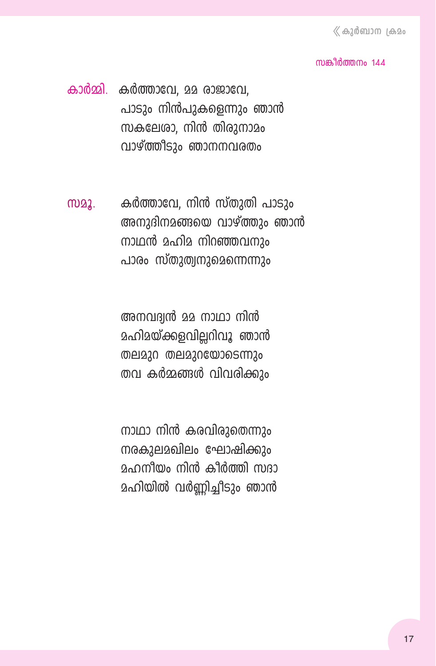#### നുങ്കിർത്തനം 144

കാർമ്മി. കർത്താവേ, മമ രാജാവേ, പാടും നിൻപുകളെന്നും ഞാൻ സകലേശാ, നിൻ തിരുനാമം വാഴ്ത്തീടും ഞാനനവരതം

കർത്താവേ, നിൻ സ്തുതി പാടും M22. അനുദിനമങ്ങയെ വാഴ്ത്തും ഞാൻ നാഥൻ മഹിമ നിറഞ്ഞവനും പാരം സ്തുത്വനുമെന്നെന്നും

> അനവദ്വൻ മമ നാഥാ നിൻ മഹിമയ്ക്കളവില്ലറിവൂ ഞാൻ തലമുറ തലമുറയോടെന്നും തവ കർമ്മങ്ങൾ വിവരിക്കും

നാഥാ നിൻ കരവിരുതെന്നും നരകുലമഖിലം ഘോഷിക്കും <u> മഹനീയം നിൻ കീർത്തി സദാ</u> മഹിയിൽ വർണ്ണിച്ചീടും ഞാൻ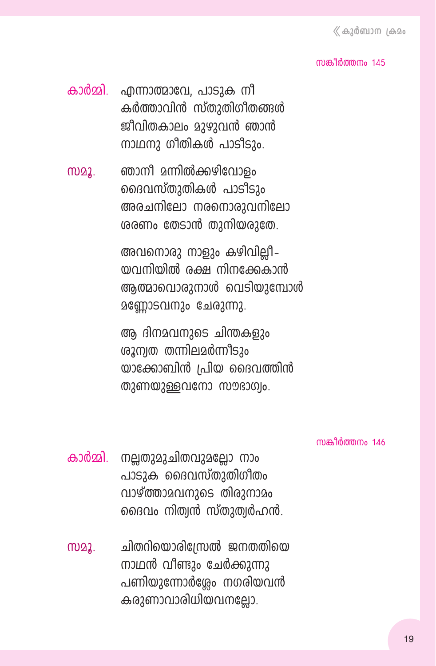#### നുങ്കിർത്തനം  $145$

- കാർമ്മി. എന്നാത്മാവേ, പാടുക നീ കർത്താവിൻ സ്തുതിഗീതങ്ങൾ ജീവിതകാലം മാഴാവൻ ഞാൻ നാഥനു ഗീതികൾ പാടിടും.
- സമൂ. ഞാനീ മന്നിൽക്കഴിവോളം ദൈവസ്തുതികൾ പാടിടാം അരചനിലോ നരനൊരുവനിലോ  $\omega$ രണം തേടാൻ തുനിയരുതേ.

അവനൊരു നാളും കഴിവില്ലീ– തവനിയിൽ രക്ഷ നിനക്കേകാൻ ആത്മാവൊരുനാൾ വെടിയുമ്പോൾ മണ്ണോടവനും ചേരുന്നു.

ആ ദിന $\alpha$ വനുടെ ചിന്തകളും  $\omega_3$ ന്വത തന്നില $\omega$ ർന്നിടും യാക്കോബിൻ  $|$ പിയ ദൈവത്തിൻ തുണയുള്ളവനോ സൗഭാഗ്വം.

നുങ്കിർത്തനം  $146$ 

- കാർമ്മി. നല്ലതുമുചിതവുമല്ലോ നാം പാടുക ദൈവസ്തുതിഗീതം വാഴ്ത്താമവനുടെ തിരുനാമം ദൈവം നിത്വൻ സ്തുത്വർഹൻ.
- സമൂ. ചിതറിയൊരിന്ത്രേൽ ജനതതിയെ  $\mu$ വാഥൻ വീണ്ടും ചേർക്കുന്നു പണിയുന്നോർശ്ലേം നഗരിയവൻ കരുണാവാരിധിയവനല്ലോ.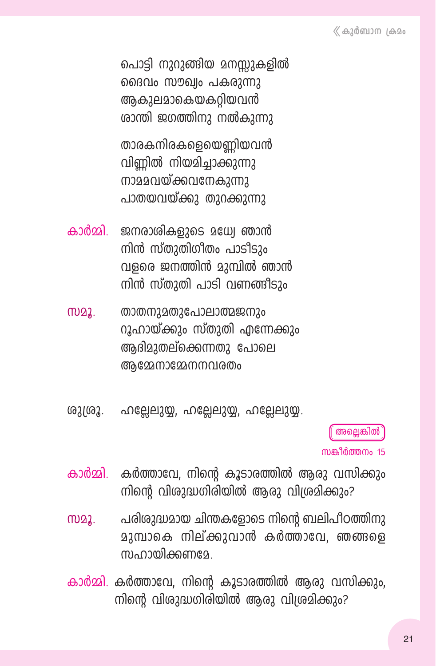പൊട്ടി നുറുങ്ങിയ മനസ്സുകളിൽ ദൈവം സൗഖ്വം പകരുന്നു അകുലമാകെയകറിയവൻ രാന്തി ജഗത്തിനു നൽകുന്നു

താരകനിരകളെയെണിയവൻ വിണിൽ നിയമിച്ചാക്കുന്നു നാമമവയ്ക്കവനേകുന്നു പാതയവയ്ക്കു തുറക്കുന്നു

- കാർമ്മി ജനരാശികളുടെ മധ്വേ ഞാൻ നിൻ സ്തുതിഗീതം പാടിടും വളരെ ജനത്തിൻ മുമ്പിൽ ഞാൻ നിൻ സ്തുതി പാടി വണങ്ങിടും
- താതനുമതുപോലാത്മജനും M22. റൂഹായ്ക്കും സ്തുതി എന്നേക്കും ആദിമുതല്ക്കെന്നതു പോലെ അമ്മേനാമ്മേനനവരതം
- ശുശ്രൂ. ഹല്ലേലുയ്യ, ഹല്ലേലുയ്യ, ഹല്ലേലുയ്യ.

അല്ലെങ്കിൽ

സങ്കീർത്തനം 15

- കർത്താവേ, നിന്റെ കൂടാരത്തിൽ ആരു വസിക്കും കാർമ്മി നിന്റെ വിശുദ്ധഗിരിയിൽ ആരു വിശ്രമിക്കും?
- പരിശുദ്ധമായ ചിന്തകളോടെ നിന്റെ ബലിപീഠത്തിനു M22. മുമ്പാകെ നില്ക്കുവാൻ കർത്താവേ, ഞങ്ങളെ സഹായിക്കണമേ
- കാർമ്മി. കർത്താവേ, നിന്റെ കൂടാരത്തിൽ ആരു വസിക്കും, നിന്റെ വിശുദ്ധഗിരിയിൽ ആരു വിശ്രമിക്കും?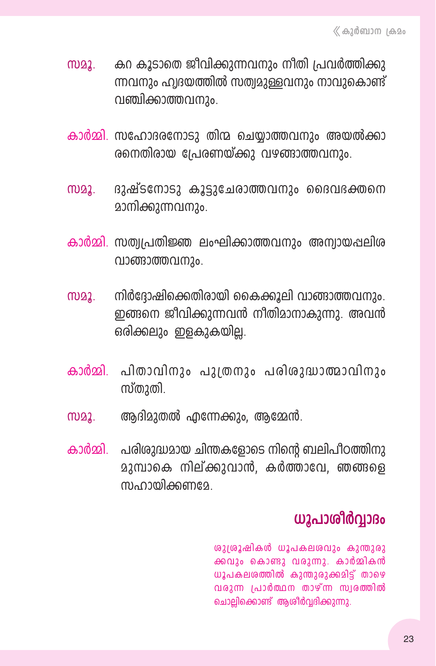- സമൂ. മകനകൂടാതെ ജീവിക്കുന്നവനും നീതി പ്രവർത്തിക്കു ന്നവനും ഹ്വദയത്തിൽ സത്വമുള്ളവനും നാവുകൊണ്ട് വഞ്ചിക്കാത്തവനും.
- കാർമ്മി. സഹോദരനോടു തിന്മ ചെയ്യാത്തവനും അയൽക്കാ  $\alpha$ നെതിരായ പ്രേരണയ്ക്കു വഴങ്ങാത്തവനും.
- സമൂ. ദുഷ്ടനോടു കൂട്ടുചേരാത്തവനും ദൈവദക്തനെ മാനിക്കുന്നവനും.
- കാർമ്മി. സത്വപ്രതിജ്ഞ ലംഘിക്കാത്തവനും അന്വായപ്പലിശ വാങ്ങാത്തവനും.
- സമൂ. സിർദ്ദോഷിക്കെതിരായി കൈക്കൂലി വാങ്ങാത്തവനും. ഇങ്ങനെ ജീവിക്കുന്നവൻ നീതിമാനാകുന്നു. അവൻ ഒരിക്കലും ഇളകുകയില്ല.
- കാർമ്മി. പിതാവിനും പുത്രനും പരിശുദ്ധാത്മാവിനും സ്തുതി.
- സമൂ. ആദിമുതൽ എന്നേക്കും, ആമ്മേൻ.
- കാർമ്മി. പരിശുദ്ധമായ ചിന്തകളോടെ നിന്റെ ബലിപീഠത്തിനു  $23$ മ്പാകെ നില്ക്കുവാൻ, കർത്താവേ, ഞങ്ങളെ m<sub>o</sub>nmanamga

## **ധൂപാശിർവാദം**

<u>ശുശ്രൂഷികൾ ധൂപകലശവും കുന്തുരു</u> ക്കവും കൊണ്ടു വരുന്നു. കാർമ്മികൻ  $wy_1$ പകലശത്തിൽ കുന്തുരുക്കമിട്ട് താഴെ  $\alpha$  and  $\alpha$  and  $\alpha$  and  $\alpha$  and  $\alpha$  and  $\alpha$ ചൊല്ലിക്കൊണ്ട് ആശീർവ്വദിക്കുന്നു.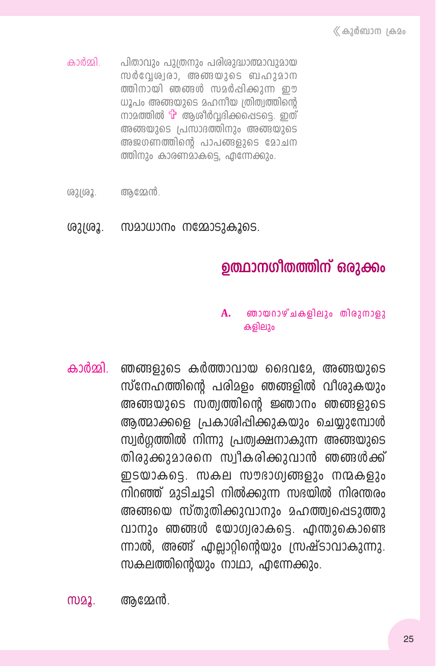- കാർമ്മി പിതാവും പുത്രനും പരിശുദ്ധാത്മാവുമായ സർവേശ്വരാ, അങ്ങയുടെ ബഹുമാന ത്തിനായി ഞങ്ങൾ സമർപ്പിക്കുന്ന ഈ ധൂപം അങ്ങയുടെ മഹനീയ ത്രിത്വത്തിന്റെ നാമത്തിൽ  $\mathbf{\hat{u}}$  ആശിർവ്വദിക്കപ്പെടടെ. ഇത് അങ്ങയുടെ പ്രസാദത്തിനും അങ്ങയുടെ അജഗണത്തിന്റെ പാപങ്ങളുടെ മോചന ത്തിനും കാരണമാകട്ടെ, എന്നേക്കും.
- ശുശ്രൂ. ആമേൻ.
- ശുശ്രൂ. സമാധാനം നമ്മോടുകൂടെ.

## ഉത്ഥാനഗീതത്തിന് ഒരുക്കം

#### ഞായറാഴ്ചകളിലും തിരുനാളു A. കളിലും

കാർമ്മി ഞങ്ങളുടെ കർത്താവായ ദൈവമേ, അങ്ങയുടെ സ്നേഹത്തിന്റെ പരിമളം ഞങ്ങളിൽ വീശുകയും അങ്ങയുടെ സത്വത്തിന്റെ ജ്ഞാനം ഞങ്ങളുടെ ആത്മാക്കളെ പ്രകാശിപ്പിക്കുകയും ചെയ്യുമ്പോൾ സ്വർഗ്ഗത്തിൽ നിന്നു പ്രത്വക്ഷനാകുന്ന അങ്ങയുടെ തിരുക്കുമാരനെ സ്വീകരിക്കുവാൻ ഞങ്ങൾക്ക് ഇടയാകട്ടെ. സകല സൗഭാഗ്വങ്ങളും നന്മകളും നിറഞ്ഞ് മുടിചൂടി നിൽക്കുന്ന സഭയിൽ നിരന്തരം അങ്ങയെ സ്തുതിക്കുവാനും മഹത്ത്വപ്പെടുത്തു വാനും ഞങ്ങൾ യോഗ്വരാകടെ. എന്തുകൊണ്ടെ ന്നാൽ. അങ്ങ് എല്ലാറ്റിന്റെയും സ്രഷ്ടാവാകുന്നു. സകലത്തിന്റെയും നാഥാ, എന്നേക്കും.

ആമ്മേൻ. M22.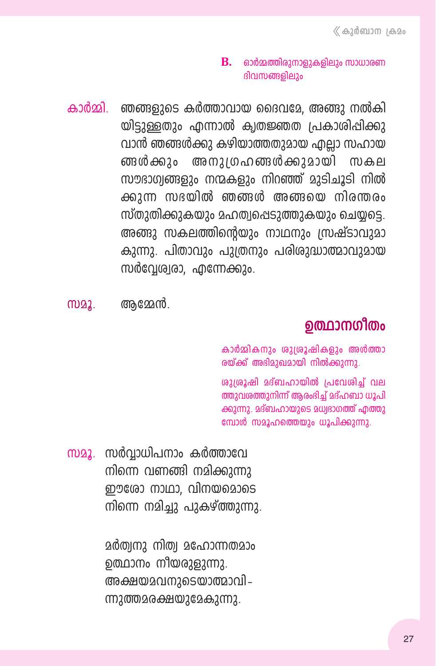#### **B.** ഓർമ്മത്തിരുനാളുകളിലും സാധാരണ ദിവസങ്ങളിലും

ഞങ്ങളുടെ കർത്താവായ ദൈവമേ, അങ്ങു നൽകി കാർതി യിടുള്ളതും എന്നാൽ ക്വതജ്ഞത പ്രകാശിപ്പിക്കു വാൻ ഞങ്ങൾക്കു കഴിയാത്തതുമായ ഫലാ സഹായ ങ്ങൾക്കും അനുഗ്രഹങ്ങൾക്കുമായി സകല സൗദാഗ്വങ്ങളും നന്മകളും നിറഞ്ഞ് മുടിചൂടി നിൽ ക്കുന്ന സഭയിൽ ഞങ്ങൾ അങ്ങയെ നിരന്തരം സ്തുതിക്കുകയും മഹത്വപ്പെടുത്തുകയും ചെയ്യട്ടെ. അങ്ങു സകലത്തിന്റെയും നാഥനും സ്രഷ്ടാവുമാ കുന്നു. പിതാവും പുത്രനും പരിശുദ്ധാത്മാവുമായ സർവ്വേശ്വരാ, എന്നേക്കും.

M22. ആമ്മേൻ.

## ഉത്ഥാനഗീതം

കാർമ്മികനും ശുശ്രൂഷികളും അൾത്താ രയ്ക്ക് അഭിമുഖമായി നിൽക്കുന്നു.

<u>ശുശൂഷി മദ്ബഹായിൽ പ്രവേശിച്ച് വല</u> ത്തുവശത്തുനിന്ന് ആരംഭിച്ച് മദ്ഹബാ ധൂപി ക്കുന്നു. മദ്ബഹായുടെ മധ്വഭാഗത്ത് എത്തു മ്പോൾ സമൂഹത്തെയും ധൂപിക്കുന്നു.

സമൂ. സർവാധിപനാം കർത്താവേ നിന്നെ വണങ്ങി നമിക്കുന്നു ഈരോ നാഥാ. വിനയമൊടെ നിന്നെ നമിച്ചു പുകഴ്ത്തുന്നു.

> മർത്വനു നിത്വ മഹോന്നതമാം ഉത്ഥാനം നീയരുളുന്നു. അക്ഷയമവനുടെയാത്മാവി – ന്നുത്തമരക്ഷയുമേകുന്നു.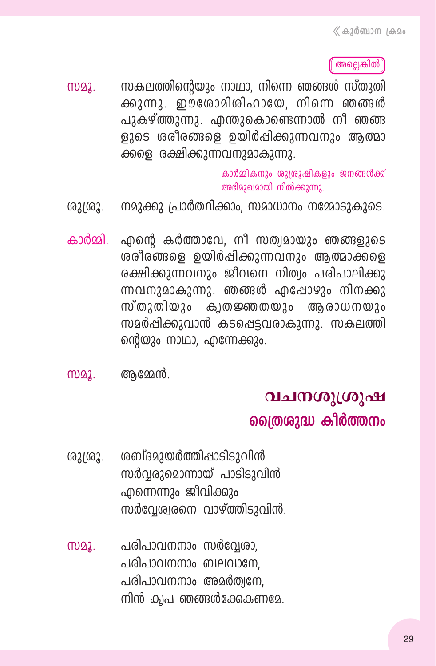അല്ലെങ്കിൽ

സകലത്തിന്റെയും നാഥാ, നിന്നെ ഞങ്ങൾ സ്തുതി M22. ക്കുന്നു. ഈശോമിശിഹായേ, നിന്നെ ഞങ്ങൾ പുകഴ്ത്തുന്നു. എന്തുകൊണ്ടെന്നാൽ നീ ഞങ്ങ ളുടെ ശരീരങ്ങളെ ഉയിർപ്പിക്കുന്നവനും ആത്മാ ക്കളെ രക്ഷിക്കുന്നവനുമാകുന്നു.

> കാർമ്മികനും ശുശ്രൂഷികളും ജനങ്ങൾക്ക് അഭിമുഖമായി നിൽക്കുന്നു.

- നമുക്കു പ്രാർത്ഥിക്കാം, സമാധാനം നമ്മോടുകൂടെ. ശുശ്രൂ.
- കാർമ്മി. എന്റെ കർത്താവേ, നീ സത്വമായും ഞങ്ങളുടെ ശരീരങ്ങളെ ഉയിർപ്പിക്കുന്നവനും ആത്മാക്കളെ രക്ഷിക്കുന്നവനും ജീവനെ നിത്വം പരിപാലിക്കു ന്നവനുമാകുന്നു. ഞങ്ങൾ എപ്പോഴും നിനക്കു സ്തുതിയും കൃതജ്ഞതയും ആരാധനയും സമർപ്പിക്കുവാൻ കടപ്പെട്ടവരാകുന്നു. സകലത്തി ന്റെയും നാഥാ, എന്നേക്കും.
- ആമ്മേൻ. M22.

## വചനശുശ്രൂഷ

#### ത്രൈശുദ്ധ കീർത്തനം

- ശബ്ദമുയർത്തിപ്പാടിടുവിൻ ശുശ്രൂ. സർവരുമൊന്നായ് പാടിടുവിൻ എന്നെന്നും ജീവിക്കും സർവ്വേരുതനെ വാഴ്ത്തിടുവിൻ.
- പരിപാവനനാം സർവ്വേരാ, M22. പരിപാവനനാം ബലവാനേ, പരിപാവനനാം അമർത്വനേ. നിൻ ക്വപ ഞങ്ങൾക്കേകണമേ.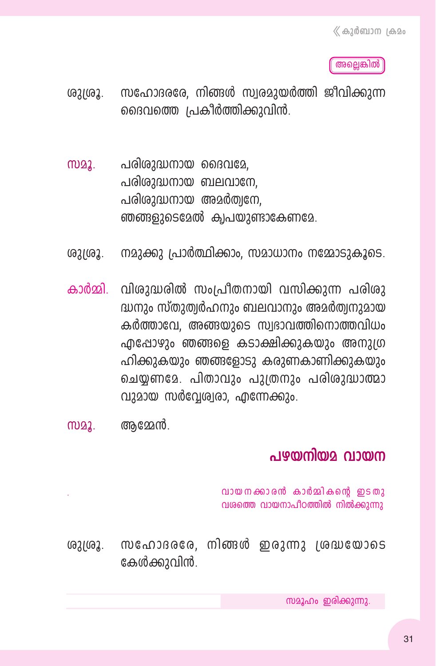അല്ലെങ്കിൽ

- സഹോദരരേ, നിങ്ങൾ സ്വരമായർത്തി ജീവിക്കാന്ന (621(62. ദൈവത്തെ പ്രകീർത്തിക്കുവിൻ.
- പരിശുദ്ധനായ ദൈവമേ. M22. പരിശുദ്ധനായ ബലവാനേ. പരിശുദ്ധനായ അമർത്വനേ. ഞങ്ങളുടെമേൽ ക്വപയുണ്ടാകേണമേ.
- നമാക്കാ പ്രാർത്ഥിക്കാം. സമാധാനം നമ്മോടുകൂടെ. (621(62.
- കാർമ്മി. വിശുദ്ധരിൽ സംപ്രീതനായി വസിക്കുന്ന പരിശു ദ്ധനും സ്തുത്വർഹനും ബലവാനും അമർത്വനുമായ കർത്താവേ, അങ്ങയുടെ സ്വഭാവത്തിനൊത്തവിധം ഫിപ്പോഴും ഞങ്ങളെ കടാക്ഷിക്കുകയും അനുഗ്ര ഹിക്കുകയും ഞങ്ങളോടു കരുണകാണിക്കുകയും ചെയ്യണമേ. പിതാവും പുത്രനും പരിശുദ്ധാത്മാ വുമായ സർവേശ്വരാ, എന്നേക്കും.
- M22. ആമ്മേൻ.

### പഴയനിയമ വായന

വായനക്കാരൻ കാർമ്മികന്റെ ഇടതു വശത്തെ വായനാപീഠത്തിൽ നിൽക്കുന്നു

 $m$ ഹോദരരേ, നിങ്ങൾ ഇരുന്നു ശ്രദ്ധയോടെ ശുശ്രൂ. കേൾക്കുവിൻ.

സമൂഹം ഇരിക്കുന്നു.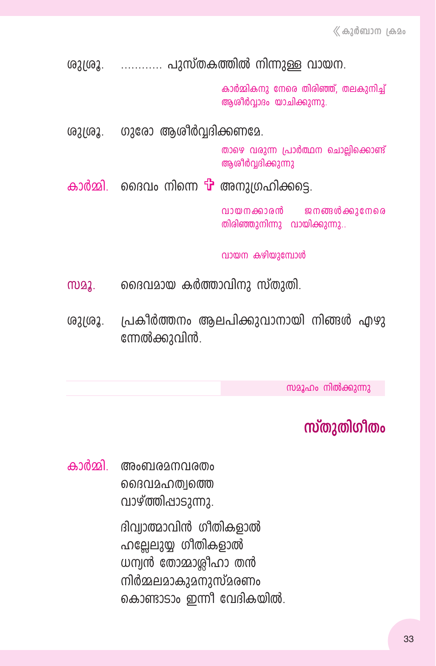ശുശ്രൂ. ............ പുസ്തകത്തിൽ നിന്നുള്ള വായന.

കാർമ്മികനു നേരെ തിരിഞ്ഞ്, തലകുനിച്ച് അശീർവാദം യാചിക്കുന്നു.

ഗുരോ ആശിർവ്വദിക്കണമേ. ശുശൂ.

> താഴെ വരുന്ന പ്രാർത്ഥന ചൊല്ലിക്കൊണ്ട് അശീർവദിക്കുന്നു

കാർമ്മി. ദൈവം നിന്നെ <sup>പ്</sup>പ അനുഗ്രഹിക്കട്ടെ.

വായനക്കാരൻ ജനങ്ങൾക്കുനേരെ തിരിഞ്ഞുനിന്നു വായിക്കുന്നു..

വായന കഴിയുമ്പോൾ

- ദൈവമായ കർത്താവിനു സ്തുതി. MQ2.
- ശുശ്രൂ. പ്രകീർത്തനം ആലപിക്കുവാനായി നിങ്ങൾ എഴു ന്നേൽക്കുവിൻ.

സമൂഹം നിൽക്കുന്നു

## സ്തുതിഗീതം

കാർമ്മി. അംബരമനവരതം ദൈവമഹത്വത്തെ വാഴ്ത്തിപ്പാടുന്നു.

> ദിവ്വാത്മാവിൻ ഗീതികളാൽ ഹല്ലേലുയ്യ ഗീതികളാൽ ധന്വൻ തോമാശ്ലീഹാ തൻ നിർമ്മലമാകുമനുസ്മരണം കൊണ്ടാടാം ഇന്നീ വേദികയിൽ.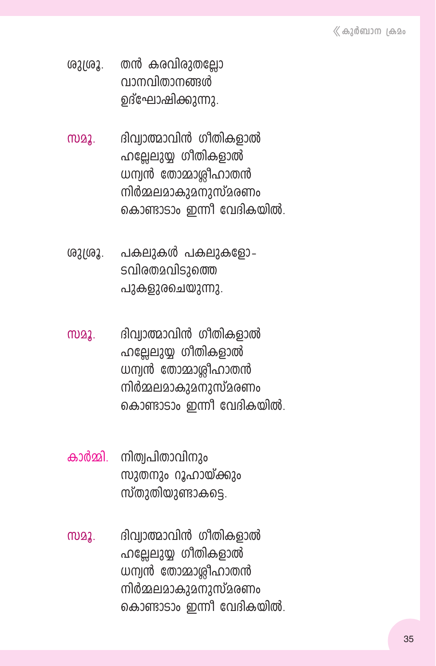- ശുശ്രൂ. തൻ കരവിരുതല്ലോ വാനവിതാനങ്ങൾ ഉദ്ഘോഷിക്കുന്നു.
- സമൂ. ദിവ്വാത്മാവിൻ ഗീതികളാൽ ഹല്ലേലുയ്യ ഗീതികളാൽ  $\omega$ ന്വൻ തോമാശ്ലീഹാതൻ നിർമ്മലമാകുമനുസ്മരണം കൊണ്ടാടാം ഇന്നീ വേദികയിൽ.
- ശുശ്രൂ. പകലുകൾ പകലുകളോ-ടവിരതമവിടുത്തെ പുകളുരചെയുന്നു.
- സമൂ. ദിവ്വാത്മാവിൻ ഗീതികളാൽ  $\Omega$ ല്ലേലുയ്യ ഗീതികളാൽ  $\omega$ ന്വൻ തോമാശ്ലീഹാതൻ നിർമ്മലമാകുമനുസ്മരണം കൊണ്ടാടാം ഇന്നീ വേദികയിൽ.
- കാർമ്മി. നിത്വപിതാവിനും സുതനും റൂഹായ്ക്കും സ്തുതിയുണ്ടാകട്ടെ.
- സമൂ. ദിവ്വാത്മാവിൻ ഗീതികളാൽ ഹല്ലേലുയ്യ ഗീതികളാൽ  $\omega$ ന്വൻ തോമാശ്ലീഹാതൻ നിർമ്മലമാകുമനുസ്മരണം കൊണ്ടാടാം ഇന്നീ വേദികയിൽ.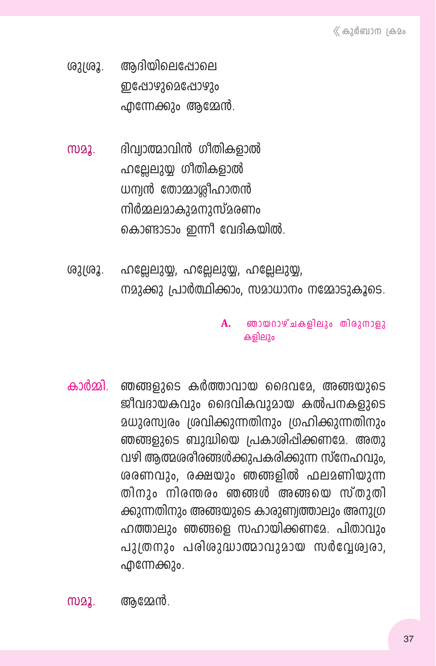- അദിയിലെപ്പോലെ ശുശ്രൂ. ഇപ്പോഴുമെപ്പോഴും എന്നേക്കും ആമ്മേൻ.
- ദിവ്വാത്മാവിൻ ഗീതികളാൽ **MD22.** ഹല്ലേലുയ്യ ഗീതികളാൽ ധന്വൻ തോമാശ്ലീഹാതൻ നിർമ്മലമാകുമനുസ്മരണം കൊണ്ടാടാം ഇന്നീ വേദികയിൽ.
- ശുശ്രൂ. ഹല്ലേലുയ്യ, ഹല്ലേലുയ്യ, ഹല്ലേലുയ്യ, നമാക്കു പ്രാർത്ഥിക്കാം. സമാധാനം നമ്മോടുകൂടെ.

#### ഞായറാഴ്ചകളിലും തിരുനാളു A. കളിലും

ഞങ്ങളുടെ കർത്താവായ ദൈവമേ. അങ്ങയുടെ കാർമ്മി ജീവദായകവും ദൈവികവുമായ കൽപനകളുടെ മധുരസ്വരം ശ്രവിക്കുന്നതിനും ശ്രഹിക്കുന്നതിനും ഞങ്ങളുടെ ബുദ്ധിയെ പ്രകാശിപ്പിക്കണമേ. അതു വഴി ആത്മശരീരങ്ങൾക്കുപകരിക്കുന്ന സ്നേഹവും, ശരണവും, രക്ഷയും ഞങ്ങളിൽ ഫലമണിയുന്ന തിനും നിരന്തരം ഞങ്ങൾ അങ്ങയെ സ്തുതി ക്കുന്നതിനും അങ്ങയുടെ കാരുണ്വത്താലും അനുഗ്ര ഹത്താലും ഞങ്ങളെ സഹായിക്കണമേ. പിതാവും പുത്രനും പരിശുദ്ധാത്മാവുമായ സർവ്വേശ്വരാ, എന്നേക്കും.

ആമ്മേൻ. M22.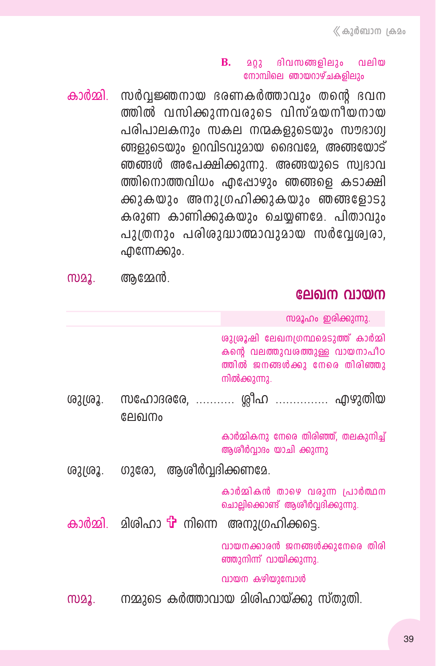#### $\mathbf{B}$ . മറ്റു ദിവസങ്ങളിലും വലിയ നോമ്പിലെ ഞായറാഴ്ചകളിലും

കാർമ്മി. സർവ്വജ്ഞനായ ഭരണകർത്താവും തന്റെ ഭവന ത്തിൽ വസിക്കുന്നവരുടെ വിസ്മയനീയനായ പരിപാലകനും സകല നന്മകളുടെയും സൗഭാഗ്വ ങ്ങളുടെയും ഉറവിടവുമായ ദൈവമേ, അങ്ങയോട് ഞങ്ങൾ അപേക്ഷിക്കുന്നു. അങ്ങയുടെ സ്വഭാവ ത്തിനൊത്തവിധം എപ്പോഴും ഞങ്ങളെ കടാക്ഷി ക്കുകയും അനുത്രഹിക്കുകയും ഞങ്ങളോടു കരുണ കാണിക്കുകയും ചെയ്യണമേ. പിതാവും പുത്രനും പരിശുദ്ധാത്മാവുമായ സർവേശ്വരാ. എന്നേക്കും.

| സമൂ. | ആമ്മേൻ. |
|------|---------|
|------|---------|

#### ലേഖന വായന

സമൂഹം ഇരിക്കുന്നു. ശുശ്രൂഷി ലേഖനശ്രന്ഥമെടുത്ത് കാർമ്മി കന്റെ വലത്തുവരത്തുള്ള വായനാപീഠ ത്തിൽ ജനങ്ങൾക്കു നേരെ തിരിഞ്ഞു നിൽക്കുന്നു. സഹോദരരേ. ........... രിഹ ............... എഴുതിയ (621692. ലേഖനം കാർമ്മികനു നേരെ തിരിഞ്ഞ്, തലകുനിച്ച് ആശീർവ്വാദം യാചി ക്കുന്നു ഗുരോ, ആശിർവദിക്കണമേ. (621(62. കാർമ്മികൻ താഴെ വരുന്ന പ്രാർത്ഥന ചൊല്ലിക്കൊണ്ട് ആശീർവ്വദിക്കുന്നു. കാർമ്മി. മിരിഹാ <sup>പ്</sup>പിന്നെ അനുശ്രഹിക്കട്ടെ. വായനക്കാരൻ ജനങ്ങൾക്കുനേരെ തിരി ഞ്ഞുനിന്ന് വായിക്കുന്നു. വായന കഴിയുമ്പോൾ നമ്മുടെ കർത്താവായ മിശിഹായ്ക്കു സ്തുതി. M22.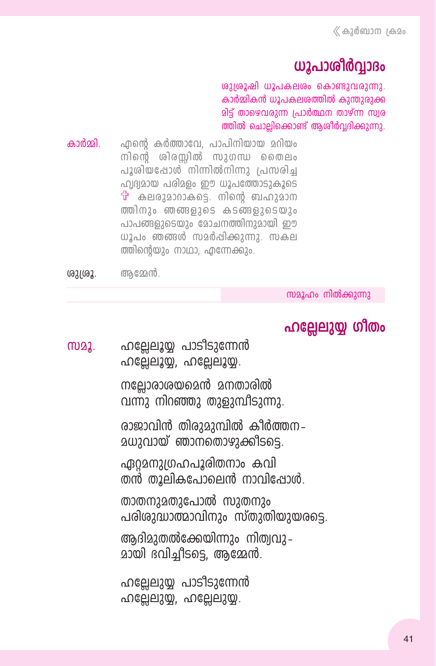## ധൂപാശീർവാദം

ശുശ്രൂഷി ധൂപകലശം കൊണ്ടുവരുന്നു. കാർമ്മികൻ ധൂപകലശത്തിൽ കുന്തുരുക്ക മിട്ട് താഴെവരുന്ന പ്രാർത്ഥന താഴ്ന്ന സ്വര ത്തിൽ ചൊല്ലിക്കൊണ്ട് ആശീർവ്വദിക്കുന്നു.

കാർതി ഹന്റെ കർത്താവേ. പാപിനിയായ മറിയം നിന്റെ ശിരസിൽ സുഗന്ധ തൈലം പൂശിയപ്പോൾ നിന്നിൽനിന്നു പ്രസരിച്ച ഹ്വദ്വമായ പരിമളം ഈ ധൂപത്തോടുകൂടെ  $\ddot{\mathbf{u}}$  കലരുമാറാകടെ. നിന്റെ ബഹുമാന ത്തിനും ഞങ്ങളുടെ കടങ്ങളുടെയും പാപങ്ങളുടെയും മോചനത്തിനുമായി ഈ ധൂപം ഞങ്ങൾ സമർപ്പിക്കുന്നു. സകല ത്തിന്റെയും നാഥാ, എന്നേക്കും.

ശുശ്രൂ. ആമ്മേൻ.

സമൂഹം നിൽക്കുന്നു

## ഹല്ലേലുയ്യ ഗിതം

ഹല്ലേലൂയ്യ പാടിടുന്നേൻ M22. ഹല്ലേലുയ്യ, ഹല്ലേലുയ്യ.

> നല്ലോരാശയമെൻ മനതാരിൽ വന്നു നിറഞ്ഞു തുളുമ്പീടുന്നു.

രാജാവിൻ തിരുമുമ്പിൽ കീർത്തന-<u>മധുവായ് ഞാനതൊഴുക്കിടടെ.</u>

ഏറ്റമനുഗ്രഹപൂരിതനാം കവി തൻ തൂലികപോലെൻ നാവിപ്പോൾ.

താതനുമതുപോൽ സുതനും പരിശുദ്ധാത്മാവിനും സ്തുതിയുയരടെ.

ആദിമുതൽക്കേയിന്നും നിത്വവു– മായി ദവിച്ചീടടെ, ആമ്മേൻ.

ഹല്ലേലുയ്യ പാടിടുന്നേൻ ഹല്ലേലുയ്യ, ഹല്ലേലുയ്യ.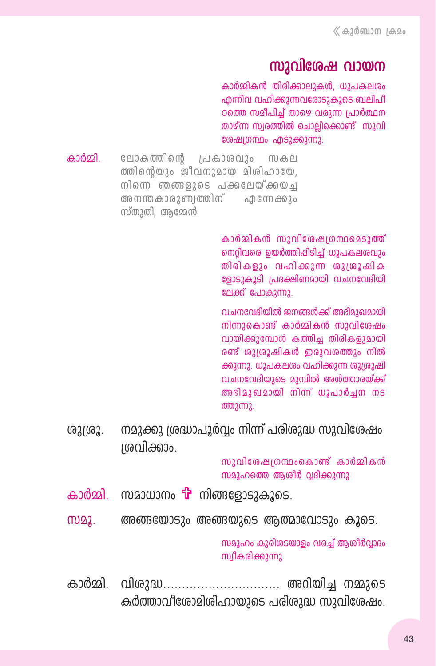## സാവിശേഷ വായന

കാർമ്മികൻ തിരിക്കാലുകൾ, ധൂപകലശം എന്നിവ വഹിക്കുന്നവരോടുകൂടെ ബലിപീ ഠത്തെ സമീപിച്ച് താഴെ വരുന്ന പ്രാർത്ഥന താഴ്ന്ന സ്വരത്തിൽ ചൊല്ലിക്കൊണ്ട് സുവി ശേഷ്യഗന്ഥം എടുക്കുന്നു.

കാർതി ലോകത്തിന്റെ പ്രകാശവും സകല ത്തിന്റെയും ജീവനുമായ മിശിഹായേ. നിന്നെ ഞങ്ങളുടെ പക്കലേയ്ക്കയച അനന്തകാരുണ്വത്തിന് എന്നേക്കും സ്തുതി, ആമ്മേൻ

> കാർമ്മികൻ സാവിശേഷതന്ഥമെടാത്ത് നെറിവരെ യെർത്തിപ്പിടിച് ധൂപകലശവും തിരികളും വഹിക്കുന്ന ശുശ്രൂഷിക ളോടുകൂടി പ്രദക്ഷിണമായി വചനവേദിയി ലേക്ക് പോകുന്നു.

> വചനവേദിയിൽ ജനങ്ങൾക്ക് അഭിമുഖമായി നിന്നുകൊണ്ട് കാർമ്മികൻ സുവിശേഷം വായിക്കുമ്പോൾ കത്തിച തിരികളുമായി രണ്ട് ശുശ്രൂഷികൾ ഇരുവരത്തും നിൽ ക്കുന്നു. ധൂപകലശം വഹിക്കുന്ന ശുശ്രൂഷി വചനവേദിയുടെ മുമ്പിൽ അൾത്താരയ്ക്ക് അഭിമുഖമായി നിന്ന് ധൂപാർച്ചന നട  $0002$   $002$ .

നമുക്കു ശ്രദ്ധാപൂർവ്വം നിന്ന് പരിശുദ്ധ സുവിശേഷം ശുശ്രൂ. ശവിക്കാം.

> സുവിശേഷത്രന്ഥംകൊണ്ട് കാർമ്മികൻ സമൂഹത്തെ ആശീർ വദിക്കുന്നു

- കാർമ്മി. സമാധാനം **T** നിങ്ങളോടുകൂടെ.
- M22. അങ്ങയോടും അങ്ങയുടെ ആത്മാവോടും കൂടെ.

സമൂഹം കുരിശടയാളം വരച്ച് ആശീർവ്വാദം സ്വീകരിക്കുന്നു

കാർമ്മി. വിശുദ്ധ.............................. അറിയിച്ച നമ്മുടെ കർത്താവീരോമിശിഹായുടെ പരിശുദ്ധ സുവിശേഷം.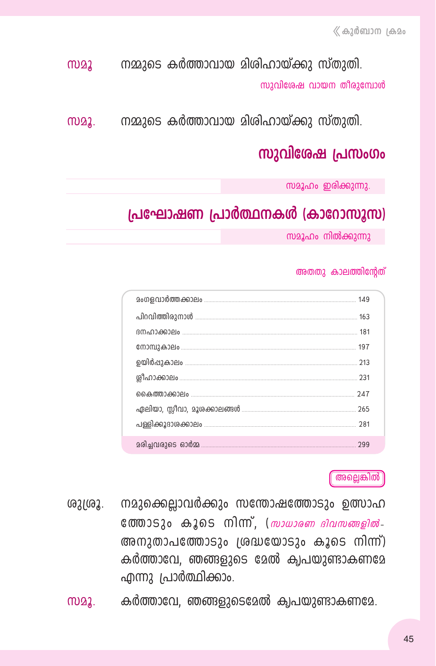നമ്മുടെ കർത്താവായ മിശിഹായ്ക്കു സ്തുതി.  $M22$ സുവിശേഷ വായന തീരുമ്പോൾ

നമ്മുടെ കർത്താവായ മിശിഹായ്ക്കു സ്തുതി. m22.

## സുവിശേഷ പ്രസംഗം

സമൂഹം ഇരിക്കുന്നു.

### പ്രഘോഷണ പ്രാർത്ഥനകൾ (കാറോസൂസ)

സമൂഹം നിൽക്കുന്നു

#### അതതു കാലത്തിന്റേത്

| 213 |
|-----|
|     |
| 247 |
|     |
|     |
| 299 |

അല്ലെങ്കിൽ

- നമുക്കെല്ലാവർക്കും സന്തോഷത്തോടും ഉത്സാഹ ശുശ്രൂ.  $\cos\theta$  compass  $\cos\theta$  compared to  $\sin\theta$  compared  $\sin\theta$  control  $\sin\theta$  control  $\sin\theta$  control  $\sin\theta$  control  $\sin\theta$  control  $\sin\theta$  control  $\sin\theta$  control  $\sin\theta$  control  $\sin\theta$  control  $\sin\theta$  control  $\sin\theta$  control  $\sin\theta$ അനുതാപത്തോടും ശ്രദ്ധയോടും കൂടെ നിന്ന്) കർത്താവേ, ഞങ്ങളുടെ മേൽ ക്വപയുണ്ടാകണമേ എന്നു പ്രാർത്ഥിക്കാം.
- $m22$ . കർത്താവേ, ഞങ്ങളുടെമേൽ ക്വപയുണ്ടാകണമേ.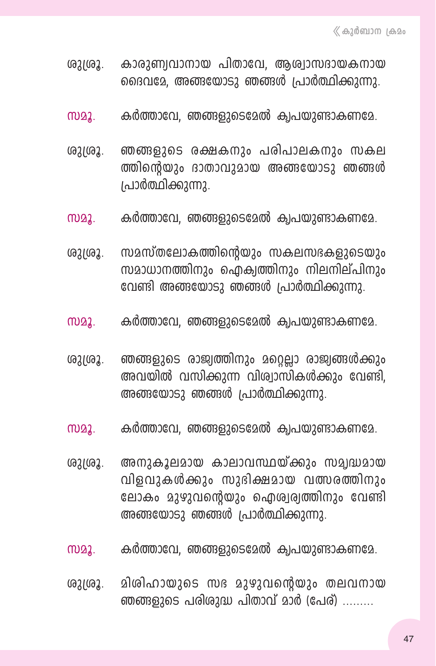- രുശ്രൂ. കാരുണ്വവാനായ പിതാവേ, ആശ്വാസദായകനായ ദൈവമേ, അങ്ങയോടു ഞങ്ങൾ പ്രാർത്ഥിക്കുന്നു.
- സമൂ. കർത്താവേ, ഞങ്ങളുടെമേൽ ക്വപയുണ്ടാകണമേ.
- ശുശ്രൂ. **ഞങ്ങളുടെ രക്ഷകനും പരിപാലകനും സകല** ത്തിന്റെയും ദാതാവുമായ അങ്ങയോടു ഞങ്ങൾ *(പാ*ർത്ഥിക്കുന്നു.
- സമൂ. കർത്താവേ, ഞങ്ങളുടെമേൽ ക്വപയുണ്ടാകണമേ.
- ശുശ്രൂ. സമസ്തലോകത്തിന്റെയും സകലസഭകളുടെയും സമാധാനത്തിനും ഐക്വത്തിനും നിലനില്പിനും വേണ്ടി അങ്ങയോടു ഞങ്ങൾ പ്രാർത്ഥിക്കുന്നു.
- സമൂ. കർത്താവേ, ഞങ്ങളുടെമേൽ ക്വപയുണ്ടാകണമേ.
- ശുത്രൂ. **ഞങ്ങളുടെ രാജ്വത്തിനും മറ്റെല്ലാ രാജ്വങ്ങ**ൾക്കും അവയിൽ വസിക്കുന്ന വിശ്വാസികൾക്കും വേണ്ടി, അങ്ങയോടു ഞങ്ങൾ പ്രാർത്ഥിക്കുന്നു.
- സമൂ. കർത്താവേ, ഞങ്ങളുടെമേൽ ക്വപയുണ്ടാകണമേ.
- ശുശ്രൂ. അനുകൂലമായ കാലാവസ്ഥയ്ക്കും സമ്യദ്ധമായ വിളവുകൾക്കും സുദിക്ഷമായ വത്സരത്തിനാം ലോകം മുഴുവന്റെയും ഐശ്വര്വത്തിനും വേണ്ടി  $\omega$ ങ്ങയോടു ഞങ്ങൾ പ്രാർത്ഥിക്കുന്നു.
- സമൂ. കർത്താവേ, ഞങ്ങളുടെമേൽ ക്വപയുണ്ടാകണമേ.
- ശുശ്രൂ. മിശിഹായുടെ സഭ മുഴുവന്റെയും തലവനായ ഞങ്ങളുടെ പരിശുദ്ധ പിതാവ് മാർ (പേര്)  $\ldots$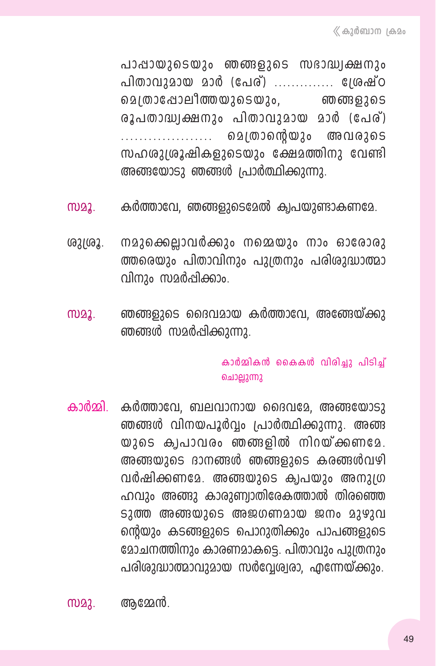പാപ്പായുടെയും ഞങ്ങളുടെ സഭാദ്ധ്വക്ഷനും പിതാവുമായ മാർ (പേര്) .............. ശ്രേഷ്ഠ മെന്താപോലീത്തയുടെയും, ഞങ്ങളുടെ രൂപതാദ്ധ്വക്ഷനും പിതാവുമായ മാർ (പേര്) ചെത്രാന്റെയും അവരുടെ സഹശുശ്രൂഷികളുടെയും ക്ഷേമത്തിനു വേണ്ടി അങ്ങയോടു ഞങ്ങൾ പ്രാർത്ഥിക്കുന്നു.

- കർത്താവേ, ഞങ്ങളുടെമേൽ ക്വപയുണ്ടാകണമേ. **MD22.**
- നമുക്കെല്ലാവർക്കും നമ്മെയും നാം ഓരോരു ശുശ്രൂ. ത്തരെയും പിതാവിനും പുത്രനും പരിശുദ്ധാത്മാ വിനും സമർപ്പിക്കാം.
- ഞങ്ങളുടെ ദൈവമായ കർത്താവേ, അങ്ങേയ്ക്കു **MD22.** ഞങ്ങൾ സമർപ്പിക്കുന്നു.

#### കാർമ്മികൻ കൈകൾ വിരിച്ചു പിടിച്ച് ചൊല്ലുന്നു

കാർമ്മി കർത്താവേ, ബലവാനായ ദൈവമേ, അങ്ങയോടു ഞങ്ങൾ വിനയപൂർവ്വം പ്രാർത്ഥിക്കുന്നു. അങ്ങ യുടെ കൃപാവരം ഞങ്ങളിൽ നിറയ്ക്കണമേ. അങ്ങയുടെ ദാനങ്ങൾ ഞങ്ങളുടെ കരങ്ങൾവഴി വർഷിക്കണമേ. അങ്ങയുടെ ക്വപയും അനുദ്ര ഹവും അങ്ങു കാരുണ്വാതിരേകത്താൽ തിരഞ്ഞെ ടുത്ത അങ്ങയുടെ അജഗണമായ ജനം മുഴുവ ന്റെയും കടങ്ങളുടെ പൊറുതിക്കും പാപങ്ങളുടെ മോചനത്തിനും കാരണമാകട്ടെ. പിതാവും പുത്രനും പരിശുദ്ധാത്മാവുമായ സർവ്വേര്വരാ, എന്നേയ്ക്കും.

അമ്മേൻ. **MD22.**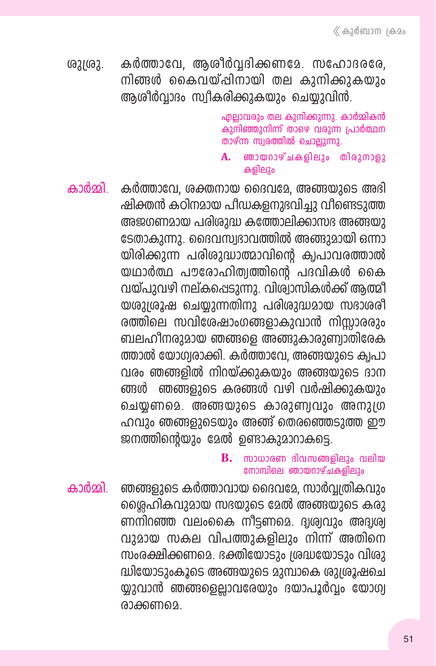കർത്താവേ, ആശീർവ്വദിക്കണമേ. സഹോദരരേ,  $031092.$ നിങ്ങൾ കൈവയ്പ്പിനായി തല കാനിക്കാകയാം അശീർവാദം സ്വീകരിക്കുകയും ചെയ്യുവിൻ.

> എല്ലാവരും തല കുനിക്കുന്നു. കാർമ്മികൻ കുനിഞ്ഞുനിന്ന് താഴെ വരുന്ന പ്രാർത്ഥന താഴ്ന്ന സ്വരത്തിൽ ചൊല്ലുന്നു.

- A. ഞായറാഴ്ചകളിലും തിരുനാളു കളിലും
- കാർമ്മി കർത്താവേ, ശക്തനായ ദൈവമേ, അങ്ങയുടെ അഭി ഷിക്തൻ കഠിനമായ പീഡകളനുഭവിച്ചു വീണ്ടെടുത്ത അജഗണമായ പരിശുദ്ധ കത്തോലിക്കാസഭ അങ്ങയു ടേതാകുന്നു. ദൈവസ്വഭാവത്തിൽ അങ്ങുമായി ഒന്നാ യിരിക്കുന്ന പരിശുദ്ധാത്മാവിന്റെ ക്വപാവരത്താൽ യഥാർത്ഥ പൗരോഹിത്വത്തിന്റെ പദവികൾ കൈ വയ്പുവഴി നല്കപ്പെടുന്നു. വിശ്വാസികൾക്ക് ആത്മീ യശുശ്രൂഷ ചെയ്യുന്നതിനു പരിശുദ്ധമായ സഭാശരീ രത്തിലെ സവിശേഷാംഗങ്ങളാകുവാൻ നിസ്സാരരും ബലഹീനരുമായ ഞങ്ങളെ അങ്ങുകാരുണ്വാതിരേക ത്താൽ യോഗ്വരാക്കി. കർത്താവേ, അങ്ങയുടെ ക്വപാ വരം ഞങ്ങളിൽ നിറയ്ക്കുകയും അങ്ങയുടെ ദാന ങ്ങൾ ഞങ്ങളുടെ കരങ്ങൾ വഴി വർഷിക്കുകയും ചെയ്യണമെ. അങ്ങയുടെ കാരുണ്വവും അനുഗ്ര ഹവും ഞങ്ങളുടെയും അങ്ങ് തെരഞ്ഞെടുത്ത ഈ ജനത്തിന്റെയും മേൽ ഉണ്ടാകുമാറാകട്ടെ.

#### സാധാരണ ദിവസങ്ങളിലും വലിയ **B.** നോമ്പിലെ ഞായറാഴ്ചകളിലും

ഞങ്ങളുടെ കർത്താവായ ദൈവമേ, സാർവ്വത്രികവും കാർമ്മി ശ്ലൈഹികവുമായ സഭയുടെ മേൽ അങ്ങയുടെ കരു ണനിറഞ്ഞ വലംകൈ നീട്ടണമെ. ദ്വശ്വവും അദ്വശ്വ വുമായ സകല വിപത്തുകളിലും നിന്ന് അതിനെ സംരക്ഷിക്കണമെ. ഭക്തിയോടും ശ്രദ്ധയോടും വിശു ദ്ധിയോടുംകൂടെ അങ്ങയുടെ മുമ്പാകെ ശുശ്രൂഷചെ യ്യുവാൻ ഞങ്ങളെല്ലാവരേയും ദയാപൂർവ്വം യോഗ്വ രാക്കണമെ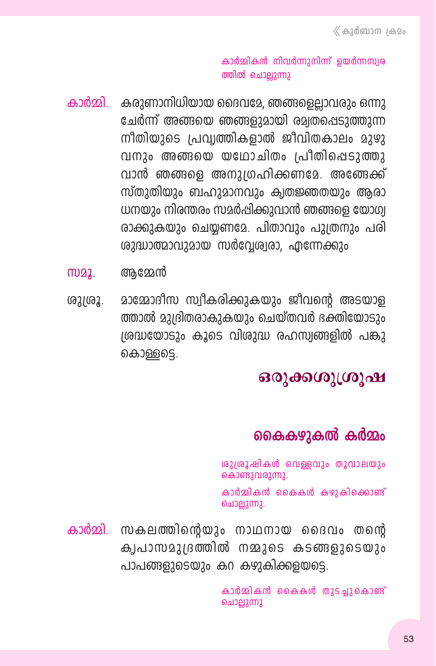#### കാർമ്മികൻ നിവർന്നുനിന്ന് ഉയർന്നസ്വര ത്തിൽ ചൊല്ലുന്നു

- കാർമ്മി കരുണാനിധിയായ ദൈവമേ. ഞങ്ങളെലാവരും ഒന്നു ചേർന്ന് അങ്ങയെ ഞങ്ങളുമായി രമ്യതപ്പെടുത്തുന്ന നീതിയുടെ പ്രവ്വത്തികളാൽ ജീവിതകാലം മുഴു വനാം അങ്ങയെ യഥോചിതം പ്രീതിപ്പെടുത്തു വാൻ ഞങ്ങളെ അനുഗ്രഹിക്കണമേ. അങ്ങേക്ക് സ്തുതിയും ബഹുമാനവും ക്വതജ്ഞതയും ആരാ ധനയും നിരന്തരം സമർപ്പിക്കുവാൻ ഞങ്ങളെ യോഗ്വ രാക്കുകയും ചെയ്യണമേ. പിതാവും പുത്രനും പരി ശാദ്ധാത്മാവുമായ സർവ്വേര്വരാ, എന്നേക്കും
- ആമ്മേൻ M22.
- മാമ്മോദീസ സ്വീകരിക്കുകയും ജീവന്റെ അടയാള ശുശ്രൂ. ത്താൽ മുദ്രിതരാകുകയും ചെയ്തവർ ഭക്തിയോടാം ശ്രദ്ധയോടും കൂടെ വിശുദ്ധ രഹസ്വങ്ങളിൽ പങ്കു കൊള്ളടെ.

## ഒരുക്കശുശ്രൂഷ

## കൈകഴുകൽ കർമ്മം

ശുശ്രൂഷികൾ വെള്ളവും തൂവാലയും കൊണ്ടുവരുന്നു.

കാർമ്മികൻ കൈകൾ കഴുകിക്കൊണ്ട് ചൊല്ലുന്നു.

കാർമ്മി. സകലത്തിന്റെയും നാഥനായ ദൈവം തന്റെ ക്വപാസമുദ്രത്തിൽ നമ്മുടെ കടങ്ങളുടെയും പാപങ്ങളുടെയും കറ കഴുകിക്കളയട്ടെ.

> കാർമ്മികൻ കൈകൾ തുടച്ചുകൊണ്ട് ചൊല്ലുന്നു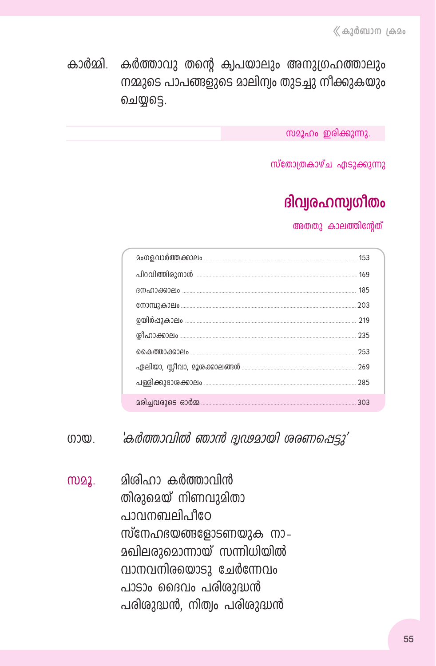കാർമ്മി കർത്താവു തന്റെ ക്വപയാലും അനുഗ്രഹത്താലും നമ്മുടെ പാപങ്ങളുടെ മാലിന്വം തുടച്ചു നീക്കുകയും ചെയ്യട്ടെ.

സമൂഹം ഇരിക്കുന്നു.

സ്തോത്രകാഴ്ച എടുക്കുന്നു

# ദിവ്വരഹസ്വഗീതം

അതതു കാലത്തിന്റേത്

| 185 |
|-----|
| 203 |
|     |
|     |
| 253 |
|     |
|     |
| 303 |

'കർത്താവിൽ ഞാൻ ദ്വഢമായി ശരണപ്പെട്ടു' നാതു

<u>മിശിഹാ കർത്താവിൻ</u> m22. തിരുമെയ് നിണവുമിതാ o poimmiello ilgo സ്നേഹഭയങ്ങളോടണയുക നാ– <u> മഖിലരുമൊന്നായ് സന്നിധിയിൽ</u> വാനവനിരയൊടു ചേർന്നേവം പാടാം ദൈവം പരിശുദ്ധൻ പരിശുദ്ധൻ, നിത്വം പരിശുദ്ധൻ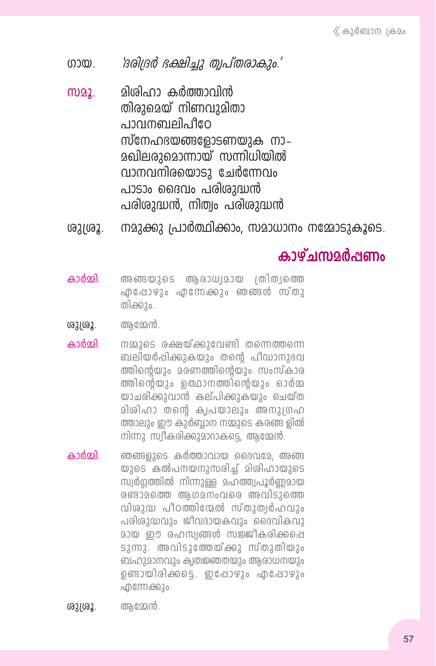'ദരിദ്രർ ഭക്ഷിച്ചു ത്വപ്തരാകും.' നാതു

- മിശിഹാ കർത്താവിൻ m22. തിരുമെയ് നിണവുമിതാ പാവനബലിപീറേ സ്നേഹഭയങ്ങളോടണയുക നാ– **മഖിലരുമൊന്നായ് സന്നിധിയിൽ** വാനവനിരയൊടു ചേർന്നേവം പാടാം ദൈവം പരിശുദ്ധൻ പരിശുദ്ധൻ, നിത്വം പരിശുദ്ധൻ
- നമുക്കു പ്രാർത്ഥിക്കാം, സമാധാനം നമ്മോടുകൂടെ. ശുശ്രൂ.

## <u>കാഴ്ചന്നാർഷണം</u>

- കാർമ്മി അ ങ്ങയുടെ ആരാധ്വമായ ത്രിത്വത്തെ ഫുപോഴും ഫുന്നേക്കും ഞങ്ങൾ സ്തു തിക്കും.
- അമേൻ. ശുശ്രൂ.
- കാർമ്മി നമ്മുടെ രക്ഷയ്ക്കുവേണ്ടി തന്നെത്തന്നെ ബലിയർപ്പിക്കുകയും തന്റെ പീഡാനുഭവ ത്തിന്റെയും മരണത്തിന്റെയും സംസ്കാര ത്തിന്റെയും ഉത്ഥാനത്തിന്റെയും ഓർമ്മ യാചരിക്കുവാൻ കല്പിക്കുകയും ചെയ്ത മിശിഹാ തന്റെ ക്വപയാലും അനുഗ്രഹ ത്താലും ഈ കുർബ്ബാന നമ്മുടെ കരങ്ങ ളിൽ നിന്നു സ്വീകരിക്കുമാറാകട്ടെ, ആമ്മേൻ.
- കാർമ്മി ഞങ്ങളുടെ കർത്താവായ ദൈവമേ. അങ്ങ യുടെ കൽപനയനുസരിച്ച് മിശിഹായുടെ സ്വർഗ്ഗത്തിൽ നിന്നുള്ള മഹത്ത്വപൂർണ്ണമായ രണ്ടാമത്തെ ആഗമനംവരെ അവിടുത്തെ വിശുദ്ധ പീഠത്തിന്മേൽ സ്തുത്വർഹവും പരിശുദ്ധവും ജീവദായകവും ദൈവികവു മായ ഈ രഹസ്വങ്ങൾ സജ്ജീകരിക്കപ്പെ ടുന്നു. അവിടുത്തേയ്ക്കു സ്തുതിയും ബഹുമാനവും ക്വതജ്ഞതയും ആരാധനയും ഉണ്ടായിരിക്കട്ടെ. ഇപ്പോഴും എപ്പോഴും ഫിന്നേക്കും.

ശുശ്രൂ. ആമേൻ.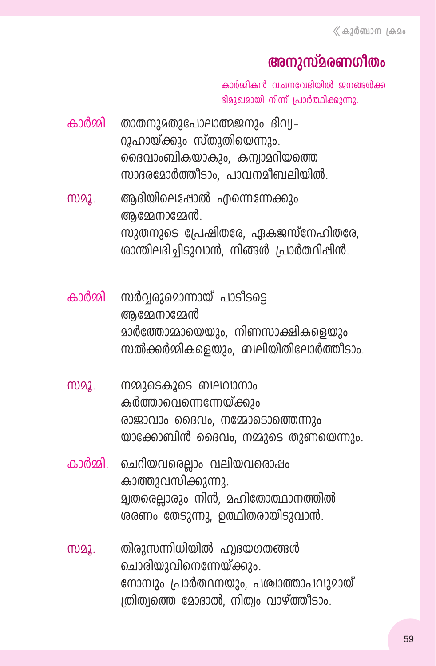## അനുസ്മരണഗീതം

കാർമ്മികൻ വചനവേദിയിൽ ജനങ്ങൾക്ക ദിമുഖമായി നിന്ന് പ്രാർത്ഥിക്കുന്നു.

- കാർമ്മി. താതനുമതുപോലാത്മജനും ദിവ്വ– റൂഹായ്ക്കും സ്തുതിയെന്നും. ദൈവാംബികയാകും, കന്വാമറിയത്തെ സാദരമോർത്തീടാം, പാവനമീബലിയിൽ.
- ആദിയിലെപ്പോൽ എന്നെന്നേക്കും MD22. അമ്മേനാമ്മേൻ. സുതനുടെ പ്രേഷിതരേ. ഏകജസ്നേഹിതരേ. ശാന്തിലഭിച്ചിടുവാൻ, നിങ്ങൾ പ്രാർത്ഥിപ്പിൻ.
- കാർമ്മി. സർവ്വരുമൊന്നായ് പാടിടട്ടെ അമേനാമേൻ മാർത്തോമ്മായെയും, നിണസാക്ഷികളെയും സൽക്കർമ്മികളെയാം. ബലിയിതിലോർത്തീടാം.
- നമ്മുടെകൂടെ ബലവാനാം M22. കർത്താവെന്നെന്നേയ്ക്കും രാജാവാം ദൈവം, നമ്മോടൊത്തെന്നും യാക്കോബിൻ ദൈവം, നമ്മുടെ തുണയെന്നും.
- കാർമ്മി ചെറിയവരെല്ലാം വലിയവരൊഷം കാത്തുവസിക്കുന്നു. **ച്ചതരെല്ലാരും നിൻ. മഹിതോത്ഥാനത്തിൽ** ശരണം തേടുന്നു, ഉത്ഥിതരായിടുവാൻ.
- തിരുസന്നിധിയിൽ ഹ്വദയഗതങ്ങൾ M22. ചൊരിയുവിനെന്നേയ്ക്കും. നോമ്പും പ്രാർത്ഥനയും, പശ്ചാത്താപവുമായ് ത്രിത്വത്തെ മോദാൽ, നിത്വം വാഴ്ത്തീടാം.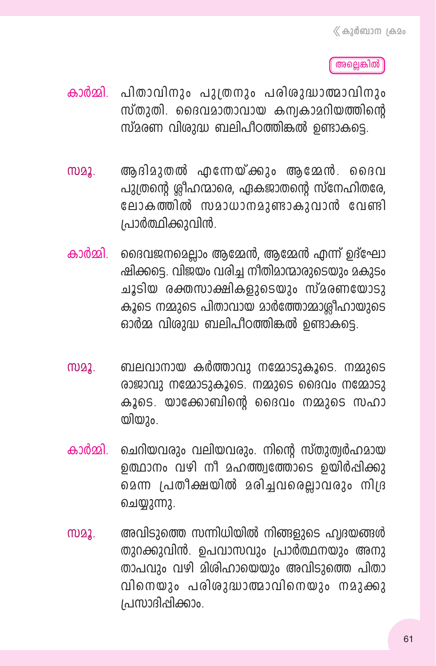അല്ലെങ്കിൽ

- കാർമ്മി. പിതാവിനും പുത്രനും പരിശുദ്ധാത്മാവിനും സ്തുതി. ദൈവമാതാവായ കമ്പകാമറിയത്തിന്റെ സ്മരണ വിശുദ്ധ ബലിപീഠത്തിങ്കൽ ഉണ്ടാകടെ.
- ആ ദിമുതൽ എന്നേയ്ക്കും ആമേൻ. ദൈവ **MD22.** പുത്രന്റെ ര്രീഹന്മാരെ, ഏകജാതന്റെ സ്നേഹിതരേ, ലോകത്തിൽ സമാധാനമുണ്ടാകുവാൻ വേണ്ടി പ്രാർത്ഥിക്കുവിൻ.
- കാർമ്മി. ദൈവജനമെല്ലാം ആമ്മേൻ, ആമ്മേൻ എന്ന് ഉദ്ഘോ ഷിക്കട്ടെ. വിജയം വരിച്ച നീതിമാന്മാരുടെയും മകുടം ചൂടിയ രക്തസാക്ഷികളുടെയും സ്മരണയോടു കൂടെ നമ്മുടെ പിതാവായ മാർത്തോമ്മാര്രിഹായുടെ ഓർമ്മ വിശുദ്ധ ബലിപീഠത്തിങ്കൽ ഉണ്ടാകട്ടെ.
- ബലവാനായ കർത്താവു നമ്മോടുകൂടെ. നമ്മുടെ **MD22.** രാജാവു നമ്മോടുകൂടെ. നമ്മുടെ ദൈവം നമ്മോടു കൂടെ. യാക്കോബിന്റെ ദൈവം നമ്മുടെ സഹാ യിയും.
- ചെറിയവരും വലിയവരും. നിന്റെ സ്തുത്വർഹമായ കാർമ്മി ഉത്ഥാനം വഴി നീ മഹത്ത്വത്തോടെ ഉയിർപ്പിക്കു മെന്ന പ്രതീക്ഷയിൽ മരിച്ചവരെല്ലാവരും നിദ്ര ചെയ്യുന്നു.
- അവിടുത്തെ സന്നിധിയിൽ നിങ്ങളുടെ ഹ്വദയങ്ങൾ M22. തുറക്കുവിൻ. ഉപവാസവും പ്രാർത്ഥനയും അനു താപവും വഴി മിശിഹായെയും അവിടുത്തെ പിതാ വിനെയും പരിശുദ്ധാത്മാവിനെയും നമുക്കു പ്രസാദിപ്പിക്കാം.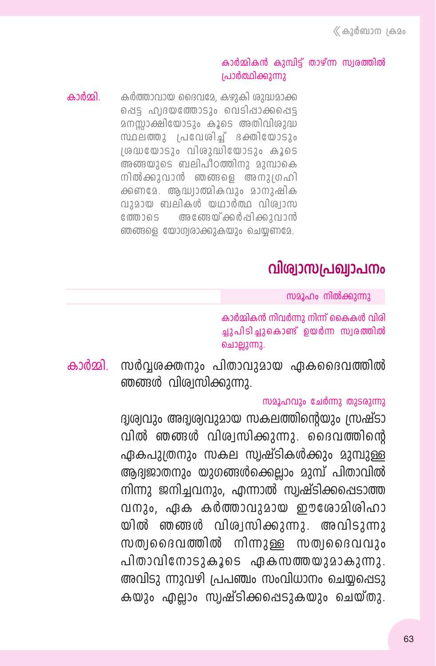#### കാർമ്മികൻ കുമ്പിട്ട് താഴ്ന്ന സ്വരത്തിൽ പ്രാർത്ഥിക്കുന്നു

കാർമ്മി കർത്താവായ ദൈവമേ, കഴുകി ശുദ്ധമാക്ക പ്പെട്ട ഹ്വദയത്തോടും വെടിപ്പാക്കപ്പെട്ട മനസ്സാക്ഷിയോടും കൂടെ അതിവിശുദ്ധ സ്ഥലത്തു പ്രവേശിച്ച് ദക്തിയോടും ശ്രദ്ധയോടും വിശുദ്ധിയോടും കൂടെ അങ്ങയുടെ ബലിപീഠത്തിനു മുമ്പാകെ നിൽക്കുവാൻ ഞങ്ങളെ അനുത്രഹി ക്കണമേ. ആദ്ധ്വാത്മികവും മാനുഷിക വുമായ ബലികൾ യഥാർത്ഥ വിശ്വാസ അത്തേയ്ക്കർപ്പിക്കുവാൻ ത്തോടെ ഞങ്ങളെ യോഗ്വരാക്കുകയും ചെയ്യണമേ.

## വിശ്വാസപ്രഖ്വാപനം

സമൂഹം നിൽക്കുന്നു

കാർമ്മികൻ നിവർന്നു നിന്ന് കൈകൾ വിരി ച്ചുപിടിച്ചുകൊണ്ട് ഉയർന്ന സ്വരത്തിൽ ചൊല്ലുന്നു.

കാർമ്മി സർവ്വശക്തനും പിതാവുമായ ഏകദൈവത്തിൽ ഞങ്ങൾ വിശ്വസിക്കുന്നു.

#### സമൂഹവും ചേർന്നു തുടരുന്നു

ദ്വശ്വവും അദ്വശ്വവുമായ സകലത്തിന്റെയും സ്രഷ്ടാ വിൽ ഞങ്ങൾ വിശ്വസിക്കുന്നു. ദൈവത്തിന്റെ ഏകപുത്രനും സകല സ്വഷ്ടികൾക്കും മുമ്പുള്ള ആദ്യജാതനും യുഗങ്ങൾക്കെല്ലാം മുമ്പ് പിതാവിൽ നിന്നു ജനിച്ചവനും, എന്നാൽ സ്വഷ്ടിക്കപ്പെടാത്ത വനും, ഏക കർത്താവുമായ ഈശോമിശിഹാ യിൽ ഞങ്ങൾ വിശ്വസിക്കുന്നു. അവിടുന്നു സത്വദൈവത്തിൽ നിന്നുള്ള സത്വദൈവവും പിതാവിനോടുകൂടെ ഏകസത്തയുമാകുന്നു. അവിടു ന്നുവഴി പ്രപഞ്ചം സംവിധാനം ചെയ്യപ്പെടു കയും എല്ലാം സ്വഷ്ടിക്കപ്പെടുകയും ചെയ്തു.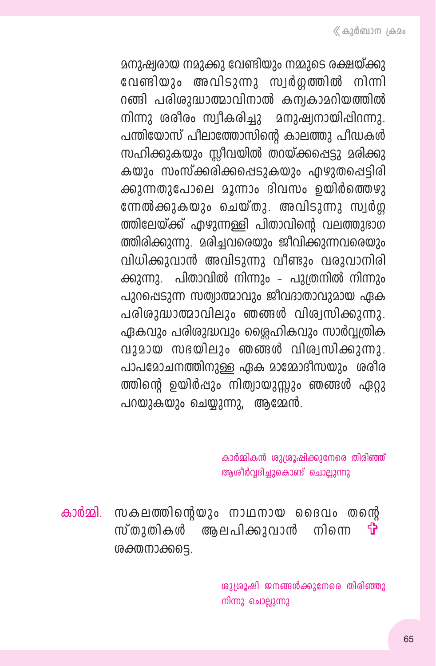മനുഷ്വരായ നമുക്കു വേണ്ടിയും നമ്മുടെ രക്ഷയ്ക്കു വേണ്ടിയും അവിടുന്നു സ്വർഗ്ഗത്തിൽ നിന്നി റങ്ങി പരിശുദ്ധാത്മാവിനാൽ കന്വകാമറിയത്തിൽ നിന്നു ശരീരം സ്വീകരിച്ചു മനുഷ്യനായിപ്പിറന്നു. പന്തിയോസ് പീലാത്തോസിന്റെ കാലത്തു പീഡകൾ സഹിക്കുകയും സ്ലീവയിൽ തറയ്ക്കപ്പെടു മരിക്കു കയും സംസ്ക്കരിക്കപ്പെടുകയും എഴുതപ്പെട്ടിരി ക്കുന്നതുപോലെ മൂന്നാം ദിവസം ഉയിർത്തെഴു ന്നേൽക്കുകയും ചെയ്തു. അവിടുന്നു സ്വർഗ ത്തിലേയ്ക്ക് എഴുന്നള്ളി പിതാവിന്റെ വലത്തുഭാഗ ത്തിരിക്കുന്നു. മരിച്ചവരെയും ജീവിക്കുന്നവരെയും വിധിക്കുവാൻ അവിടുന്നു വീണ്ടും വരുവാനിരി ക്കുന്നു. പിതാവിൽ നിന്നും - പുദതനിൽ നിന്നും പുറപ്പെടുന്ന സത്വാത്മാവും ജീവദാതാവുമായ ഏക പരിശുദ്ധാത്മാവിലും ഞങ്ങൾ വിശ്വസിക്കുന്നു. ഏകവും പരിരുദ്ധവും ശ്ലൈഹികവും സാർവ്വതിക വുമായ സഭയിലും ഞങ്ങൾ വിശ്വസിക്കുന്നു. പാപമോചനത്തിനുള്ള ഏക മാമ്മോദീസയും ശരീര ത്തിന്റെ ഉയിർപ്പും നിത്വായുസ്സും ഞങ്ങൾ ഏറ്റു പറയുകയും ചെയ്യുന്നു, ആമ്മേൻ.

> കാർമ്മികൻ ശുശ്രൂഷിക്കുനേരെ തിരിഞ്ഞ് ആശീർവ്വദിച്ചുകൊണ്ട് ചൊല്ലുന്നു

കാർമ്മി. സകലത്തിന്റെയും നാഥനായ ദൈവം തന്റെ സ്തുതികൾ അലപിക്കുവാൻ നിന്നെ 帶 ശക്തനാക്കടെ.

> ശുശ്രൂഷി ജനങ്ങൾക്കുനേരെ തിരിഞ്ഞു നിന്നു ചൊല്ലുന്നു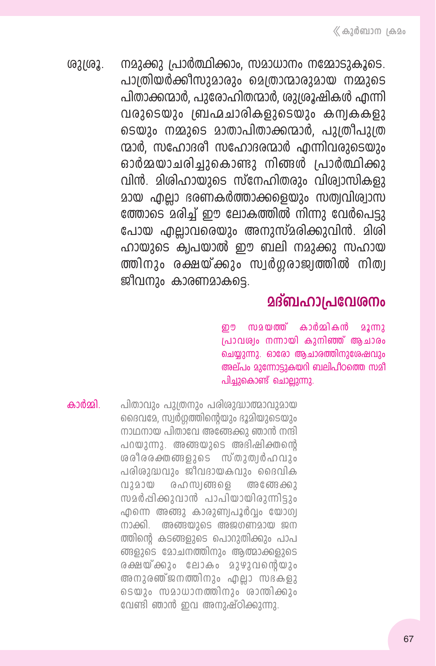നമുക്കു പ്രാർത്ഥിക്കാം. സമാധാനം നമ്മോടുകൂടെ.  $02102.$ പാത്രിയർക്കിസാമാരാം മെത്രാന്മാരുമായ നമ്മുടെ പിതാക്കന്മാർ. പുരോഹിതന്മാർ, ശുദ്രമഷികൾ എന്നി വരുടെയും ബ്രഹ്മചാരികളുടെയും കമ്പകകളു ടെയും നമ്മുടെ മാതാപിതാക്കന്മാർ. പുത്രീപുത്ര ന്മാർ, സഹോദരി സഹോദരന്മാർ എന്നിവരാടെയാം ഓർമ്മയാചരിച്ചുകൊണ്ടു നിങ്ങൾ പ്രാർത്ഥിക്കു വിൻ. മിശിഹായുടെ സ്നേഹിതരും വിശ്വാസികളു മായ എല്ലാ ഭരണകർത്താക്കളെയും സത്വവിശ്വാസ ത്തോടെ മരിച്ച് ഈ ലോകത്തിൽ നിന്നു വേർപെട്ടു പോയ എല്ലാവരെയും അനുസ്മരിക്കുവിൻ. മിശി ഹായുടെ ക്വപയാൽ ഈ ബലി നമുക്കു സഹായ ത്തിനും രക്ഷയ്ക്കും സ്വർഗ്ഗരാജ്വത്തിൽ നിത്വ ജീവനും കാരണമാകട്ടെ.

### <u> മദ്ബഹാപ്രവേശനം</u>

സമയത്ത് കാർമ്മികൻ றூ  $22$   $\text{m}$ പ്രാവര്വം നന്നായി കുനിഞ്ഞ് ആചാരം ചെയ്യുന്നു. ഓരോ ആചാരത്തിനുശേഷവും അല്പം മുന്നോട്ടുകയറി ബലിപീഠത്തെ സമീ പിച്ചുകൊണ്ട് ചൊല്ലുന്നു.

കാർമ്മി

പിതാവും പുത്രനും പരിശുദ്ധാത്മാവുമായ ദൈവമേ, സ്വർഗ്ഗത്തിന്റെയും ദൂമിയുടെയും നാഥനായ പിതാവേ അങ്ങേക്കു ഞാൻ നന്ദി പറയുന്നു. അങ്ങയുടെ അഭിഷിക്തന്റെ ശരീരരക്തങ്ങളുടെ സ്തുത്വർഹവും പരിശുദ്ധവും ജീവദായകവും ദൈവിക  $(112900)$ രഹസ്വങ്ങളെ അ തേ ക്കു സമർപ്പിക്കുവാൻ പാപിയായിരുന്നിടും എന്നെ അങ്ങു കാരുണ്വപൂർവം യോഗ്വ നാക്കി. അങ്ങയുടെ അജഗണമായ ജന ത്തിന്റെ കടങ്ങളുടെ പൊറുതിക്കും പാപ ങ്ങളുടെ മോചനത്തിനും ആത്മാക്കളുടെ രക്ഷയ്ക്കും ലോകം മുഴുവന്റെയും അനുരഞ്ജനത്തിനും എല്ലാ സഭകളു ടെയും സമാധാനത്തിനും ശാന്തിക്കും വേണ്ടി ഞാൻ ഇവ അനുഷ്ഠിക്കുന്നു.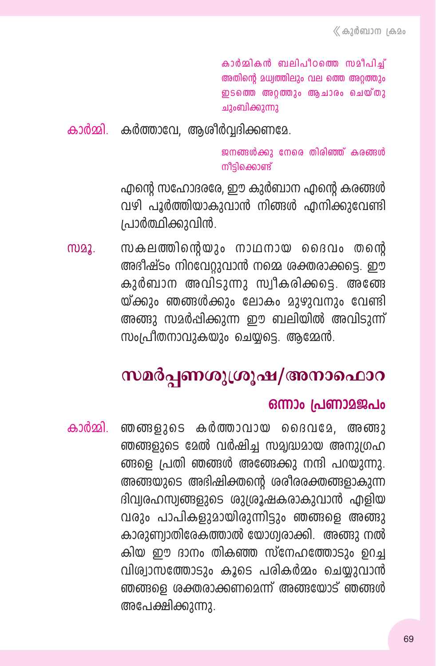കാർമികൻ ബലിപീഠത്തെ സമീപിച് അതിന്റെ മധ്വത്തിലും വല ത്തെ അറ്റത്തും ഇടത്തെ അറ്റത്തും ആചാരം ചെയ്തു ചുംബിക്കുന്നു

കാർമ്മി. കർത്താവേ, ആശീർവ്വദിക്കണമേ.

ജനങ്ങൾക്കു നേരെ തിരിഞ്ഞ് കരങ്ങൾ നീടിക്കൊണ്ട്

എന്റെ സഹോദരരേ, ഈ കുർബാന എന്റെ കരങ്ങൾ വഴി പൂർത്തിയാകുവാൻ നിങ്ങൾ എനിക്കുവേണ്ടി പ്രാർത്ഥിക്കുവിൻ.

സകലത്തിന്റെയും നാഥനായ ദൈവം തന്റെ MD22. അഭിഷ്ടം നിറവേറ്റുവാൻ നമ്മെ ശക്തരാക്കട്ടെ. ഈ കുർബാന അവിടുന്നു സ്വീകരിക്കടെ. അത്ങേ യ്ക്കും ഞങ്ങൾക്കും ലോകം മുഴുവനും വേണ്ടി അങ്ങു സമർപ്പിക്കുന്ന ഈ ബലിയിൽ അവിടുന്ന് സംപ്രീതനാവുകയും ചെയ്യടെ. അമ്മേൻ.

# സമർപ്പണശുശ്രൂഷ/അനാഫൊറ

#### ഒന്നാം പ്രണാമജപം

ഞങ്ങളുടെ കർത്താവായ ദൈവമേ, അങ്ങു കാർമ്മി. ഞങ്ങളുടെ മേൽ വർഷിച്ച സമ്യദ്ധമായ അനുഗ്രഹ ങ്ങളെ പ്രതി ഞങ്ങൾ അങ്ങേക്കു നന്ദി പറയുന്നു. അങ്ങയുടെ അഭിഷിക്തന്റെ ശരീരരക്തങ്ങളാകുന്ന ദിവ്വരഹസ്വങ്ങളുടെ ശുശ്രൂഷകരാകുവാൻ എളിയ വരും പാപികളുമായിരുന്നിട്ടും ഞങ്ങളെ അങ്ങു കാരുണ്വാതിരേകത്താൽ യോഗ്വരാക്കി. അങ്ങു നൽ കിയ ഈ ദാനം തികഞ്ഞ സ്നേഹത്തോടും ഉറച്ച വിശ്വാസത്തോടും കൂടെ പരികർമ്മം ചെയ്യുവാൻ ഞങ്ങളെ ശക്തരാക്കണമെന്ന് അങ്ങയോട് ഞങ്ങൾ അപേക്ഷിക്കുന്നു.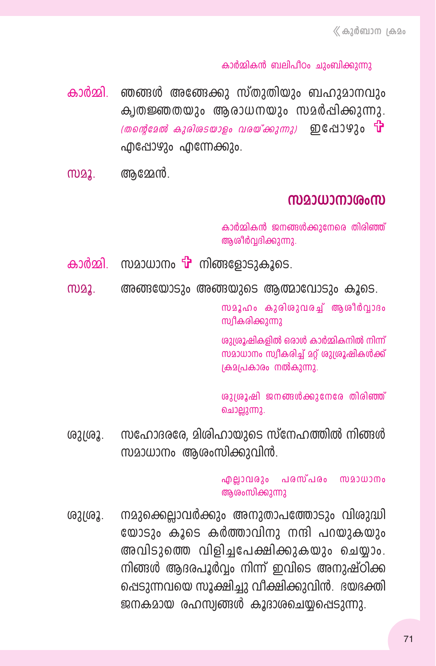#### കാർമ്മികൻ ബലിപീഠം ചുംബിക്കുന്നു

- കാർമ്മി. ഞങ്ങൾ അങ്ങേക്കു സ്തുതിയും ബഹുമാനവും ക്വതജ്ഞതയും അരാധനയും സമർപ്പിക്കുന്നു.  $\sim$  (തന്റെമേൽ കുരിശടയാളം വരയ്ക്കുന്നു) ഇപ്പോഴും  $\mathbf{\hat{u}}$ ഫിപ്പോഴും ഫിന്നേക്കും.
- ആമ്മേൻ. M22.

#### സമാധാനാശംസ

കാർമ്മികൻ ജനങ്ങൾക്കുനേരെ തിരിഞ്ഞ് ആശീർവദിക്കുന്നു.

- കാർമ്മി. സമാധാനം **T** നിങ്ങളോടുകൂടെ.
- അങ്ങയോടും അങ്ങയുടെ ആത്മാവോടും കൂടെ. M22.

സമൂഹം കുരിശുവരച്ച് ആശീർവാദം സ്വീകരിക്കുന്നു

ശുശൂഷികളിൽ ഒരാൾ കാർമ്മികനിൽ നിന്ന് സമാധാനം സ്വീകരിച്ച് മറ്റ് ശുശ്രൂഷികൾക്ക് ക്രമപ്രകാരം നൽകുന്നു.

ശുശ്രൂഷി ജനങ്ങൾക്കുനേരേ തിരിഞ്ഞ് ചൊല്ലുന്നു.

സഹോദരരേ, മിശിഹായുടെ സ്നേഹത്തിൽ നിങ്ങൾ ശുശ്രൂ. സമാധാനം ആശംസിക്കുവിൻ.

> എല്ലാവരും പരസ്പരം സമാധാനം ആശംസിക്കുന്നു

നമുക്കെല്ലാവർക്കും അനുതാപത്തോടും വിശുദ്ധി ശുദ്രൂ. യോടും കൂടെ കർത്താവിനു നന്ദി പറയുകയും അവിടുത്തെ വിളിച്ചപേക്ഷിക്കുകയും ചെയ്യാം. നിങ്ങൾ ആദരപൂർവം നിന്ന് ഇവിടെ അനുഷ്ഠിക്ക പ്പെടുന്നവയെ സൂക്ഷിച്ചു വീക്ഷിക്കുവിൻ. ദയഭക്തി ജനകമായ രഹസ്വങ്ങൾ കൂദാശചെയ്യപ്പെടുന്നു.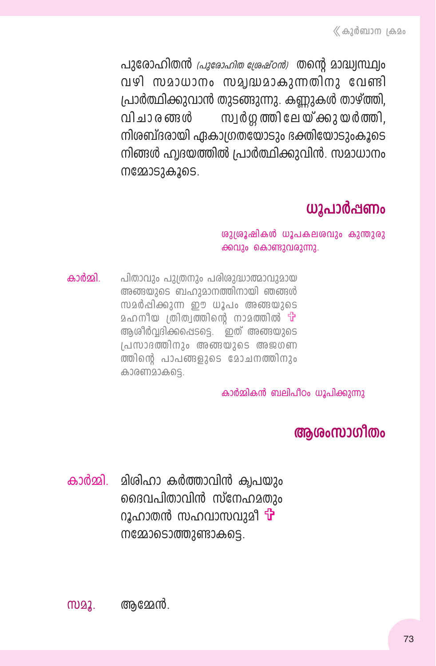പുരോഹിതൻ *പ്രുരോഹിത ശേഷ്ഠൻ)* തന്റെ മാദ്ധ്വസ്ഥ്വം വഴി സമാധാനം സമ്യദ്ധമാകുന്നതിനു വേണ്ടി പ്രാർത്ഥിക്കുവാൻ തുടങ്ങുന്നു. കണ്ണുകൾ താഴ്ത്തി, വി ചാ ര ങ്ങൾ സ്വർഗത്തിലേയ്ക്കുയർത്തി. നിശബ്ദരായി ഏകാഗ്രതയോടും ഭക്തിയോടുംകൂടെ നിങ്ങൾ ഹ്വദയത്തിൽ പ്രാർത്ഥിക്കുവിൻ. സമാധാനം mg22052A205.

## ധൂപാർപ്പണം

ശുശൂഷികൾ ധൂപകലശവും കുന്തുരു ക്കവും കൊണ്ടുവരുന്നു.

കാർമ്മി പിതാവും പുത്രനും പരിശുദ്ധാത്മാവുമായ അങ്ങയുടെ ബഹുമാനത്തിനായി ഞങ്ങൾ സമർപ്പിക്കുന്ന ഈ ധൂപം അങ്ങയുടെ മഹനീയ ത്രിത്വത്തിന്റെ നാമത്തിൽ **ப** ആശീർവ്വദിക്കപ്പെടട്ടെ. ഇത് അങ്ങയുടെ (പസാദത്തിനും അങ്ങയുടെ അജഗണ ത്തിന്റെ പാപങ്ങളുടെ മോചനത്തിനും കാരണമാകട്ടെ.

കാർമ്മികൻ ബലിപീഠം ധൂപിക്കുന്നു

### അശംസാഗീതം

കാർമ്മി. മിശിഹാ കർത്താവിൻ ക്വപയും ദൈവപിതാവിൻ സ്നേഹമതും റൂഹാതൻ സഹവാസവുമി **<sup>പ്പ</sup>** നമ്മോടൊത്തുണ്ടാകട്ടെ.

M22. ആമ്മേൻ.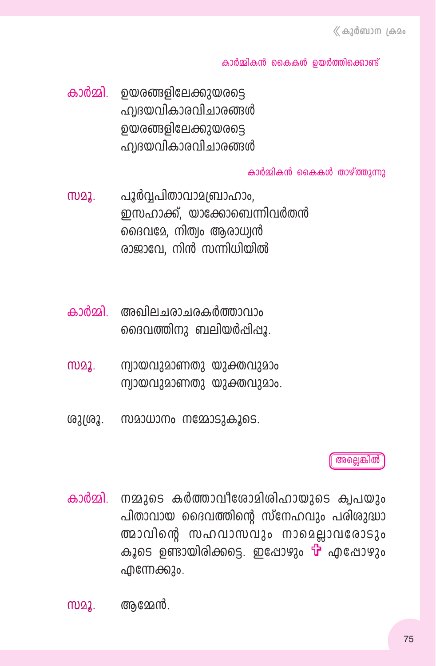#### കാർമ്മികൻ കൈകൾ ഉയർത്തിക്കൊണ്ട്

കാർമ്മി. ഉയരങ്ങളിലേക്കുയരട്ടെ ഹ്വദയവികാരവിചാരങ്ങൾ ൭യരങ്ങളിലേക്കുയരടെ ഹ്വദയവികാരവിചാരങ്ങൾ

#### കാർമ്മികൻ കൈകൾ താഴ്ത്തുന്നു

- പൂർവ്വപിതാവാമബ്രാഹാം. M22. ഇസഹാക്ക്, യാക്കോബെന്നിവർതൻ ദൈവമേ, നിത്വം ആരാധ്വൻ രാജാവേ. നിൻ സന്നിധിയിൽ
- കാർമ്മി അഖിലചരാചരകർത്താവാം ദൈവത്തിനു ബലിയർപ്പിപ്പു.
- ന്വായവുമാണതു യുക്തവുമാം MD22. ന്വായവുമാണതു യുക്തവുമാം.
- ശുശ്രൂ. സമാധാനം നമ്മോടുകൂടെ.

#### അല്ലെങ്കിൽ

കാർമ്മി. നമ്മുടെ കർത്താവീരോമിശിഹായുടെ ക്വപയും പിതാവായ ദൈവത്തിന്റെ സ്നേഹവും പരിശുദ്ധാ ത്മാവിന്റെ സഹവാസവും നാമെല്ലാവരോടും കൂടെ ഉണ്ടായിരിക്കടെ. ഇപ്പോഴും <sup>പ്പ</sup>പ്പെട്ടോഴും എന്നേക്കും.

MD22. അമ്മേൻ.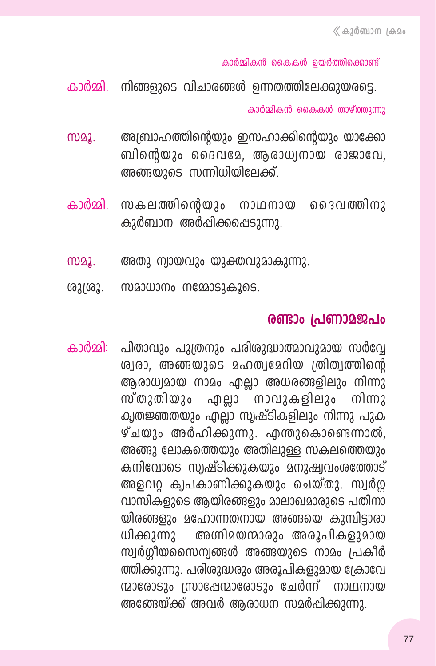കാർമ്മികൻ കൈകൾ ഉയർത്തിക്കൊണ്ട്

കാർമ്മി. നിങ്ങളുടെ വിചാരങ്ങൾ ഉന്നതത്തിലേക്കുയരട്ടെ. കാർമ്മികൻ കൈകൾ താഴ്ത്തുന്നു

- അബ്രാഹത്തിന്റെയും ഇസഹാക്കിന്റെയും യാക്കോ **MD22.** ബിന്റെയും ദൈവമേ, ആരാധ്വനായ രാജാവേ, അങ്ങയുടെ സന്നിധിയിലേക്ക്.
- കാർമ്മി. സകലത്തിന്റെയും നാഥനായ ദൈവത്തിനു കുർബാന അർപ്പിക്കപ്പെടുന്നു.
- **MD22.** അതു ന്വായവും യുക്തവുമാകുന്നു.
- ശുത്രൂ. സമാധാനം നമ്മോടുകൂടെ.

### രണ്ടാം പ്രണാമജപം

കാർമ്മി: പിതാവും പുത്രനും പരിശുദ്ധാത്മാവുമായ സർവ്വേ ശ്വരാ, അങ്ങയുടെ മഹത്വമേറിയ ത്രിത്വത്തിന്റെ ആരാധ്വമായ നാമം എല്ലാ അധരങ്ങളിലും നിന്നു സ്തുതിയും എല്ലാ നാവുകളിലും നിന്നു കൃതജ്ഞതയും എല്ലാ സ്വഷ്ടികളിലും നിന്നു പുക ഴ്ചയും അർഹിക്കുന്നു. എന്തുകൊണ്ടെന്നാൽ, അങ്ങു ലോകത്തെയും അതിലുള്ള സകലത്തെയും കനിവോടെ സ്വഷ്ടിക്കുകയും മനുഷ്വവംശത്തോട് അളവറ്റ ക്വപകാണിക്കുകയും ചെയ്തു. സ്വർഗ്ഗ വാസികളുടെ ആയിരങ്ങളും മാലാഖമാരുടെ പതിനാ യിരങ്ങളും മഹോന്നതനായ അങ്ങയെ കുമ്പിട്ടാരാ അഗ്നിമയന്മാരും അരൂപികളുമായ ധിക്കുന്നു. സ്വർഗ്ഗീയസൈന്വങ്ങൾ അങ്ങയുടെ നാമം പ്രകീർ ത്തിക്കുന്നു. പരിശുദ്ധരും അരൂപികളുമായ ക്രോവേ ന്മാരോടും സ്രാഷേന്മാരോടും ചേർന്ന് നാഥനായ അഞ്ഞേയ്ക്ക് അവർ ആരാധന സമർപ്പിക്കുന്നു.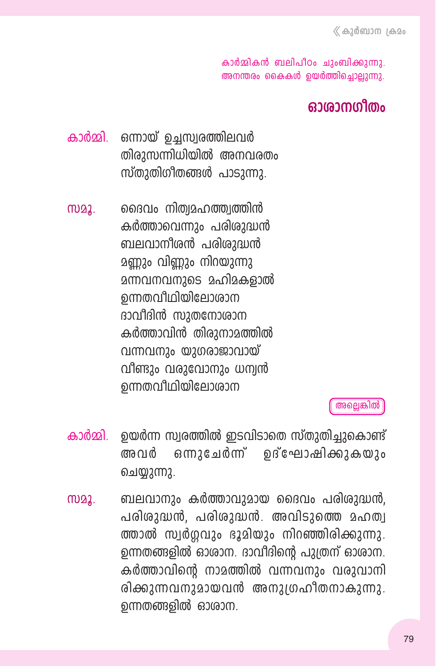കാർമ്മികൻ ബലിപീഠം ചുംബിക്കുന്നു. അനന്തരം കൈകൾ ഉയർത്തിച്ചൊല്ലുന്നു.

### ഓരാനനീതം

- ഒന്നായ് ഉച്ചസ്വരത്തിലവർ കാർമ്മി തിരുസന്നിധിയിൽ അനവരതം സ്തുതിഗീതങ്ങൾ പാടുന്നു.
- ദൈവം നിത്വമഹത്ത്വത്തിൻ M22. കർത്താവെന്നും പരിശുദ്ധൻ ബലവാനീരൻ പരിരുദ്ധൻ മണ്ണും വിണ്ണും നിറയുന്നു <u>മന്നവനവനുടെ മഹിമകളാൽ</u> ഉന്നതവീഥിയിലോശാന ദാവീദിൻ സുതനോശാന കർത്താവിൻ തിരുനാമത്തിൽ വന്നവനും യുഗരാജാവായ് വീണ്ടും വരുവോനും ധന്വൻ ഉന്നതവീഥിയിലോശാന

അല്ലെങ്കിൽ

- ഉയർന്ന സ്വരത്തിൽ ഇടവിടാതെ സ്തുതിച്ചുകൊണ്ട് കാർമ്മി. ഒന്നുചേർന്ന് ഉദ്ഘോഷിക്കുകയും അവർ ചെയ്യുന്നു.
- ബലവാനും കർത്താവുമായ ദൈവം പരിശുദ്ധൻ, M22. പരിശുദ്ധൻ, പരിശുദ്ധൻ, അവിടുത്തെ മഹത്വ ത്താൽ സ്വർഗ്ഗവും ഭൂമിയും നിറഞ്ഞിരിക്കുന്നു. ഉന്നതങ്ങളിൽ ഓരാന. ദാവീദിന്റെ പുത്രന് ഓരാന. കർത്താവിന്റെ നാമത്തിൽ വന്നവനും വരുവാനി രിക്കുന്നവനുമായവൻ അനുഗ്രഹീതനാകുന്നു. ഉന്നതങ്ങളിൽ ഓരാന.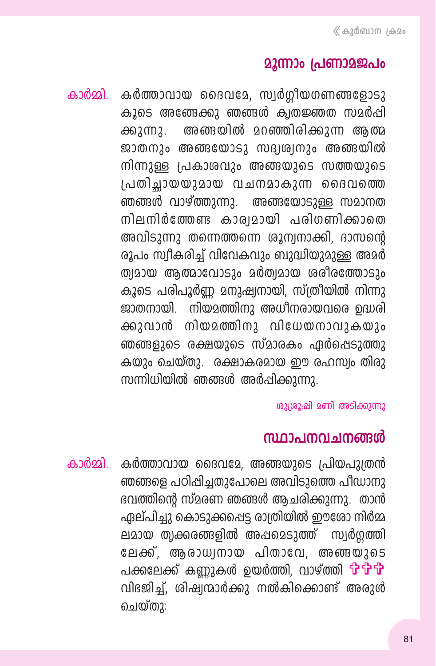### **22ന്നാം പ്രണാ**2ജപം

കാർമ്മി. കർത്താവായ ദൈവമേ, സ്വർഗ്ഗീയഗണങ്ങളോടു കൂടെ അങ്ങേക്കു ഞങ്ങൾ ക്വതജ്ഞത സമർപ്പി അങ്ങയിൽ മറഞ്ഞിരിക്കുന്ന അത്മ  $\omega$ 2002. ജാതനും അങ്ങയോടു സദ്വശ്വനും അങ്ങയിൽ നിന്നുള്ള പ്രകാശവും അങ്ങയുടെ സത്തയുടെ പ്രതിച്ചായയുമായ വചനമാകുന്ന ദൈവത്തെ ഞങ്ങൾ വാഴ്ത്തുന്നു. അങ്ങയോടുള്ള സമാനത നിലനിർത്തേണ്ട കാര്യമായി പരിഗണിക്കാതെ അവിടുന്നു തന്നെത്തന്നെ ശൂന്വനാക്കി, ദാസന്റെ രൂപം സ്വീകരിച്ച് വിവേകവും ബുദ്ധിയുമുള്ള അമർ ത്വമായ ആത്മാവോടും മർത്വമായ ശരീരത്തോടും കൂടെ പരിപൂർണ്ണ മനുഷ്വനായി, സ്ത്രീയിൽ നിന്നു ജാതനായി. നിയമത്തിനു അധീനരായവരെ ഉദ്ധരി ക്കാവാൻ നിയമത്തിനു വിധേയനാവുകയും ഞങ്ങളുടെ രക്ഷയുടെ സ്മാരകം ഏർപ്പെടുത്തു കയും ചെയ്തു. രക്ഷാകരമായ ഈ രഹസ്വം തിരു സന്നിധിയിൽ ഞങ്ങൾ അർപ്പിക്കുന്നു.

ശുശ്രൂഷി മണി അടിക്കുന്നു

### സ്ഥാപനവചനങ്ങൾ

കാർമ്മി. കർത്താവായ ദൈവമേ, അങ്ങയുടെ പ്രിയപുത്രൻ ഞങ്ങളെ പഠിപ്പിച്ചതുപോലെ അവിടുത്തെ പീഡാനു ഭവത്തിന്റെ സ്മരണ ഞങ്ങൾ ആചരിക്കുന്നു. താൻ ഏല്പിച്ചു കൊടുക്കപ്പെട്ട രാത്രിയിൽ ഈശോ നിർമ്മ ലമായ ത്വക്കരങ്ങളിൽ അപ്പമെടുത്ത് സ്വർഗ്ഗത്തി ലേക്ക്, ആരാധ്വനായ പിതാവേ, അങ്ങയുടെ പക്കലേക്ക് കണ്ണുകൾ ഉയർത്തി. വാഴ്ത്തി **theth** വിദജിച്ച്, ശിഷ്വന്മാർക്കു നൽകിക്കൊണ്ട് അരാൾ ചെയ്തു: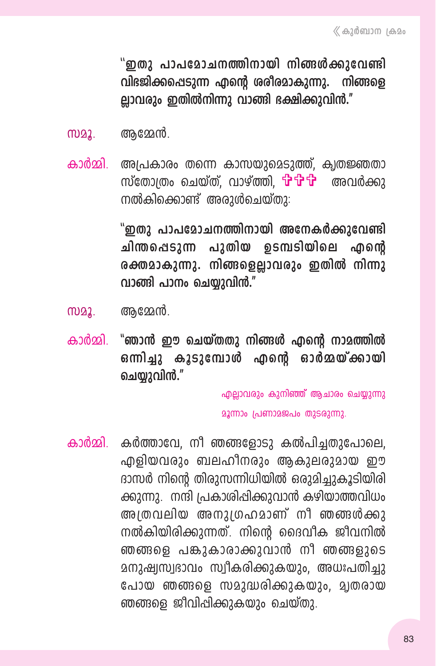"ഇതു പാപമോചനത്തിനായി നിങ്ങൾക്കുവേണ്ടി വിഭജിക്കപ്പെടുന്ന എന്റെ ശരീരമാകുന്നു. നിങ്ങളെ ല്ലാവരും ഇതിൽനിന്നു വാങ്ങി ഭക്ഷിക്കുവിൻ."

- അമ്മേൻ. **MD22.**
- അപ്രകാരം തന്നെ കാസയുമെടുത്ത്, ക്വതജ്ഞതാ കാർമ്മി സ്തോത്രം ചെയ്ത്. വാഴ്ത്തി. **&&&** അവർക്കാ നൽകിക്കൊണ്ട് അരുൾചെയ്തു:

"ഇതു പാപമോചനത്തിനായി അനേകർക്കുവേണ്ടി ചിന്തപ്പെടുന്ന പുതിയ ഉടമ്പടിയിലെ ൶ഩൻ രക്തമാകുന്നു. നിങ്ങളെല്ലാവരും ഇതിൽ നിന്നു വാങ്ങി പാനം ചെയ്യുവിൻ."

- ആമ്മേൻ. M22.
- "ഞാൻ ഈ ചെയ്തതു നിങ്ങൾ എന്റെ നാമത്തിൽ കാർമ്മി ഒന്നിച്ചു കൂടുമ്പോൾ എന്റെ ഓർമ്മയ്ക്കായി ചെയാവിൻ."

എല്ലാവരും കുനിഞ്ഞ് ആചാരം ചെയ്യുന്നു

മൂന്നാം പ്രണാമജപം തുടരുന്നു.

കാർമ്മി കർത്താവേ, നീ ഞങ്ങളോടു കൽപിച്ചതുപോലെ, എളിയവരും ബലഹിനരും ആകുലരുമായ ഈ ദാസർ നിന്റെ തിരുസന്നിധിയിൽ ഒരുമിച്ചുകൂടിയിരി ക്കുന്നു. നന്ദി പ്രകാശിപ്പിക്കുവാൻ കഴിയാത്തവിധം അത്രവലിയ അനുശ്രഹമാണ് നീ ഞങ്ങൾക്കു നൽകിയിരിക്കുന്നത്. നിന്റെ ദൈവീക ജീവനിൽ ഞങ്ങളെ പങ്കുകാരാക്കുവാൻ നീ ഞങ്ങളുടെ മനുഷ്വസ്വഭാവം സ്വീകരിക്കുകയും, അധഃപതിച്ചു പോയ ഞങ്ങളെ സമുദ്ധരിക്കുകയും, മ്വതരായ ഞങ്ങളെ ജീവിപ്പിക്കുകയും ചെയ്തു.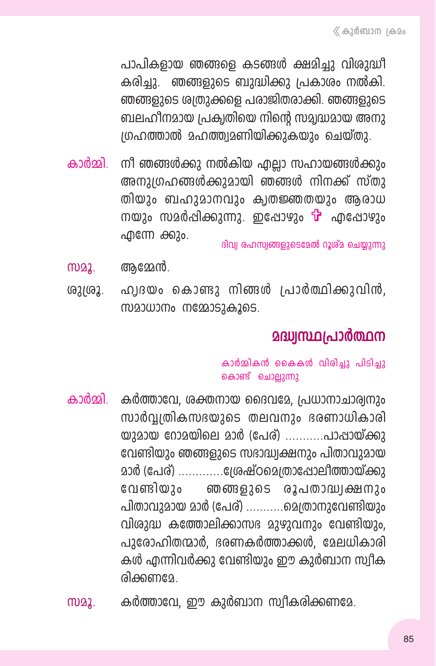പാപികളായ ഞങ്ങളെ കടങ്ങൾ ക്ഷമിച്ചു വിശുദ്ധീ കരിച്ചു. ഞങ്ങളുടെ ബുദ്ധിക്കു പ്രകാരം നൽകി. ഞങ്ങളുടെ ശ്വതുക്കളെ പരാജിതരാക്കി. ഞങ്ങളുടെ ബലഹിനമായ പ്രക്വതിയെ നിന്റെ സമ്വദ്ധമായ അനു ശ്രഹത്താൽ മഹത്ത്വമണിയിക്കുകയും ചെയ്തു.

- നീ ഞങ്ങൾക്കു നൽകിയ എല്ലാ സഹായങ്ങൾക്കും കാർമ്മി അനുഗ്രഹങ്ങൾക്കുമായി ഞങ്ങൾ നിനക്ക് സ്തു തിയും ബഹുമാനവും ക്വതജ്ഞതയും ആരാധ നയും സമർപ്പിക്കുന്നു. ഇപ്പോഴും <sup>പ്പ</sup> എപ്പോഴും എന്നേ ക്കും. ദിവ്വ രഹസ്വങ്ങളുടെമേൽ റൂശ്മ ചെയ്യുന്നു
- അമേൻ. M22.
- ഹ്വദയം കൊണ്ടു നിങ്ങൾ പ്രാർത്ഥിക്കുവിൻ. (621(62. സമാധാനം നമ്മോടുകൂടെ.

# മദ്ധ്വസ്ഥപ്രാർത്ഥന

#### കാർമ്മികൻ കൈകൾ വിരിച്ചു പിടിച്ചു കൊണ്ട് ചൊല്ലുന്നു

- കാർമ്മി കർത്താവേ, ശക്തനായ ദൈവമേ, പ്രധാനാചാര്യനും സാർവ്വതികസഭയുടെ തലവനും ഭരണാധികാരി യുമായ റോമയിലെ മാർ (പേര്) ...........പാപ്പായ്ക്കു വേണ്ടിയും ഞങ്ങളുടെ സദാദ്ധ്വക്ഷനും പിതാവുമായ മാർ (പേര്) ...............ദ്രേഷ്ഠമെത്രാഷോലീത്തായ്ക്കു വേണ്ടിയും ഞങ്ങളുടെ രൂപതാദ്ധ്വക്ഷനും പിതാവുമായ മാർ (പേര്) ............മെത്രാനുവേണ്ടിയും വിശുദ്ധ കത്തോലിക്കാസഭ മുഴുവനും വേണ്ടിയും, പുരോഹിതന്മാർ, ഭരണകർത്താക്കൾ, മേലധികാരി കൾ എന്നിവർക്കു വേണ്ടിയും ഈ കുർബാന സ്വീക രിക്കണമേ
- കർത്താവേ, ഈ കുർബാന സ്വീകരിക്കണമേ. **MD22.**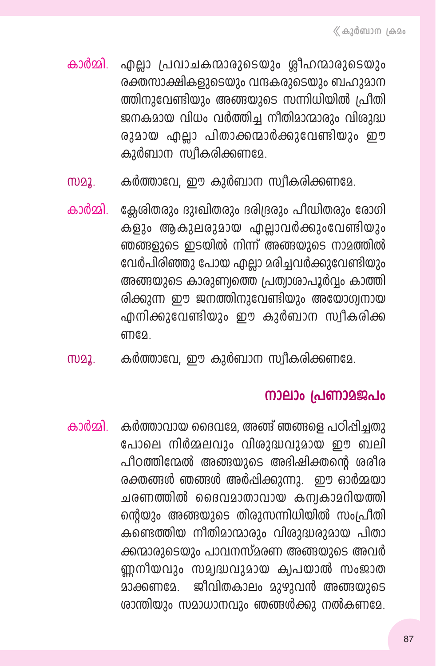- കാർമ്മി. എല്ലാ പ്രവാചകന്മാരുടെയും ശ്ലീഹന്മാരുടെയും രക്തസാക്ഷികളുടെയും വന്ദകരുടെയും ബഹുമാന ത്തിനുവേണ്ടിയും അങ്ങയുടെ സന്നിധിയിൽ പ്രിതി ജനകമായ വിധം വർത്തിച്ച നീതിമാന്മാരും വിശുദ്ധ രുമായ എല്ലാ പിതാക്കന്മാർക്കുവേണ്ടിയും ഈ കുർബാന സ്വീകരിക്കണമേ.
- കർത്താവേ, ഈ കുർബാന സ്വീകരിക്കണമേ. M22.
- ക്ലേശിതരും ദുഃഖിതരും ദരിദ്രരും പീഡിതരും രോഗി കാർമ്മി കളും ആകുലരുമായ എല്ലാവർക്കുംവേണ്ടിയും ഞങ്ങളുടെ ഇടയിൽ നിന്ന് അങ്ങയുടെ നാമത്തിൽ വേർപിരിഞ്ഞു പോയ എല്ലാ മരിച്ചവർക്കുവേണ്ടിയും അങ്ങയുടെ കാരുണ്വത്തെ പ്രത്വാശാപൂർവ്വം കാത്തി രിക്കുന്ന ഈ ജനത്തിനുവേണ്ടിയും അയോഗ്യനായ എനിക്കുവേണ്ടിയും ഈ കുർബാന സ്വീകരിക്ക ണദേ
- കർത്താവേ, ഈ കുർബാന സ്വീകരിക്കണമേ. **MD22.**

### നാലാം പ്രണാമജപം

കാർമ്മി. കർത്താവായ ദൈവമേ, അഞ്ഞ് ഞങ്ങളെ പഠിപ്പിച്ചതു പോലെ നിർമ്മലവും വിശുദ്ധവുമായ ഈ ബലി പീഠത്തിന്മേൽ അങ്ങയുടെ അഭിഷിക്തൻെ ശരീര രക്തങ്ങൾ ഞങ്ങൾ അർപ്പിക്കുന്നു. ഈ ഓർമ്മയാ ചരണത്തിൽ ദൈവമാതാവായ കന്വകാമറിയത്തി ന്റെയും അങ്ങയുടെ തിരുസന്നിധിയിൽ സംപ്രീതി കണ്ടെത്തിയ നീതിമാന്മാരും വിശുദ്ധരുമായ പിതാ ക്കന്മാരുടെയും പാവനസ്മരണ അങ്ങയുടെ അവർ ണ്ണനീയവും സമ്യദ്ധവുമായ ക്വപയാൽ സംജാത മാക്കണമേ. ജീവിതകാലം മുഴുവൻ അങ്ങയുടെ ശാന്തിയും സമാധാനവും ഞങ്ങൾക്കു നൽകണമേ.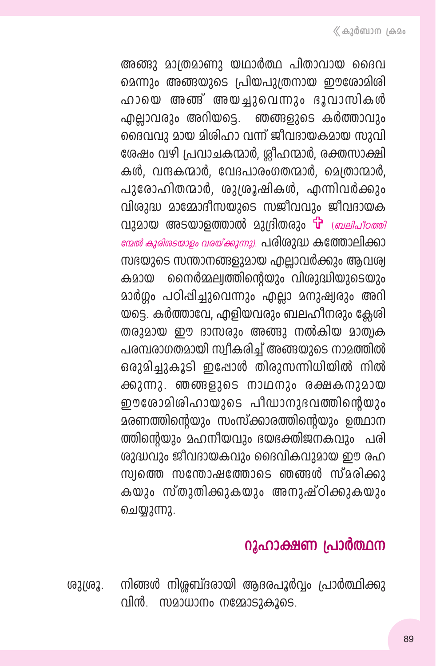അങ്ങു മാത്രമാണു യഥാർത്ഥ പിതാവായ ദൈവ മെന്നും അങ്ങയുടെ പ്രിയപുത്രനായ ഈരോമിശി ഹായെ അഞ്ഞ് അയച്ചുവെന്നും ഭൂവാസികൾ ഹ<u>ി</u>ലാവരും അറിയടെ. ഞങ്ങളുടെ കർത്താവും ദൈവവു മായ മിശിഹാ വന്ന് ജീവദായകമായ സുവി ശേഷം വഴി പ്രവാചകന്മാർ, ര്ലീഹന്മാർ, രക്തസാക്ഷി കൾ. വന്ദകന്മാർ. വേദപാരംഗതന്മാർ, മെത്രാന്മാർ, പുരോഹിതന്മാർ, ശുശ്രൂഷികൾ, എന്നിവർക്കും വിശുദ്ധ മാമ്മോദീസയുടെ സജീവവും ജീവദായക വുമായ അടയാളത്താൽ മുദ്രിതരും <sup>പ്പൂ</sup> ബ്ര*ലിപ്പിറത്തി* മേൽ കുരിരടയാളം വരയ്ക്കുന്നു). പരിശുദ്ധ കത്തോലിക്കാ സഭയുടെ സന്താനങ്ങളുമായ എല്ലാവർക്കും ആവശ്വ കമായ നൈർമ്മല്വത്തിന്റെയും വിശുദ്ധിയുടെയും മാർഗ്ഗം പഠിപ്പിച്ചുവെന്നും എല്ലാ മനുഷ്വരും അറി യട്ടെ. കർത്താവേ, എളിയവരും ബലഹീനരും ക്ലേശി തരുമായ ഈ ദാസരും അങ്ങു നൽകിയ മാത്വക പരമ്പരാഗതമായി സ്വീകരിച്ച് അങ്ങയുടെ നാമത്തിൽ ഒരുമിച്ചുകൂടി ഇപ്പോൾ തിരുസന്നിധിയിൽ നിൽ ക്കുന്നു. ഞങ്ങളുടെ നാഥനും രക്ഷകനുമായ ഈരോമിശിഹായുടെ പീഡാനുഭവത്തിന്റെയും മരണത്തിന്റെയും സംസ്ക്കാരത്തിന്റെയും ഉത്ഥാന ത്തിന്റെയും മഹനീയവും ഭയഭക്തിജനകവും പരി ശുദ്ധവും ജീവദായകവും ദൈവികവുമായ ഈ രഹ സ്വത്തെ സന്തോഷത്തോടെ ഞങ്ങൾ സ്മരിക്കു കയും സ്തുതിക്കുകയും അനുഷ്ഠിക്കുകയും ചെയ്യുന്നു.

# റൂഹാക്ഷണ പ്രാർത്ഥന

നിങ്ങൾ നിശ്ശബ്ദരായി ആദരപൂർവ്വം പ്രാർത്ഥിക്കു ശുശ്രൂ. വിൻ. സമാധാനം നമ്മോടുകൂടെ.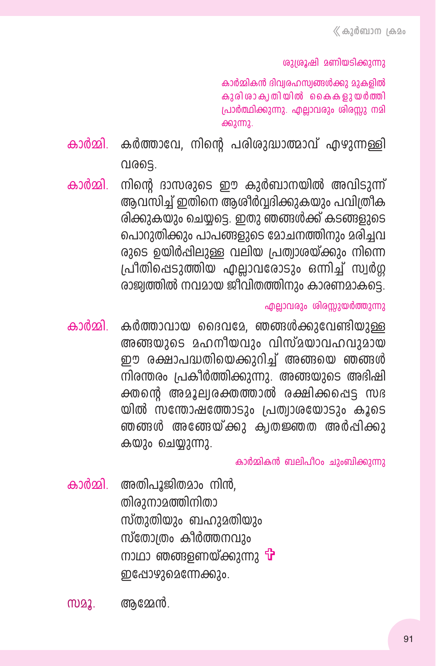ശുശ്രൂഷി മണിയടിക്കുന്നു

കാർമ്മികൻ ദിവ്വരഹസ്വങ്ങൾക്കു മുകളിൽ കുരി രാക്വതിയിൽ കൈകളുയർത്തി പ്രാർത്ഥിക്കുന്നു. എല്ലാവരും ശിരസ്സു നമി ക്കുന്നു.

കാർമ്മി. കർത്താവേ, നിന്റെ പരിശുദ്ധാത്മാവ് എഴുന്നള്ളി വരടെ.

കാർമ്മി. നിന്റെ ദാസരുടെ ഈ കുർബാനയിൽ അവിടുന്ന് ആവസിച്ച് ഇതിനെ ആശീർവദിക്കുകയും പവിത്രീക രിക്കുകയും ചെയ്യടെ. ഇതു ഞങ്ങൾക്ക് കടങ്ങളുടെ പൊറുതിക്കും പാപങ്ങളുടെ മോചനത്തിനും മരിചവ രുടെ ഉയിർപ്പിലുള്ള വലിയ പ്രത്വാരയ്ക്കും നിന്നെ പ്രീതിപ്പെടുത്തിയ എല്ലാവരോടും ഒന്നിച്ച് സ്വർഗ്ഗ രാജ്വത്തിൽ നവമായ ജീവിതത്തിനും കാരണമാകട്ടെ.

എല്ലാവരും ശിരസ്സുയർത്തുന്നു

കാർമ്മി കർത്താവായ ദൈവമേ, ഞങ്ങൾക്കുവേണ്ടിയുള്ള അങ്ങയുടെ മഹനീയവും വിസ്മയാവഹവുമായ ഈ രക്ഷാപദ്ധതിയെക്കുറിച്ച് അങ്ങയെ ഞങ്ങൾ നിരന്തരം പ്രകീർത്തിക്കുന്നു. അങ്ങയുടെ അഭിഷി ക്തന്റെ അമൂല്വരക്തത്താൽ രക്ഷിക്കപ്പെട്ട സഭ യിൽ സന്തോഷത്തോടും പ്രത്വാശയോടും കൂടെ ഞങ്ങൾ അങ്ങേയ്ക്കു ക്വതജ്ഞത അർപ്പിക്കു കയും ചെയ്യുന്നു.

കാർമ്മികൻ ബലിപീഠം ചുംബിക്കുന്നു

കാർമ്മി. അതിപൂജിതമാം നിൻ, തിരുനാമത്തിനിതാ സ്തുതിയും ബഹുമതിയും സ്തോത്രം കീർത്തനവും നാഥാ ഞങ്ങളണയ്ക്കുന്നു **പ്പ്** ഇപ്പോഴുമെന്നേക്കും.

**MD22.** അമ്മേൻ.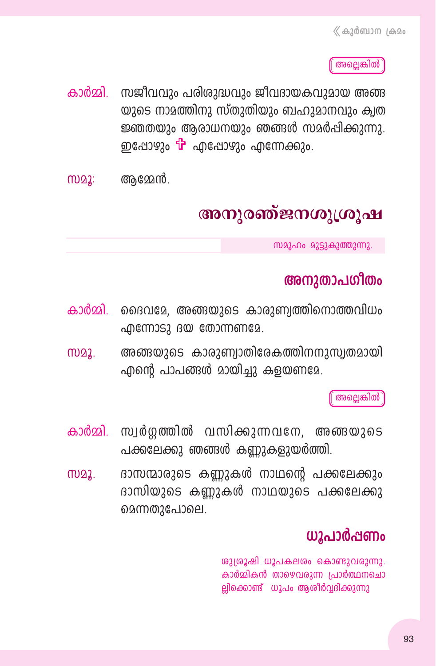അല്ലെങ്കിൽ

കാർമ്മി. സജീവവും പരിരുദ്ധവും ജീവദായകവുമായ അങ്ങ യുടെ നാമത്തിനു സ്തുതിയും ബഹുമാനവും ക്വത ജ്ഞതയും ആരാധനയും ഞങ്ങൾ സമർപ്പിക്കുന്നു. ഇപ്പോഴും **பு** എപ്പോഴും എന്നേക്കും.

ആമ്മേൻ. M22:

# അനുരഞ്ജനശുശ്രൂഷ

സമൂഹം മുട്ടുകുത്തുന്നു.

### അനുതാപഗിതം

- കാർമ്മി. ദൈവമേ, അങ്ങയുടെ കാരുണ്വത്തിനൊത്തവിധം  $\alpha$ മന്നോടു ദയ തോന്നണമേ.
- അങ്ങയുടെ കാരുണ്വാതിരേകത്തിനനുസ്വതമായി m)22. എന്റെ പാപങ്ങൾ മായിച്ചു കളയണമേ.

അല്ലെങ്കിൽ

- കാർമ്മി. സ്വർഗ്ഗത്തിൽ വസിക്കുന്നവനേ, അങ്ങയുടെ പക്കലേക്കു ഞങ്ങൾ കണ്ണുകളുയർത്തി.
- ദാസന്മാരുടെ കണ്ണുകൾ നാഥന്റെ പക്കലേക്കും M22. ദാസിയുടെ കണ്ണുകൾ നാഥയുടെ പക്കലേക്കു മെന്നതുപോലെ.

### ധൂപാർപ്പണം

ശുശ്രൂഷി ധൂപകലശം കൊണ്ടുവരുന്നു. കാർമ്മികൻ താഴെവരുന്ന പ്രാർത്ഥനചൊ ല്പിക്കൊണ്ട് ധൂപം ആശിർവ്വദിക്കുന്നു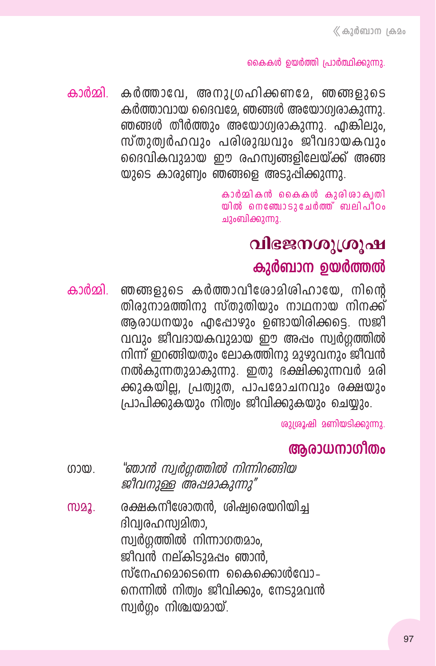#### കൈകൾ ഉയർത്തി പ്രാർത്ഥിക്കുന്നു.

കാർമ്മി കർത്താവേ, അനുഗ്രഹിക്കണമേ, ഞങ്ങളുടെ കർത്താവായ ദൈവമേ. ഞങ്ങൾ അയോഗ്വരാകുന്നു. ഞങ്ങൾ തീർത്തും അയോഗ്വരാകുന്നു. എങ്കിലും, സ്തുത്വർഹവും പരിശുദ്ധവും ജീവദായകവും ദൈവികവുമായ ഈ രഹസ്വങ്ങളിലേയ്ക്ക് അങ്ങ യുടെ കാരുണ്വം ഞങ്ങളെ അടുപ്പിക്കുന്നു.

> കാർമ്മികൻ കൈകൾ കുരിശാക്വതി യിൽ നെഞ്ചോടുചേർത്ത് ബലിപീഠം ചുംബിക്കുന്നു.

### വിഭജനശുശ്രൂഷ

### കുർബാന ഉയർത്തൽ

ഞങ്ങളുടെ കർത്താവീരോമിശിഹായേ, നിന്റെ കാർമ്മി. തിരാനാമത്തിനാ സ്താതിയും നാഥനായ നിനക്ക് ആരാധനയും എപ്പോഴും ഉണ്ടായിരിക്കട്ടെ. സജീ വവും ജീവദായകവുമായ ഈ അപ്പം സ്വർഗ്ഗത്തിൽ നിന്ന് ഇറങ്ങിയതും ലോകത്തിനു മുഴുവനും ജീവൻ നൽകുന്നതുമാകുന്നു. ഇതു ഭക്ഷിക്കുന്നവർ മരി ക്കുകയില്ല, പ്രത്യുത, പാപമോചനവും രക്ഷയും പ്രാപിക്കുകയും നിത്വം ജീവിക്കുകയും ചെയ്യും.

ശുശ്രൂഷി മണിയടിക്കുന്നു.

### ആരാധനാഗീതം

- "ഞാൻ സ്വർഗ്ഗത്തിൽ നിന്നിറങ്ങിയ  $(0.00)$ ജീവനുള്ള അപ്പമാകുന്നു"
- രക്ഷകനീരോതൻ, ശിഷ്വരെയറിയിച്ച MQ2. ദിവ്വരഹസ്വമിതാ, സ്വർഗ്ഗത്തിൽ നിന്നാഗതമാം. ജീവൻ നല്കിടുമഷം ഞാൻ, സ്നേഹമൊടെന്നെ കൈക്കൊൾവോ– നെന്നിൽ നിത്വം ജീവിക്കും, നേടുമവൻ സ്വർഗ്ഗം നിശ്ചയമായ്.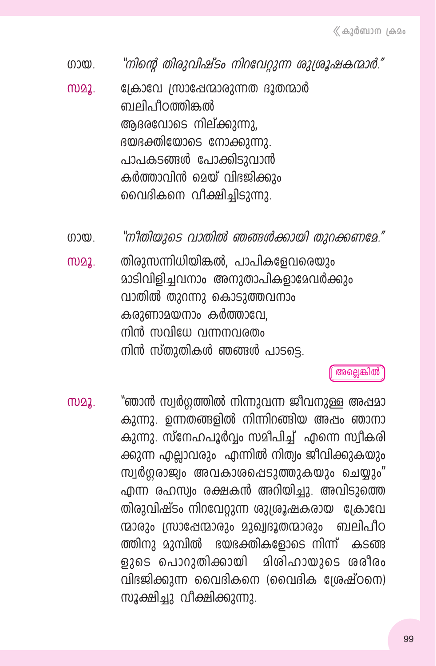"നിന്റെ തിരുവിഷ്ടം നിറവേറുന്ന ശുശ്രൂഷകന്മാർ." നായ

ക്രോവേ സ്രാഷേന്മാരുന്നത ദൂതന്മാർ ma2. ബലിപീറത്തിങ്കൽ അദരവോടെ നില്ക്കുന്നു. ഭയഭക്തിയോടെ നോക്കുന്നു. പാപകടങ്ങൾ പോക്കിടുവാൻ കർത്താവിൻ മെയ് വിഭജിക്കും വൈദികനെ വീക്ഷിച്ചിടുന്നു.

"നിതിയുടെ വാതിൽ ഞങ്ങൾക്കായി തുറക്കണമേ."  $(0.00)$ 

തിരുസന്നിധിയിങ്കൽ, പാപികളേവരെയും **MD22.** മാടിവിളിച്ചവനാം അനുതാപികളാമേവർക്കും വാതിൽ തുറന്നു കൊടുത്തവനാം കരുണാമയനാം കർത്താവേ. നിൻ സവിധേ വന്നനവരതം നിൻ സ്തുതികൾ ഞങ്ങൾ പാടടെ.

അല്ലെങ്കിൽ

"ഞാൻ സ്വർഗ്ഗത്തിൽ നിന്നുവന്ന ജീവനുള്ള അഷമാ MD22. കുന്നു. ഉന്നതങ്ങളിൽ നിന്നിറങ്ങിയ അഷം ഞാനാ കുന്നു. സ്നേഹപൂർവ്വം സമീപിച്ച് എന്നെ സ്വീകരി ക്കുന്ന എലാവരും എന്നിൽ നിത്വം ജീവിക്കുകയും സ്വർഗ്ഗരാജ്വം അവകാശപ്പെടുത്തുകയും ചെയ്യും" എന്ന രഹസ്വം രക്ഷകൻ അറിയിച്ചു. അവിടുത്തെ തിരുവിഷ്ടം നിറവേറ്റുന്ന ശുശ്രൂഷകരായ ക്രോവേ ന്മാരും സ്രാഷേന്മാരും മുഖ്വദൂതന്മാരും ബലിപീഠ ത്തിനു മുമ്പിൽ ഭയഭക്തികളോടെ നിന്ന് കടങ്ങ ളുടെ പൊറുതിക്കായി മിശിഹായുടെ ശരീരം വിഭജിക്കുന്ന വൈദികനെ (വൈദിക ശ്രേഷ്ഠനെ) സൂക്ഷിച്ചു വീക്ഷിക്കുന്നു.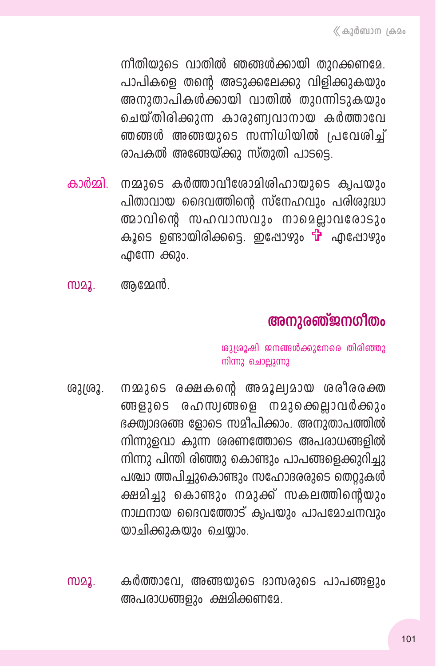നീതിയുടെ വാതിൽ ഞങ്ങൾക്കായി തുറക്കണമേ. പാപികളെ തന്റെ അടുക്കലേക്കു വിളിക്കുകയും അനുതാപികൾക്കായി വാതിൽ തുറന്നിടുകയും ചെയ്തിരിക്കുന്ന കാരുണ്വവാനായ കർത്താവേ ഞങ്ങൾ അങ്ങയുടെ സന്നിധിയിൽ പ്രവേശിച്ച് രാപകൽ അഞ്ഞേയ്ക്കു സ്തുതി പാടടെ.

- കാർമ്മി. നമ്മുടെ കർത്താവീരോമിശിഹായുടെ ക്വപയും പിതാവായ ദൈവത്തിന്റെ സ്നേഹവും പരിശുദ്ധാ ത്മാവിന്റെ സഹവാസവും നാമെല്ലാവരോടും കൂടെ ഉണ്ടായിരിക്കട്ടെ. ഇപ്പോഴും <sup>പ്പ</sup> എപ്പോഴും എന്നേ ക്കും.
- അമ്മേൻ. (TV22.

### അനുരഞ്ജനഗീതം

ശുശ്രൂഷി ജനങ്ങൾക്കുനേരെ തിരിഞ്ഞു നിന്നു ചൊല്ലുന്നു

- നമ്മുടെ രക്ഷകന്റെ അമൂല്യമായ ശരീരരക്ത ശുശ്രൂ. ങ്ങളുടെ രഹസ്വങ്ങളെ നമുക്കെല്ലാവർക്കും ഭക്ത്വാദരങ്ങ ളോടെ സമീപിക്കാം. അനുതാപത്തിൽ നിന്നുളവാ കുന്ന ശരണത്തോടെ അപരാധങ്ങളിൽ നിന്നു പിന്തി രിഞ്ഞു കൊണ്ടും പാപങ്ങളെക്കുറിച്ചു പശ്ചാ ത്തപിച്ചുകൊണ്ടും സഹോദരരുടെ തെറ്റുകൾ ക്ഷമിച്ചു കൊണ്ടും നമുക്ക് സകലത്തിന്റെയും നാഥനായ ദൈവത്തോട് ക്വപയും പാപമോചനവും യാചിക്കുകയും ചെയ്യാം.
- കർത്താവേ, അങ്ങയുടെ ദാസരുടെ പാപങ്ങളും **MD22.** അപരാധങ്ങളും ക്ഷമിക്കണമേ.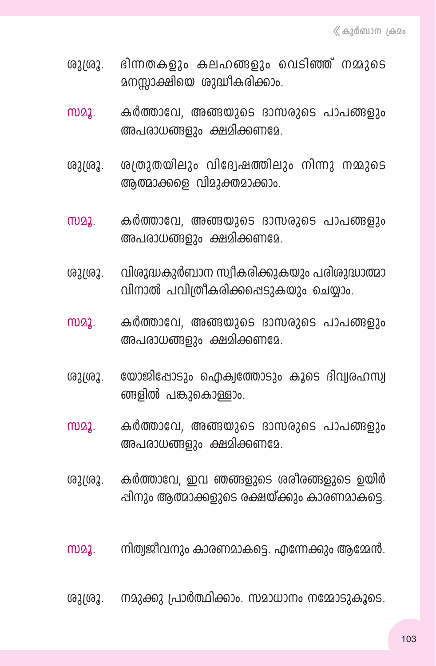- ദിന്നതകളും കലഹങ്ങളും വെടിഞ്ഞ് നമ്മുടെ (621(62. മനസ്സാക്ഷിയെ ശുദ്ധീകരിക്കാം.
- $m22.$ കർത്താവേ, അങ്ങയുടെ ദാസരുടെ പാപങ്ങളും അപരാധങ്ങളും ക്ഷമിക്കണമേ.
- ശത്രുതയിലും വിദ്വേഷത്തിലും നിന്നു നമ്മുടെ ശുശ്രൂ. അത്മാക്കളെ വിമുക്തമാക്കാം.
- കർത്താവേ, അങ്ങയുടെ ദാസരുടെ പാപങ്ങളും  $M<sub>2</sub>$ അപരാധങ്ങളും ക്ഷമിക്കണമേ.
- വിശുദ്ധകുർബാന സ്വീകരിക്കുകയും പരിശുദ്ധാത്മാ ശുശ്രൂ. വിനാൽ പവിത്രീകരിക്കപ്പെടുകയും ചെയ്യാം.
- **MD22.** കർത്താവേ, അങ്ങയുടെ ദാസരുടെ പാപങ്ങളും അപരാധങ്ങളും ക്ഷമിക്കണമേ.
- യോജിപ്പോടും ഐക്വത്തോടും കൂടെ ദിവ്വരഹസ്വ ശുശ്രൂ. ങ്ങളിൽ പങ്കുകൊള്ളാം.
- **MD22.** കർത്താവേ, അങ്ങയുടെ ദാസരുടെ പാപങ്ങളും അപരാധങ്ങളും ക്ഷമിക്കണമേ.
- കർത്താവേ, ഇവ ഞങ്ങളുടെ ശരീരങ്ങളുടെ ഉയിർ ശുശ്രൂ. പ്പിനും ആത്മാക്കളുടെ രക്ഷയ്ക്കും കാരണമാകട്ടെ.
- നിത്വജീവനും കാരണമാകട്ടെ. എന്നേക്കും ആമ്മേൻ. M22.
- നമുക്കു പ്രാർത്ഥിക്കാം. സമാധാനം നമ്മോടുകൂടെ. ശുശ്രൂ.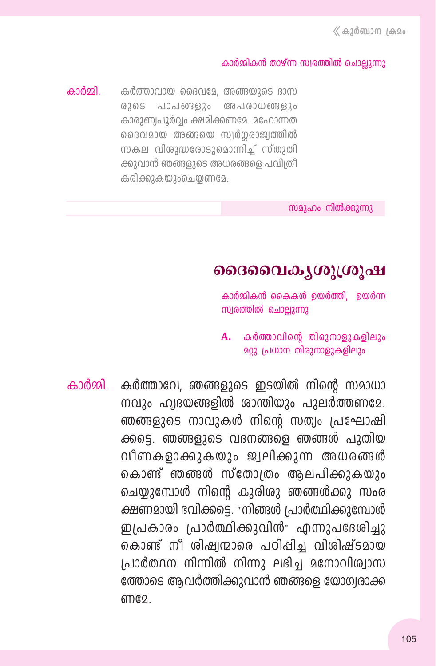#### കാർമ്മികൻ താഴ്ന്ന സ്വരത്തിൽ ചൊലുന്നു

കാർമ്മി കർത്താവായ ദൈവമേ, അങ്ങയുടെ ദാസ രുടെ പാപങ്ങളും അപരാധങ്ങളും കാരാണ്വപൂർവം ക്ഷമിക്കണമേ. മഹോന്നത ദൈവമായ അങ്ങയെ സ്വർഗരാജ്വത്തിൽ സകല വിശുദ്ധരോടുമൊന്നിച്ച് സ്തുതി ക്കുവാൻ ഞങ്ങളുടെ അധരങ്ങളെ പവിത്രീ കരിക്കുകയുംചെയ്യണമേ.

സമൂഹം നിൽക്കുന്നു

### ദൈവൈക്യശുശ്രൂഷ

കാർമ്മികൻ കൈകൾ ഉയർത്തി, ഉയർന്ന സ്വരത്തിൽ ചൊല്ലുന്നു

 $A.$  കർത്താവിന്റെ തിരുനാളുകളിലും **മറ്റു പ്രധാന തിരുനാളുകളിലും** 

കാർമ്മി. കർത്താവേ, ഞങ്ങളുടെ ഇടയിൽ നിന്റെ സമാധാ നവും ഹ്വദയങ്ങളിൽ ശാന്തിയും പുലർത്തണമേ. ഞങ്ങളുടെ നാവുകൾ നിന്റെ സത്വം പ്രഘോഷി ക്കട്ടെ. ഞങ്ങളുടെ വദനങ്ങളെ ഞങ്ങൾ പുതിയ വീണകളാക്കുകയും ജ്വലിക്കുന്ന അധരങ്ങൾ കൊണ്ട് ഞങ്ങൾ സ്തോത്രം ആലപിക്കുകയും ചെയ്യുമ്പോൾ നിന്റെ കുരിശു ഞങ്ങൾക്കു സംര ക്ഷണമായി ദവിക്കട്ടെ. "നിങ്ങൾ പ്രാർത്ഥിക്കുമ്പോൾ ഇപ്രകാരം പ്രാർത്ഥിക്കുവിൻ" എന്നുപദേശിച്ചു കൊണ്ട് നീ ശിഷ്വന്മാരെ പഠിപ്പിച്ച വിശിഷ്ടമായ പ്രാർത്ഥന നിന്നിൽ നിന്നു ലഭിച്ച മനോവിശ്വാസ ത്തോടെ ആവർത്തിക്കുവാൻ ഞങ്ങളെ യോഗ്വരാക്ക ണദേ.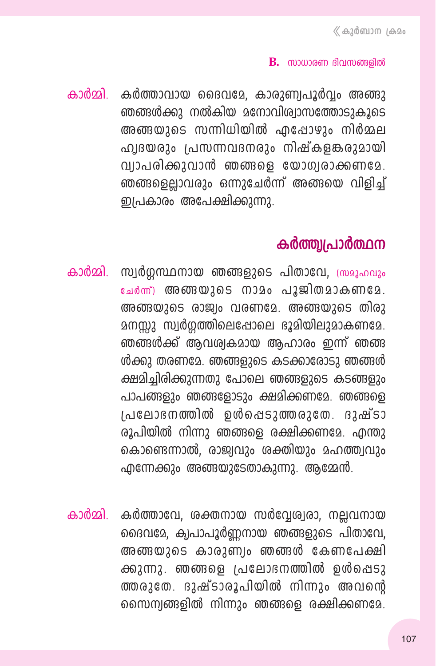#### $\bf{B}$ . സാധാരണ ദിവസങ്ങളിൽ

കാർമ്മി. കർത്താവായ ദൈവമേ, കാരുണ്വപൂർവ്വം അങ്ങു ഞങ്ങൾക്കു നൽകിയ മനോവിശ്വാസത്തോടുകൂടെ അങ്ങയാടെ സന്നിധിയിൽ എപ്പോഴും നിർമ്മല ഹ്വദയരും പ്രസന്നവദനരും നിഷ്കളങ്കരുമായി വ്വാപരിക്കുവാൻ ഞങ്ങളെ യോഗ്വരാക്കണമേ. ഞങ്ങളെല്ലാവരും ഒന്നുചേർന്ന് അങ്ങയെ വിളിച് ഇപ്രകാരം അപേക്ഷിക്കുന്നു.

### കർത്ത്വപ്രാർത്ഥന

- കാർമ്മി. സ്വർഗ്ഗസ്ഥനായ ഞങ്ങളുടെ പിതാവേ, ത്രമൂഹവും ചേർന്ന് അങ്ങയുടെ നാമം പൂജിതമാകണമേ. അങ്ങയുടെ രാജ്വം വരണമേ. അങ്ങയുടെ തിരു മനസ്സു സ്വർഗ്ഗത്തിലെപ്പോലെ ഭൂമിയിലുമാകണമേ. ഞങ്ങൾക്ക് ആവശ്വകമായ ആഹാരം ഇന്ന് ഞങ്ങ ൾക്കു തരണമേ. ഞങ്ങളുടെ കടക്കാരോടു ഞങ്ങൾ ക്ഷമിച്ചിരിക്കുന്നതു പോലെ ഞങ്ങളുടെ കടങ്ങളും പാപങ്ങളും ഞങ്ങളോടും ക്ഷമിക്കണമേ. ഞങ്ങളെ । പലോദനത്തിൽ ഉൾപ്പെടുത്തരുതേ. ദുഷ്ടാ രൂപിയിൽ നിന്നു ഞങ്ങളെ രക്ഷിക്കണമേ. എന്തു കൊണ്ടെന്നാൽ, രാജ്വവും ശക്തിയും മഹത്ത്വവും എന്നേക്കും അങ്ങയുടേതാകുന്നു. ആമ്മേൻ.
- കാർമ്മി. കർത്താവേ, ശക്തനായ സർവേശ്വരാ, നലവനായ ദൈവമേ, ക്വപാപൂർണനായ ഞങ്ങളുടെ പിതാവേ, അങ്ങയുടെ കാരുണ്വം ഞങ്ങൾ കേണപേക്ഷി ക്കുന്നു. ഞങ്ങളെ പ്രലോഭനത്തിൽ ഉൾപ്പെടു ത്തരുതേ. ദുഷ്ടാരൂപിയിൽ നിന്നും അവന്റെ സൈന്വങ്ങളിൽ നിന്നും ഞങ്ങളെ രക്ഷിക്കണമേ.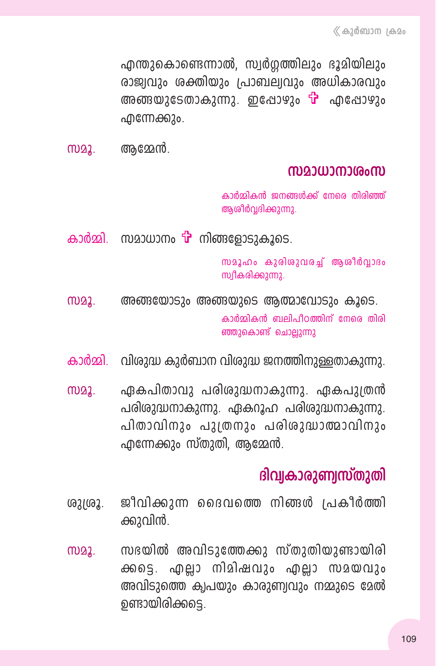എന്തുകൊണ്ടെന്നാൽ, സ്വർഗ്ഗത്തിലും ഭൂമിയിലും രാജ്വവും ശക്തിയും പ്രാബല്വവും അധികാരവും അങ്ങയുടേതാകുന്നു. ഇപ്പോഴും <del>പ്പ</del>ു എപ്പോഴും ൶൬൙ഩ൶

അമ്മേൻ. M22.

### സമാധാനാശംസ

കാർമ്മികൻ ജനങ്ങൾക്ക് നേരെ തിരിഞ്ഞ് ആശീർവ്വദിക്കുന്നു.

കാർമ്മി. സമാധാനം **പ്പി** നിങ്ങളോടാകാടെ.

സമൂഹം കുരിശുവരച്ച് ആശീർവാദം സ്വീകരിക്കുന്നു.

- അങ്ങയോടും അങ്ങയുടെ ആത്മാവോടും കൂടെ. M22. കാർമ്മികൻ ബലിപീഠത്തിന് നേരെ തിരി ഞ്ഞുകൊണ്ട് ചൊല്ലുന്നു
- കാർമ്മി. സിരുദ്ധ കുർബാന വിരുദ്ധ ജനത്തിനുള്ളതാകുന്നു.
- ഏകപിതാവു പരിശുദ്ധനാകുന്നു. ഏകപുത്രൻ M22. പരിരുദ്ധനാകുന്നു. ഏകറൂഹ പരിരുദ്ധനാകുന്നു. പിതാവിനും പുത്രനും പരിശുദ്ധാത്മാവിനും എന്നേക്കും സ്തുതി, ആമ്മേൻ.

# ദിവ്വകാരുണ്വസ്തുതി

- ജീവിക്കുന്ന ദൈവത്തെ നിങ്ങൾ പ്രകീർത്തി ശുശൂ. ക്കുവിൻ.
- സഭയിൽ അവിടുത്തേക്കു സ്തുതിയുണ്ടായിരി M22. ക്കടെ. എല്ലാ നിമിഷവും എല്ലാ സമയവും അവിടുത്തെ ക്വപയും കാരുണ്വവും നമ്മുടെ മേൽ ഉണ്ടായിരിക്കട്ടെ.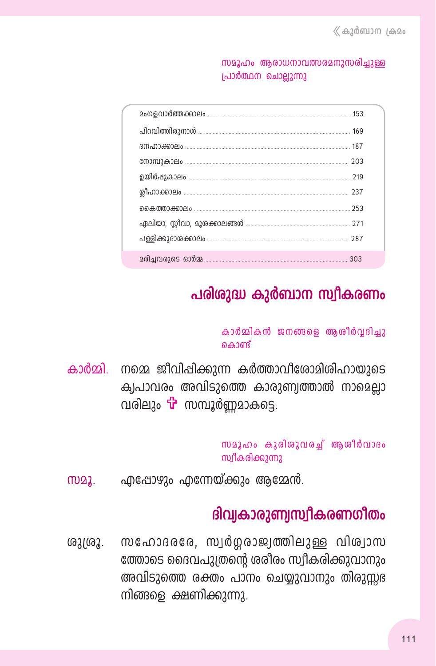സമൂഹം ആരാധനാവത്സരമനുസരിച്ചുള്ള പ്രാർത്ഥന ചൊല്ലുന്നു

|  | 203 |  |
|--|-----|--|
|  | 219 |  |
|  | 237 |  |
|  | 253 |  |
|  |     |  |
|  |     |  |
|  | 303 |  |

# പരിശുദ്ധ കുർബാന സ്വീകരണം

#### കാർമ്മികൻ ജനങ്ങളെ ആശീർവ്വദിച്ചു കൊണ്ട്

കാർമ്മി. നമ്മെ ജീവിപ്പിക്കുന്ന കർത്താവീശോമിശിഹായുടെ ക്വപാവരം അവിടുത്തെ കാരുണ്വത്താൽ നാമെല്ലാ വരിലും **പ്പ്** സമ്പൂർണമാകടെ.

```
സമൂഹം കുരിശുവരച്ച് ആശീർവാദം
സ്വീകരിക്കുന്നു
```
എപ്പോഴും എന്നേയ്ക്കും ആമ്മേൻ.  $\omega_{2}$ 

# ദിവ്യകാരുണ്വസ്വീകരണഗീതം

സഹോദരരേ, സ്വർഗ്ഗരാജ്വത്തിലുള്ള വിശ്വാസ ശുശ്രൂ. ത്തോടെ ദൈവപുത്രന്റെ ശരീരം സ്വീകരിക്കുവാനും അവിടുത്തെ രക്തം പാനം ചെയ്യുവാനും തിരുസ്സഭ നിങ്ങളെ ക്ഷണിക്കുന്നു.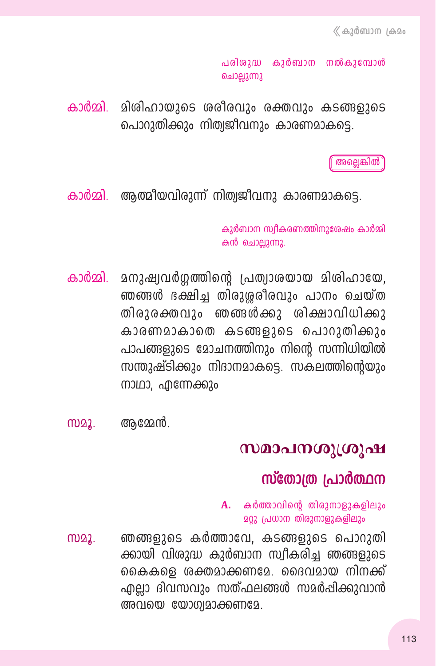പരിശുദ്ധ കുർബാന നൽകുമ്പോൾ ചൊല്ലുന്നു

കാർമ്മി. മിശിഹായുടെ ശരീരവും രക്തവും കടങ്ങളുടെ പൊറുതിക്കും നിത്വജീവനും കാരണമാകടെ.

അലെങ്കിൽ

കാർമ്മി. ആത്മീയവിരുന്ന് നിത്വജീവനു കാരണമാകട്ടെ.

കുർബാന സ്വീകരണത്തിനുശേഷം കാർമ്മി കൻ ചൊല്ലുന്നു.

- കാർമ്മി മനുഷ്വവർഗ്ഗത്തിന്റെ പ്രത്വാശയായ മിശിഹായേ, ഞങ്ങൾ ഭക്ഷിച്ച തിരുശ്ശരീരവും പാനം ചെയ്ത തിരുരക്തവും ഞങ്ങൾക്കു ശിക്ഷാവിധിക്കു കാരണമാകാതെ കടങ്ങളുടെ പൊറുതിക്കും പാപങ്ങളുടെ മോചനത്തിനും നിന്റെ സന്നിധിയിൽ സന്തുഷ്ടിക്കും നിദാനമാകട്ടെ. സകലത്തിന്റെയും നാഥാ, എന്നേക്കും
- അമേൻ. M22.

### സമാപനശുശ്രൂഷ

### സ്തോത്ര പ്രാർത്ഥന

 $A.$  കർത്താവിന്റെ തിരുനാളുകളിലും **മറ്റു പ്രധാന തിരുനാളുകളിലും** 

ഞങ്ങളുടെ കർത്താവേ, കടങ്ങളുടെ പൊറുതി M22. ക്കായി വിശുദ്ധ കുർബാന സ്വീകരിച്ച ഞങ്ങളുടെ കൈകളെ ശക്തമാക്കണമേ. ദൈവമായ നിനക്ക് എല്ലാ ദിവസവും സത്ഫലങ്ങൾ സമർപ്പിക്കുവാൻ അവയെ യോഗ്വമാക്കണമേ.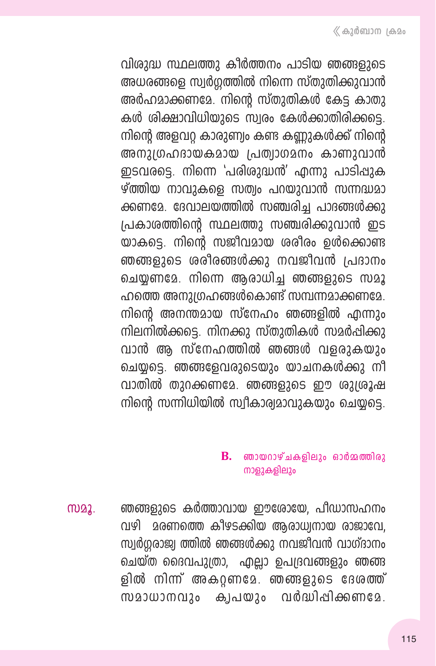വിശുദ്ധ സ്ഥലത്തു കീർത്തനം പാടിയ ഞങ്ങളുടെ അധരങ്ങളെ സ്വർഗ്ഗത്തിൽ നിന്നെ സ്തുതിക്കുവാൻ അർഹമാക്കണമേ. നിന്റെ സ്തുതികൾ കേട്ട കാതു കൾ ശിക്ഷാവിധിയുടെ സ്വരം കേൾക്കാതിരിക്കടെ. നിന്റെ അളവറ് കാരുണ്വം കണ്ട കണ്ണുകൾക്ക് നിന്റെ അനുദ്രഹദായകമായ പ്രത്വാഗമനം കാണുവാൻ ഇടവരട്ടെ. നിന്നെ 'പരിശുദ്ധൻ' എന്നു പാടിപ്പുക ഴ്ത്തിയ നാവുകളെ സത്വം പറയുവാൻ സന്നദ്ധമാ ക്കണമേ. ദേവാലയത്തിൽ സഞ്ചരിച്ച പാദങ്ങൾക്കു പ്രകാശത്തിന്റെ സ്ഥലത്തു സഞ്ചരിക്കുവാൻ ഇട യാകട്ടെ. നിന്റെ സജീവമായ ശരീരം ഉൾക്കൊണ്ട ഞങ്ങളുടെ ശരീരങ്ങൾക്കു നവജീവൻ പ്രദാനം ചെയണമേ. നിന്നെ അരാധിച ഞങ്ങളുടെ സമൂ ഹത്തെ അനുഗ്രഹങ്ങൾകൊണ്ട് സമ്പന്നമാക്കണമേ. നിന്റെ അനന്തമായ സ്നേഹം ഞങ്ങളിൽ എന്നും നിലനിൽക്കട്ടെ. നിനക്കു സ്തുതികൾ സമർപ്പിക്കു വാൻ ആ സ്നേഹത്തിൽ ഞങ്ങൾ വളരുകയും ചെയ്യടെ. ഞങ്ങളേവരുടെയും യാചനകൾക്കു നീ വാതിൽ തുറക്കണമേ. ഞങ്ങളുടെ ഈ ശുശ്രൂഷ നിന്റെ സന്നിധിയിൽ സ്വീകാര്യമാവുകയും ചെയ്യട്ടെ.

### $\mathbf{B}$ . ഞായറാഴ്ചകളിലും ഓർമ്മത്തിരു നാളുകളിലും

ഞങ്ങളുടെ കർത്താവായ ഈശോയേ, പീഡാസഹനം M22. വഴി മരണത്തെ കീഴടക്കിയ ആരാധ്വനായ രാജാവേ, സ്വർഗ്ഗരാജ്വ ത്തിൽ ഞങ്ങൾക്കു നവജീവൻ വാഗ്ദാനം ചെയ്ത ദൈവപുത്രാ, എല്ലാ ഉപദ്രവങ്ങളും ഞങ്ങ ളിൽ നിന്ന് അകറ്റണമേ. ഞങ്ങളുടെ ദേശത്ത് സമാധാനവും ക്വപയും വർദ്ധിപ്പിക്കണമേ.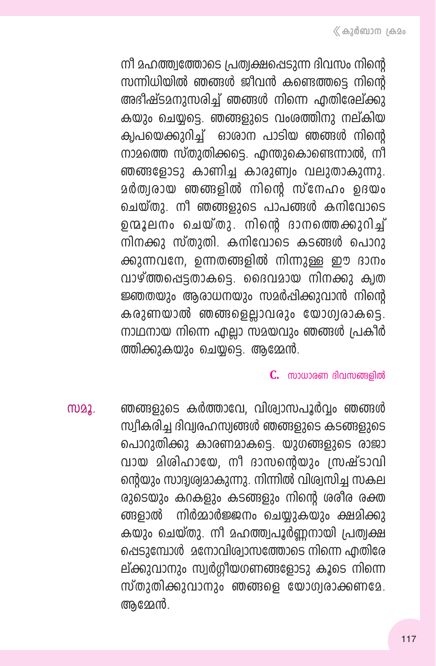നീ മഹത്ത്വത്തോടെ പ്രത്വക്ഷപ്പെടുന്ന ദിവസം നിന്റെ സന്നിധിയിൽ ഞങ്ങൾ ജീവൻ കണ്ടെത്തടെ നിന്റെ അഭിഷ്ടമനുസരിച്ച് ഞങ്ങൾ നിന്നെ എതിരേല്ക്കു കയും ചെയടെ. ഞങ്ങളുടെ വംശത്തിനു നല്കിയ ക്വപയെക്കുറിച്ച് ഓരാന പാടിയ ഞങ്ങൾ നിന്റെ നാമത്തെ സ്തുതിക്കടെ. എന്തുകൊണ്ടെന്നാൽ, നീ ഞങ്ങളോടു കാണിച്ച കാരുണ്വം വലുതാകുന്നു. മർത്വരായ ഞങ്ങളിൽ നിന്റെ സ്നേഹം ഉദയം ചെയ്തു. നീ ഞങ്ങളുടെ പാപങ്ങൾ കനിവോടെ ഉന്മൂലനം ചെയ്തു. നിന്റെ ദാനത്തെക്കുറിച് നിനക്കു സ്തുതി. കനിവോടെ കടങ്ങൾ പൊറു ക്കുന്നവനേ, ഉന്നതങ്ങളിൽ നിന്നുള്ള ഈ ദാനം വാഴ്ത്തപ്പെട്ടതാകടെ. ദൈവമായ നിനക്കു ക്വത ജ്ഞതയും ആരാധനയും സമർപ്പിക്കുവാൻ നിന്റെ കരുണയാൽ ഞങ്ങളെല്ലാവരും യോഗ്യരാകട്ടെ. നാഥനായ നിന്നെ എല്ലാ സമയവും ഞങ്ങൾ പ്രകീർ ത്തിക്കുകയും ചെയ്യടെ. ആമ്മേൻ.

#### $C$ , സാധാരണ ദിവസങ്ങരിൽ

ഞങ്ങളുടെ കർത്താവേ, വിശ്വാസപൂർവ്വം ഞങ്ങൾ M22. സ്വീകരിച്ച ദിവ്വരഹസ്വങ്ങൾ ഞങ്ങളുടെ കടങ്ങളുടെ പൊറുതിക്കു കാരണമാകടെ. യുഗങ്ങളുടെ രാജാ വായ മിശിഹായേ, നീ ദാസന്റെയും സ്രഷ്ടാവി ന്റെയും സാദ്വശ്വമാകുന്നു. നിന്നിൽ വിശ്വസിച്ച സകല രുടെയും കറകളും കടങ്ങളും നിന്റെ ശരീര രക്ത നിർമ്മാർജ്ജനം ചെയ്യുകയും ക്ഷമിക്കു ങ്ങളാൽ കയും ചെയ്തു. നീ മഹത്ത്വപൂർണ്ണനായി പ്രത്വക്ഷ ഷെടുമ്പോൾ മനോവിശ്വാസത്തോടെ നിന്നെ എതിരേ ല്ക്കുവാനും സ്വർഗ്ഗീയഗണങ്ങളോടു കൂടെ നിന്നെ സ്തുതിക്കുവാനും ഞങ്ങളെ യോഗ്വരാക്കണമേ. അമ്മേൻ.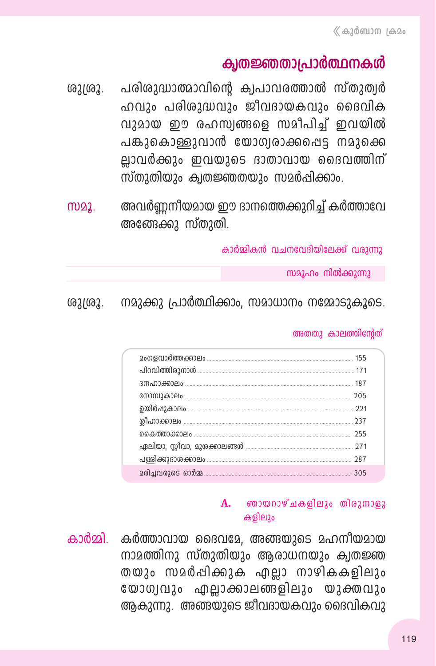### ക്വതജ്ഞതാപ്രാർത്ഥനകൾ

പരിശുദ്ധാത്മാവിന്റെ ക്വപാവരത്താൽ സ്തുത്വർ ശുശ്രൂ. ഹവും പരിശുദ്ധവും ജീവദായകവും ദൈവിക വുമായ ഈ രഹസ്വങ്ങളെ സമീപിച്ച് ഇവയിൽ പങ്കുകൊള്ളുവാൻ യോഗ്വരാക്കപ്പെട്ട നമുക്കെ ല്ലാവർക്കും ഇവയുടെ ദാതാവായ ദൈവത്തിന് സ്തുതിയും ക്വതജ്ഞതയും സമർപ്പിക്കാം.

അവർണ്ണനീയമായ ഈ ദാനത്തെക്കുറിച്ച് കർത്താവേ M22. അഞ്ങേക്കു സ്തുതി.

കാർമ്മികൻ വചനവേദിയിലേക്ക് വരാന്നാ

സമൂഹം നിൽക്കുന്നു

നമുക്കു പ്രാർത്ഥിക്കാം. സമാധാനം നമ്മോടുകൂടെ. ശുദ്രൂ.

#### അതതു കാലത്തിന്റേത്

| 305 |
|-----|

#### А. ഞായറാഴ്ചകളിലും തിരുനാളു കളിലും

കാർമ്മി. കർത്താവായ ദൈവമേ, അങ്ങയുടെ മഹനീയമായ നാമത്തിനു സ്തുതിയും ആരാധനയും ക്വതജ്ഞ തയും സമർപ്പിക്കുക എല്ലാ നാഴികകളിലും യോഗ്വവും എല്ലാക്കാലങ്ങളിലും യുക്തവും ആകുന്നു. അങ്ങയുടെ ജീവദായകവും ദൈവികവു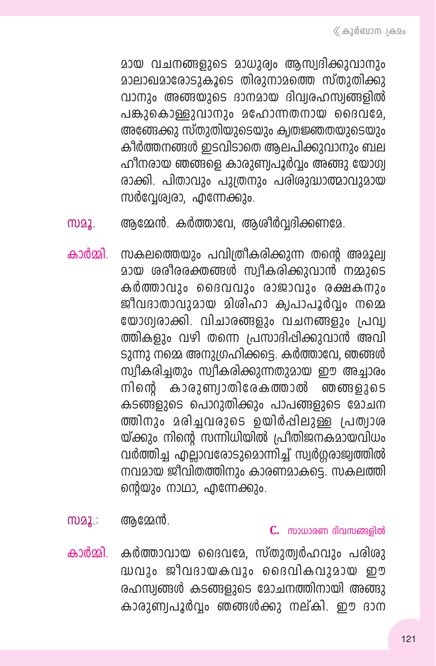മായ വചനങ്ങളുടെ മാധുര്വം അസ്വദിക്കുവാനും മാലാഖമാരോടാകൂടെ തിരാനാമത്തെ സ്താതിക്കു വാനും അങ്ങയുടെ ദാനമായ ദിവ്വരഹസ്വങ്ങളിൽ പങ്കാകൊള്ളാവാനാം മഹോന്നതനായ ദൈവമേ. അഞ്ങേക്കു സ്തുതിയുടെയും ക്വതജ്ഞതയുടെയും കീർത്തനങ്ങൾ ഇടവിടാതെ അലപിക്കുവാനും ബല ഹീനരായ ഞങ്ങളെ കാരുണ്വപൂർവ്വം അങ്ങു യോഗ്വ രാക്കി. പിതാവും പുത്രനും പരിശുദ്ധാത്മാവുമായ സർവ്വേശ്വരാ, എന്നേക്കും.

- ആമ്മേൻ. കർത്താവേ, ആശീർവ്വദിക്കണമേ. M22.
- സകലത്തെയും പവിത്രീകരിക്കുന്ന തന്റെ അമൂല്വ കാർമ്മി മായ ശരീരരക്തങ്ങൾ സ്വീകരിക്കുവാൻ നമ്മുടെ കർത്താവും ദൈവവും രാജാവും രക്ഷകനും ജീവദാതാവുമായ മിശിഹാ ക്വപാപൂർവ്വം നമ്മെ യോഗ്വരാക്കി. വിചാരങ്ങളും വചനങ്ങളും പ്രവ്വ ത്തികളും വഴി തന്നെ പ്രസാദിപ്പിക്കുവാൻ അവി ടുന്നു നമ്മെ അനുഗ്രഹിക്കട്ടെ. കർത്താവേ, ഞങ്ങൾ സ്വീകരിച്ചതും സ്വീകരിക്കുന്നതുമായ ഈ അച്ചാരം നിന്റെ കാരുണ്വാതിരേകത്താൽ ഞങ്ങളുടെ കടങ്ങളുടെ പൊറുതിക്കും പാപങ്ങളുടെ മോചന ത്തിനും മരിച്ചവരുടെ ഉയിർപ്പിലുള്ള പ്രത്വാശ യ്ക്കും നിന്റെ സന്നിധിയിൽ പ്രീതിജനകമായവിധം വർത്തിച്ച എല്ലാവരോടുമൊന്നിച്ച് സ്വർഗ്ഗരാജ്വത്തിൽ നവമായ ജീവിതത്തിനും കാരണമാകട്ടെ. സകലത്തി ന്റെയും നാഥാ, എന്നേക്കും.
- $m22$ : ആമ്മേൻ.

 $C.$  സാധാരണ ദിവസങ്ങളിൽ

കാർമ്മി. കർത്താവായ ദൈവമേ, സ്തുത്വർഹവും പരിശു ദ്ധവും ജീവദായകവും ദൈവികവുമായ ഈ രഹസ്വങ്ങൾ കടങ്ങളുടെ മോചനത്തിനായി അങ്ങു കാരുണ്വപൂർവ്വം ഞങ്ങൾക്കു നല്കി. ഈ ദാന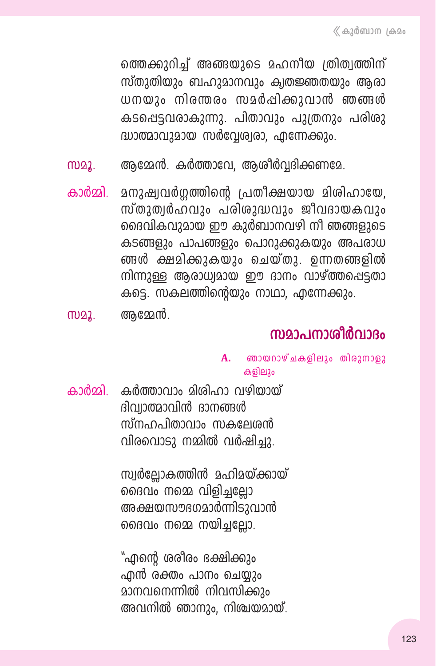ത്തെക്കുറിച്ച് അങ്ങയുടെ മഹനീയ ത്രിത്വത്തിന് സ്തുതിയും ബഹുമാനവും ക്വതജ്ഞതയും ആരാ ധനയും നിരന്തരം സമർപ്പിക്കുവാൻ ഞങ്ങൾ കടപ്പെട്ടവരാകുന്നു. പിതാവും പുത്രനും പരിരു ദ്ധാത്മാവുമായ സർവേശ്വരാ, എന്നേക്കും.

- ആമ്മേൻ. കർത്താവേ, ആശീർവ്വദിക്കണമേ. M22.
- കാർമ്മി മനുഷ്വവർഗ്ഗത്തിന്റെ പ്രതീക്ഷയായ മിശിഹായേ, സ്തുത്വർഹവും പരിശുദ്ധവും ജീവദായകവും ദൈവികവുമായ ഈ കുർബാനവഴി നീ ഞങ്ങളുടെ കടങ്ങളും പാപങ്ങളും പൊറുക്കുകയും അപരാധ ങ്ങൾ ക്ഷമിക്കുകയും ചെയ്തു. ഉന്നതങ്ങളിൽ നിന്നുള്ള ആരാധ്വമായ ഈ ദാനം വാഴ്ത്തപ്പെട്ടതാ കടെ. സകലത്തിന്റെയും നാഥാ, എന്നേക്കും.
- അമ്മേൻ. MD22.

# സമാപനാശീർവാദം

- $\mathbf{A}$ . ഞായറാഴ്ചകളിലും തിരുനാളു കളിലും
- കാർമ്മി. കർത്താവാം മിശിഹാ വഴിയായ് ദിവ്വാത്മാവിൻ ദാനങ്ങൾ ന്ന്നഹപിതാവാം സകലേശൻ വിരവൊടു നമ്മിൽ വർഷിച്ചു.

സ്വർല്ലോകത്തിൻ മഹിമയ്ക്കായ് ദൈവം നമ്മെ വിളിച്ചല്ലോ അക്ഷയസൗഭഗമാർന്നിടുവാൻ ദൈവം നമ്മെ നയിച്ചല്ലോ.

"എന്റെ ശരീരം ഭക്ഷിക്കും എൻ രക്തം പാനം ചെയ്യും <u>മാനവനെന്നിൽ നിവസിക്കും</u> അവനിൽ ഞാനും, നിശ്ചയമായ്.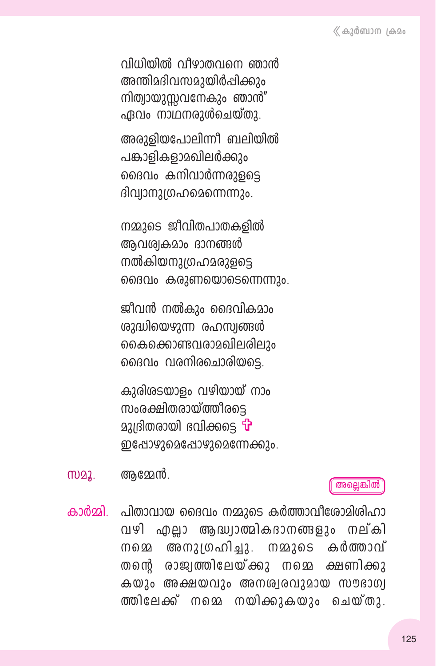വിധിയിൽ വീഴാതവനെ ഞാൻ അന്തിമദിവസമായിർപ്പിക്കാം നിത്വായുസവനേകും ഞാൻ" ഏവം നാഥനരുൾചെയ്താ.

അരുളിയപോലിന്നീ ബലിയിൽ പങ്കാളികളാമഖിലർക്കും ദൈവം കനിവാർന്നരുളടെ ദിവ്വാനുത്രഹമെന്നെന്നും.

നമ്മുടെ ജീവിതപാതകളിൽ ആവശ്വകമാം ദാനങ്ങൾ നൽകിയനുത്രഹമരുളടെ ദൈവം കരുണയൊടെന്നെന്നും.

ജീവൻ നൽകും ദൈവികമാം ശുദ്ധിയെഴുന്ന രഹസ്വങ്ങൾ കൈക്കൊണ്ടവരാമഖിലരിലും ദൈവം വരനിരചൊരിയടെ.

കുരിശടയാളം വഴിയായ് നാം സംരക്ഷിതരായ്ത്തീരടെ മുദ്രിതരായി ഭവിക്കടെ **്∙** ഇപ്പോഴുമെപ്പോഴുമെന്നേക്കും.

ആമ്മേൻ. M22.

അല്ലെങ്കിൽ

പിതാവായ ദൈവം നമ്മുടെ കർത്താവീശോമിരിഹാ കാർമ്മി. വഴി എല്ലാ ആദ്ധ്വാത്മികദാനങ്ങളും നല്കി അനുദ്രഹിച്ചു. M22265 കർത്താവ് M 6 22 രാജ്വത്തിലേയ്ക്കു നമെ ക്ഷണിക്കു തന്തെ കയും അക്ഷയവും അനശ്വരവുമായ സൗഭാഗ്വ ത്തിലേക്ക് നമെ നയിക്കുകയും ചെയ്തു.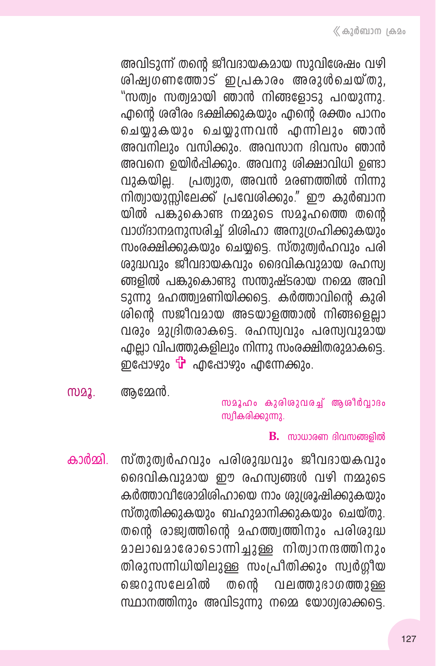അവിടുന്ന് തന്റെ ജീവദായകമായ സുവിശേഷം വഴി ശിഷ്വഗണത്തോട് ഇപ്രകാരം അരുൾചെയ്തു. "സത്വം സത്വമായി ഞാൻ നിങ്ങളോടാ പറയാന്നാ. ഹ്മന്റെ ശരീരം ഭക്ഷിക്കുകയും എന്റെ രക്തം പാനം ചെയ്ദകയും ചെയുന്നവൻ എന്നിലും ഞാൻ അവനിലും വസിക്കും. അവസാന ദിവസം ഞാൻ അവനെ ഉയിർപ്പിക്കും. അവനു ശിക്ഷാവിധി ഉണ്ടാ വുകയില്ല. പ്രത്വുത, അവൻ മരണത്തിൽ നിന്നു നിത്വായുസ്സിലേക്ക് പ്രവേശിക്കും." ഈ കുർബാന യിൽ പങ്കുകൊണ്ട നമ്മുടെ സമൂഹത്തെ തന്റെ വാഗ്ദാനമനുസരിച്ച് മിശിഹാ അനുഗ്രഹിക്കുകയും സംരക്ഷിക്കുകയും ചെയ്യട്ടെ. സ്തുത്വർഹവും പരി ശുദ്ധവും ജീവദായകവും ദൈവികവുമായ രഹസ്വ ങ്ങളിൽ പങ്കുകൊണ്ടു സന്തുഷ്ടരായ നമ്മെ അവി ടുന്നു മഹത്ത്വമണിയിക്കട്ടെ. കർത്താവിന്റെ കുരി ശിന്റെ സജീവമായ അടയാളത്താൽ നിങ്ങളെല്ലാ വരും മുദ്രിതരാകട്ടെ. രഹസ്വവും പരസ്വവുമായ എല്ലാ വിപത്തുകളിലും നിന്നു സംരക്ഷിതരുമാകട്ടെ. ഇപ്പോഴും <del>'ப</del>്' എപ്പോഴും എന്നേക്കും.

**M22.** ആമ്മേൻ.

സമൂഹം കുരിശുവരച്ച് ആശീർവ്വാദം സ്വീകരിക്കുന്നു.

#### $\mathbf{B}$ . സാധാരണ ദിവസങ്ങളിൽ

കാർമ്മി. സ്തുത്വർഹവും പരിശുദ്ധവും ജീവദായകവും ദൈവികവുമായ ഈ രഹസ്വങ്ങൾ വഴി നമ്മുടെ കർത്താവീരോമിശിഹായെ നാം ശുശ്രൂഷിക്കുകയും സ്തുതിക്കുകയും ബഹുമാനിക്കുകയും ചെയ്തു. തന്റെ രാജ്വത്തിന്റെ മഹത്ത്വത്തിനും പരിശുദ്ധ മാലാഖമാരോടൊന്നിച്ചുള്ള നിത്വാനന്ദത്തിനും തിരുസന്നിധിയിലുള്ള സംപ്രീതിക്കും സ്വർഗ്ഗീയ ജെറുസലേമിൽ തന്റെ വലത്തുഭാഗത്തുള്ള സ്ഥാനത്തിനും അവിടുന്നു നമ്മെ യോഗ്യരാക്കട്ടെ.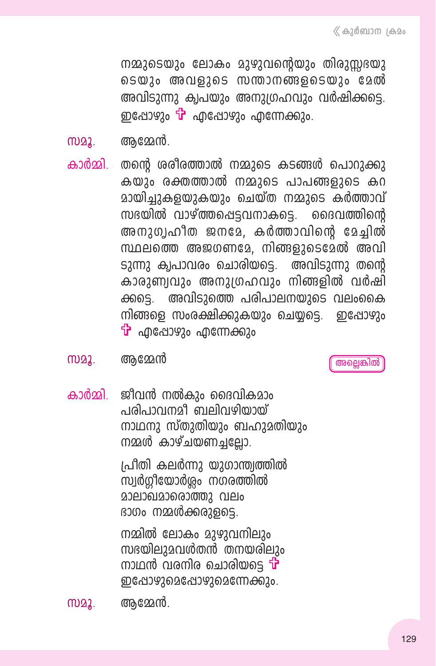നമ്മുടെയും ലോകം മുഴുവന്റെയും തിരുസ്സഭയു ടെയും അവളുടെ സന്താനങ്ങളടെയും മേൽ അവിടുന്നു ക്വപയും അനുഗ്രഹവും വർഷിക്കട്ടെ. ഇപ്പോഴും <sup>പ്</sup>പ്രീഷോഴും എന്നേക്കും.

അമ്മേൻ. M22.

തന്റെ ശരീരത്താൽ നമ്മുടെ കടങ്ങൾ പൊറുക്കു കാർമ്മി കയും രക്തത്താൽ നമ്മുടെ പാപങ്ങളുടെ കറ മായിച്ചുകളയുകയും ചെയ്ത നമ്മുടെ കർത്താവ് സഭയിൽ വാഴ്ത്തപ്പെട്ടവനാകട്ടെ. ദൈവത്തിന്റെ അനുഗൃഹീത ജനമേ, കർത്താവിന്റെ മേച്ചിൽ സ്ഥലത്തെ അജഗണമേ, നിങ്ങളുടെമേൽ അവി ടുന്നു ക്വപാവരം ചൊരിയട്ടെ. അവിടുന്നു തന്റെ കാരുണ്വവും അനുഗ്രഹവും നിങ്ങളിൽ വർഷി അവിടുത്തെ പരിപാലനയുടെ വലംകൈ ക്കടെ. നിങ്ങളെ സംരക്ഷിക്കുകയും ചെയ്യട്ടെ. <u> ഇപ്പോഴും</u>  $\mathbf{\hat{P}}$  എപ്പോഴും എന്നേക്കും

സമൂ. ആമേൻ

അല്ലെങ്കിൽ

കാർമ്മി. ജീവൻ നൽകും ദൈവികമാം പരിപാവനമീ ബലിവഴിയായ് നാഥനു സ്തുതിയും ബഹുമതിയും നമ്മൾ കാഴ്ചയണച്ചല്ലോ.

> പ്രിതി കലർന്നു യുഗാന്ത്വത്തിൽ സ്വർഗ്ഗീയോർശ്ലം നഗരത്തിൽ മാലാഖമാരൊത്തു വലം ദാഗം നമ്മൾക്കരുളട്ടെ.

നമ്മിൽ ലോകം മുഴുവനിലും സഭയിലുമവൾതൻ തനയരിലും നാഥൻ വരനിര ചൊരിയടെ ¶ ഇപ്പോഴുമെപ്പോഴുമെന്നേക്കും.

അമേൻ. MD22.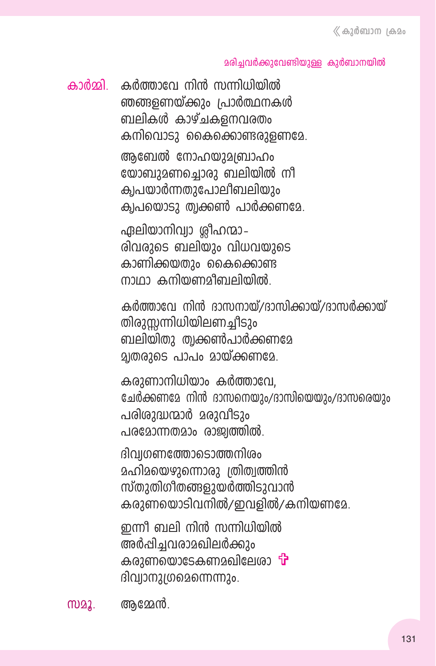#### മരിച്ചവർക്കുവേണ്ടിയുള്ള കുർബാനയിൽ

കാർമ്മി കർത്താവേ നിൻ സന്നിധിയിൽ ഞങ്ങളണയ്ക്കും പ്രാർത്ഥനകൾ ബലികൾ കാഴ്ചകളനവരതം കനിവൊടു കൈക്കൊണ്ടരുളണമേ. ആബേൽ നോഹയുമബ്രാഹം യോബുമണചൊരു ബലിയിൽ നീ ക്വപയാർന്നതുപോലീബലിയും

ക്വപയൊടു ത്വക്കൺ പാർക്കണമേ.

ഏലിയാനിവ്വാ ശ്രീഹന്മാ– രിവരുടെ ബലിയും വിധവയുടെ കാണിക്കയതാം കൈക്കൊണ്ട ന്നുന്ന കനിയണമീബലിയിൽ

കർത്താവേ നിൻ ദാസനായ്/ദാസിക്കായ്/ദാസർക്കായ് തിരുസന്നിധിയിലണച്ചീടും ബലിയിതു ത്വക്കൺപാർക്കണമേ മ്പതരുടെ പാപം മായ്ക്കണമേ.

കരുണാനിധിയാം കർത്താവേ. ചേർക്കണമേ നിൻ ദാസനെയും/ദാസിയെയും/ദാസരെയും പരിശുദ്ധന്മാർ മരുവീടും പരമോന്നതമാം രാജ്വത്തിൽ.

ദിവഗണത്തോടൊത്തനിശം മഹിമയെഴുന്നൊരു ത്രിത്വത്തിൻ സ്തുതിഗീതങ്ങളുയർത്തിടുവാൻ കരുണയൊടിവനിൽ/ഇവളിൽ/കനിയണമേ.

ഇന്നീ ബലി നിൻ സന്നിധിയിൽ അർപ്പിച്ചവരാമഖിലർക്കും കരുണയൊടേകണമഖിലേശാ **†** ദിവ്വാനുതരെമന്നെന്നും.

അമേൻ. MD22.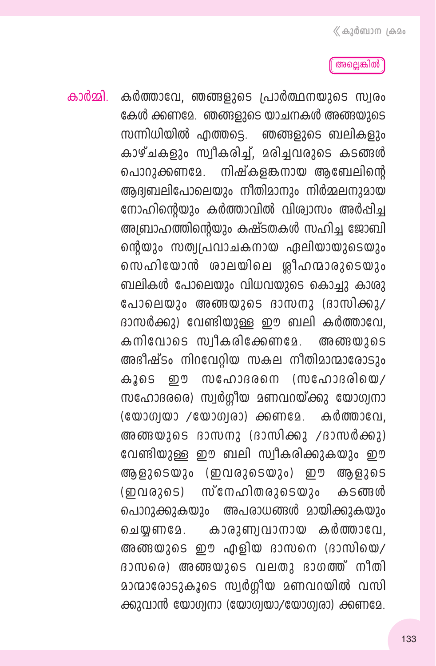#### അല്ലെങ്കിൽ

കാർമ്മി. കർത്താവേ, ഞങ്ങളുടെ പ്രാർത്ഥനയുടെ സ്വരം കേൾ ക്കണമേ. ഞങ്ങളുടെ യാചനകൾ അങ്ങയുടെ സന്നിധിയിൽ എത്തടെ. ഞങ്ങളുടെ ബലികളും കാഴ്ചകളും സ്വീകരിച്ച്, മരിച്ചവരുടെ കടങ്ങൾ നിഷ്കളങ്കനായ ആബേലിന്റെ പൊറുക്കണമേ. ആദ്യബലിപോലെയും നീതിമാനും നിർമ്മലനുമായ നോഹിന്റെയും കർത്താവിൽ വിശ്വാസം അർപ്പിച്ച അബ്രാഹത്തിന്റെയും കഷ്ടതകൾ സഹിച്ച ജോബി ന്റെയും സത്വപ്രവാചകനായ ഏലിയായുടെയും സെഹിയോൻ ശാലയിലെ ശ്രീഹന്മാരുടെയും ബലികൾ പോലെയും വിധവയുടെ കൊച്ചു കാരു പോലെയും അങ്ങയുടെ ദാസനു (ദാസിക്കു/ ദാസർക്കു) വേണ്ടിയുള്ള ഈ ബലി കർത്താവേ, കനിവോടെ സ്വീകരിക്കേണമേ. അങ്ങയ 265 അഭീഷ്ടം നിറവേറിയ സകല നീതിമാന്മാരോടും (സഹോദരിയെ/ സ ഫോദരനെ കൂടെ ற സഹോദരരെ) സ്വർഗ്ഗീയ മണവറയ്ക്കു യോഗ്വനാ  $(\mathbb{C}\mathfrak{W}^3)\mathfrak{W}^3$  / $(\mathbb{C}\mathfrak{W}^3)\mathfrak{W}^3$  and  $(\mathbb{C}\mathfrak{W}^3)\mathfrak{W}^3$  and  $(\mathbb{C}\mathfrak{W}^3)\mathfrak{W}^3$  and  $(\mathbb{C}\mathfrak{W}^3)\mathfrak{W}^3$ അങ്ങയുടെ ദാസനു (ദാസിക്കു /ദാസർക്കു) വേണ്ടിയുള്ള ഈ ബലി സ്വീകരിക്കുകയും ഈ ആളുടെയും (ഇവരുടെയും) ഈ ആളുടെ സ്നേഹിതരുടെയും കടങ്ങൾ  $(DQ)$ അപരാധങ്ങൾ മായിക്കുകയും പൊറുക്കുകയും കാരുണ്വവാനായ കർത്താവേ. ചെയ്യണമേ. അങ്ങയുടെ ഈ എളിയ ദാസനെ (ദാസിയെ/ ദാസരെ) അങ്ങയുടെ വലതു ഭാഗത്ത് നീതി മാന്മാരോടുകൂടെ സ്വർഗ്ഗീയ മണവറയിൽ വസി ക്കുവാൻ യോഗ്വനാ (യോഗ്വയാ/യോഗ്വരാ) ക്കണമേ.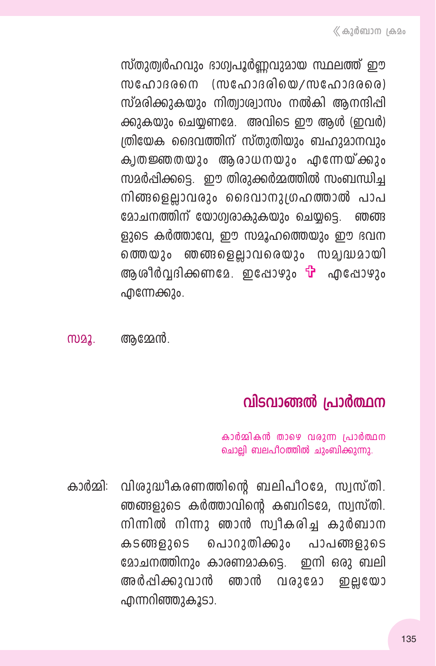സ്തുത്വർഹവും ദാഗ്വപൂർണ്ണവുമായ സ്ഥലത്ത് ഈ സഹോദരനെ (സഹോദരിയെ/സഹോദരരെ) സ്മരിക്കുകയും നിത്വാശ്വാസം നൽകി ആനന്ദിപ്പി ക്കുകയും ചെയ്യണമേ. അവിടെ ഈ ആൾ (ഇവർ) ത്രിയേക ദൈവത്തിന് സ്തുതിയും ബഹുമാനവും ക്വതജ്ഞതയും ആരാധനയും എന്നേയ്ക്കും സമർപ്പിക്കട്ടെ. ഈ തിരുക്കർമ്മത്തിൽ സംബന്ധിച്ച നിങ്ങളെല്ലാവരും ദൈവാനുത്രഹത്താൽ പാപ മോചനത്തിന് യോഗ്വരാകുകയും ചെയ്യട്ടെ. ഞഞ ളുടെ കർത്താവേ, ഈ സമൂഹത്തെയും ഈ ഭവന ഞങ്ങളെല്ലാവരെയും സമ്യദ്ധമായി ത്തെയും ആശീർവ്വദിക്കണമേ. ഇപ്പോഴും <del>T</del> എപ്പോഴും ഫീന്നേക്കും.

ആമ്മേൻ. M22.

# വിടവാങ്ങൽ പ്രാർത്ഥന

കാർമ്മികൻ താഴെ വരുന്ന പ്രാർത്ഥന ചൊല്ലി ബലപീഠത്തിൽ ചുംബിക്കുന്നു.

കാർമ്മി: വിശുദ്ധീകരണത്തിന്റെ ബലിപീഠമേ, സ്വസ്തി, ഞങ്ങളുടെ കർത്താവിന്റെ കബറിടമേ, സ്വസ്തി. നിന്നിൽ നിന്നു ഞാൻ സ്വീകരിച്ച കുർബാന കടങ്ങളുടെ പൊറുതിക്കും പാപങ്ങളുടെ മോചനത്തിനും കാരണമാകട്ടെ. ഇനി ഒരു ബലി അർഷിക്കുവാൻ ഞാൻ വരുമോ றுபூலே എന്നറിഞ്ഞുകൂടാ.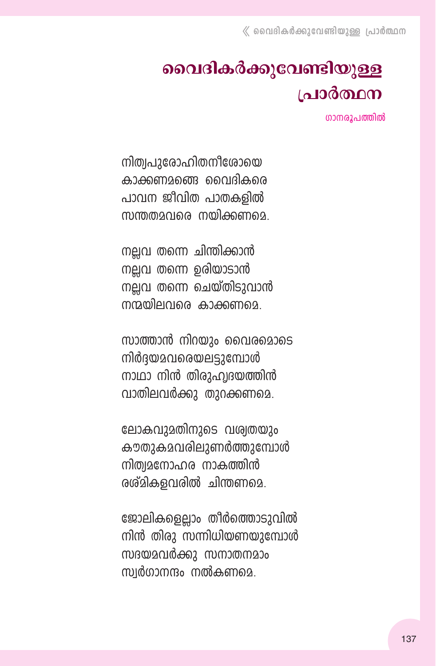# വൈദികർക്കുവേണ്ടിയുള്ള പ്രാർത്ഥന

ഗാനരൂപത്തിൽ

നിത്വപുരോഹിതനീശോയെ കാക്കണമ്പ്ലൈ വൈദികരെ പാവന ജീവിത പാതകളിൽ സന്തതമവരെ നയിക്കണമെ.

നല്ലവ തന്നെ ചിന്തിക്കാൻ നല്ലവ തന്നെ ഉരിയാടാൻ നല്ലവ തന്നെ ചെയ്തിടുവാൻ നന്ദതിലവരെ കാക്കണുമെ.

സാത്താൻ നിറയും വൈരമൊടെ നിർദയമവരെയലട്ടുമ്പോൾ നാഥാ നിൻ തിരുഹ്വദയത്തിൻ വാതിലവർക്കു തുറക്കണമെ.

ലോകവുമതിനുടെ വശ്വതയും കൗതുകമവരിലുണർത്തുമ്പോൾ നിത്വമനോഹര നാകത്തിൻ രശ്മികളവരിൽ ചിന്തണമെ.

ജോലികളെല്ലാം തീർത്തൊടുവിൽ നിൻ തിരു സന്നിധിയണയുമ്പോൾ സദയമവർക്കു സനാതനമാം സ്വർഗാനന്ദം നൽകണമെ.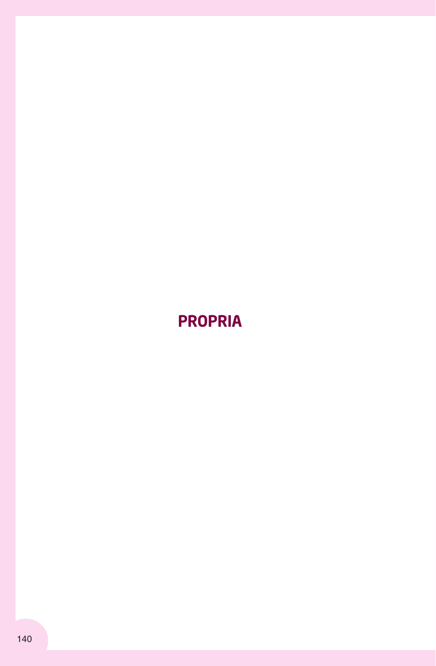# PROPRIA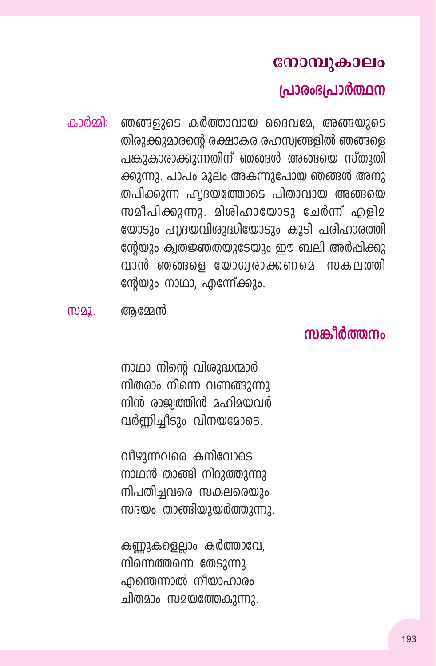### നോമ്പുകാലം

### പ്രാരംഭപ്രാർത്ഥന

ഞങ്ങളുടെ കർത്താവായ ദൈവമേ. അങ്ങയുടെ കാർതി<sup>.</sup> തിരുക്കുമാരന്റെ രക്ഷാകര രഹസ്വങ്ങളിൽ ഞങ്ങളെ പങ്കുകാരാക്കുന്നതിന് ഞങ്ങൾ അങ്ങയെ സ്തുതി ക്കുന്നു. പാപം മൂലം അകന്നുപോയ ഞങ്ങൾ അനു തപിക്കുന്ന ഹ്വദയത്തോടെ പിതാവായ അങ്ങയെ സമീപിക്കുന്നു. മിശിഹായോടു ചേർന്ന് എളിമ യോടും ഹ്വദയവിശുദ്ധിയോടും കൂടി പരിഹാരത്തി ന്റേയും ക്വതജ്ഞതയുടേയും ഈ ബലി അർപ്പിക്കു വാൻ ഞങ്ങളെ യോഗ്വരാക്കണമെ. സകലത്തി ന്റേയും നാഥാ, എന്നേ്ക്കും.

# ՠՠՠֈ֎ֈ֎ՠՠ

നാഥാ നിന്റെ വിശുദ്ധന്മാർ നിതരാം നിന്നെ വണങ്ങുന്നു നിൻ രാജ്വത്തിൻ മഹിമയവർ വർണിച്ചീടും വിനയമോടെ.

വീഴുന്നവരെ കനിവോടെ നാഥൻ താങ്ങി നിറുത്തുന്നു നിപതിച്ചവരെ സകലരെയും സദയം താങ്ങിയുയർത്തുന്നു.

കണ്ണുകളെല്ലാം കർത്താവേ, നിന്നെത്തന്നെ തേടുന്നു എന്തെന്നാൽ നീയാഹാരം ചിതമാം സമയത്തേകുന്നു.

m22. അമേൻ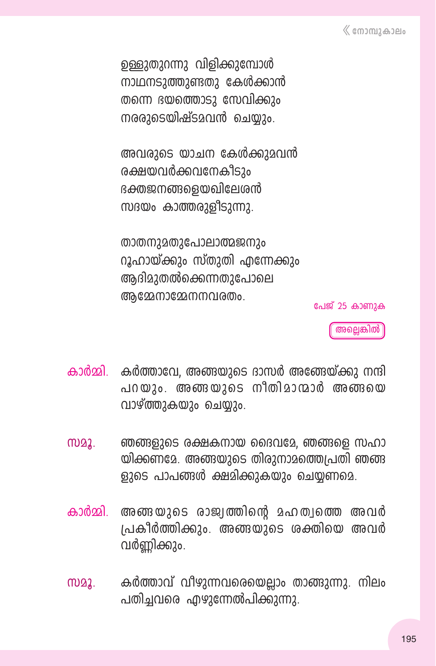ഉള്ളുതുറന്നു വിളിക്കുമ്പോൾ നാഥനടുത്തുണ്ടതു കേൾക്കാൻ തന്നെ ഭയത്തൊടു സേവിക്കും നരരാടെയിഷ്ടാവൻ ചെയാം.

അവരുടെ യാചന കേൾക്കുമവൻ രക്ഷയവർക്കവനേകീടാം ഭക്തജനങ്ങളെയഖിലേശൻ സദയം കാത്തരുളിടുന്നു.

താതനുമതുപോലാത്മജനും റൂഹായ്ക്കും സ്തുതി എന്നേക്കും അദിമാതൽക്കെന്നതാപോലെ ആമ്മേനാമ്മേനനവരതം.

പേജ് 25 കാണാക

അല്ലെങ്കിൽ

- കാർമ്മി. കർത്താവേ, അങ്ങയുടെ ദാസർ അങ്ങേയ്ക്കു നന്ദി പറയും. അങ്ങയുടെ നീതിമാന്മാർ അങ്ങയെ വാഴ്ത്തുകയും ചെയ്യും.
- $M<sub>22</sub>$ ഞങ്ങളുടെ രക്ഷകനായ ദൈവമേ. ഞങ്ങളെ സഹാ യിക്കണമേ. അങ്ങയുടെ തിരുനാമത്തെപ്രതി ഞങ്ങ ളുടെ പാപങ്ങൾ ക്ഷമിക്കുകയും ചെയ്യണമെ.
- അങ്ങയുടെ രാജ്വത്തിന്റെ മഹത്വത്തെ അവർ കാർമ്മി പ്രകീർത്തിക്കും. അങ്ങയുടെ ശക്തിയെ അവർ വർണ്ണിക്കും.
- കർത്താവ് വീഴുന്നവരെയെലാം താങ്ങുന്നു. നിലം  $M<sub>2</sub>$ പതിച്ചവരെ എഴുന്നേൽപിക്കുന്നു.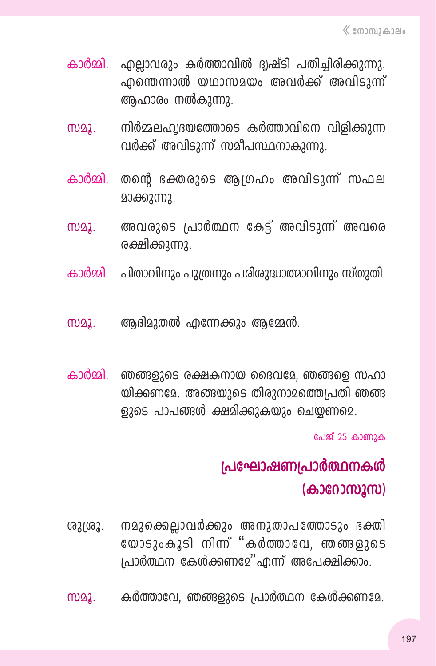- കാർമ്മി. എലാവരും കർത്താവിൽ ദ്വഷ്ടി പതിച്ചിരിക്കുന്നു. എന്തെന്നാൽ യഥാസമയം അവർക്ക് അവിടുന്ന് ആഹാരം നൽകുന്നു.
- നിർമ്മലഹ്വദയത്തോടെ കർത്താവിനെ വിളിക്കുന്ന m22. വർക്ക് അവിടുന്ന് സമീപസ്ഥനാകുന്നു.
- കാർമ്മി. തന്റെ ഭക്തരുടെ ആഗ്രഹം അവിടുന്ന് സഫല മാക്കുന്നു.
- അവരുടെ പ്രാർത്ഥന കേട്ട് അവിടുന്ന് അവരെ M22. രക്ഷിക്കുന്നു.
- കാർമ്മി. പിതാവിനും പുത്രനും പരിശുദ്ധാത്മാവിനും സ്തുതി.
- ആദിമുതൽ എന്നേക്കും ആമ്മേൻ. M22.
- കാർമ്മി. ഞങ്ങളുടെ രക്ഷകനായ ദൈവമേ, ഞങ്ങളെ സഹാ യിക്കണമേ. അങ്ങയുടെ തിരുനാമത്തെപ്രതി ഞങ്ങ ളുടെ പാപങ്ങൾ ക്ഷമിക്കുകയും ചെയ്യണമെ.

പേജ് 25 കാണുക

# പ്രഘോഷണപ്രാർത്ഥനകൾ (കാറോസൂസ)

- $02102.$ നമുക്കെല്ലാവർക്കും അനുതാപത്തോടും ഭക്തി യോടുംകൂടി നിന്ന് "കർത്താവേ, ഞങ്ങളുടെ പ്രാർത്ഥന കേൾക്കണമേ"എന്ന് അപേക്ഷിക്കാം.
- M22. കർത്താവേ, ഞങ്ങളുടെ പ്രാർത്ഥന കേൾക്കണമേ.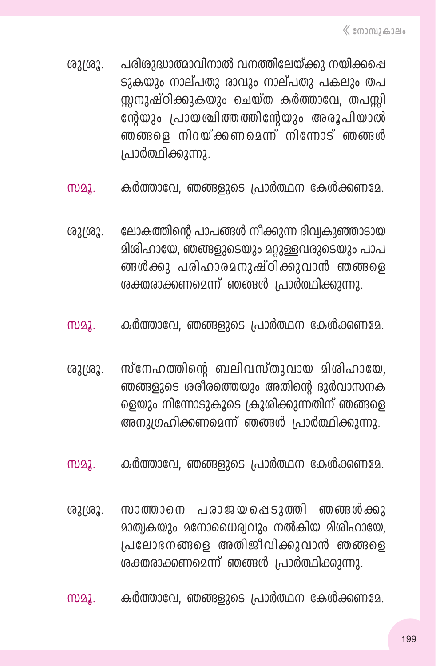- ്രുദ്രൂ. പരിശുദ്ധാത്മാവിനാൽ വനത്തിലേയ്ക്കു നയിക്കപ്പെ ടുകയും നാല്പതു രാവും നാല്പതു പകലും തപ സ്സനുഷ്ഠിക്കുകയും ചെയ്ത കർത്താവേ, തപസ്സി നേർയും പ്രായശ്ചിത്തത്തിന്റേയും അരൂപിയാൽ ഞങ്ങളെ നിറയ്ക്കണമെന്ന് നിന്നോട് ഞങ്ങൾ  $1$ പാർത്ഥിക്കുന്നു.
- സമൂ. കർത്താവേ, ഞങ്ങളുടെ പ്രാർത്ഥന കേൾക്കണമേ.
- ശുശൂ. ലോകത്തിന്റെ പാപങ്ങൾ നീക്കുന്ന ദിവ്വകുഞ്ഞാടായ മിശിഹായേ, ഞങ്ങളുടെയും മറ്റുള്ളവരുടെയും പാപ ങ്ങൾക്കു പരിഹാരമനുഷ്ഠിക്കുവാൻ ഞങ്ങളെ ശക്തരാക്കണമെന്ന് ഞങ്ങൾ പ്രാർത്ഥിക്കുന്നു.
- സമൂ. കർത്താവേ, ഞങ്ങളുടെ പ്രാർത്ഥന കേൾക്കണമേ.
- ശുശ്രൂ. സ്നേഹത്തിന്റെ ബലിവസ്തുവായ മിശിഹായേ. ഞങ്ങളുടെ ശരീരത്തെയും അതിന്റെ ദുർവാസനക ളെയും നിന്നോടുകൂടെ ക്രൂശിക്കുന്നതിന് ഞങ്ങളെ അനുഗ്രഹിക്കണമെന്ന് ഞങ്ങൾ പ്രാർത്ഥിക്കുന്നു.
- സമൂ. കർത്താവേ, ഞങ്ങളുടെ പ്രാർത്ഥന കേൾക്കണമേ.
- ശുശ്രൂ. സാത്താനെ പരാജയപ്പെടുത്തി ഞങ്ങൾക്കു മാത്വകയും മനോധൈര്വവും നൽകിയ മിശിഹായേ,  $I$ പലോ $\mathop{\mathrm{RMS}}\nolimits$  മുത്രമ്മീവിക്കുവാൻ ഞങ്ങളെ ശക്തരാക്കണമെന്ന് ഞങ്ങൾ പ്രാർത്ഥിക്കുന്നു.
- സമൂ. കർത്താവേ, ഞങ്ങളുടെ പ്രാർത്ഥന കേൾക്കണമേ.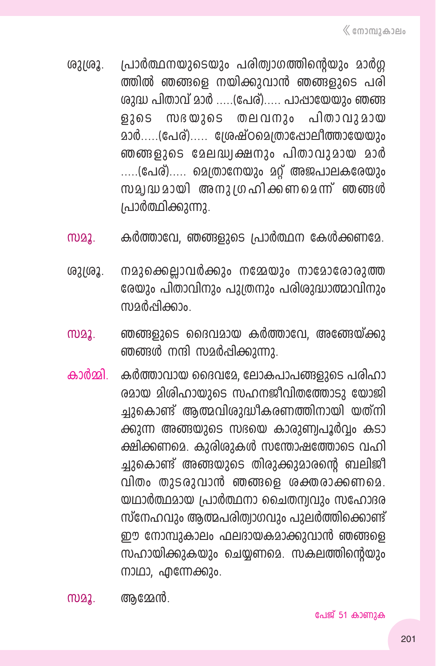- പ്രാർത്ഥനയുടെയും പരിത്വാഗത്തിന്റെയും മാർഗ്ഗ  $02102.$ ത്തിൽ ഞങ്ങളെ നയിക്കുവാൻ ഞങ്ങളുടെ പരി ശുദ്ധ പിതാവ് മാർ .....(പേര്)..... പാപ്പായേയും ഞങ്ങ ളുടെ സഭയുടെ തലവനും പിതാവുമായ മാർ.....(പേര്)..... ശ്രേഷ്ഠമെത്രാപ്പോലീത്തായേയും ഞങ്ങളുടെ മേലദ്ധ്വക്ഷനും പിതാവുമായ മാർ .....(പേര്)..... മെത്രാനേയും മറ്റ് അജപാലകരേയും സമ്വദ്ധമായി അനുതരഹിക്കണമെന്ന് ഞങ്ങൾ പ്രാർത്ഥിക്കുന്നു.
- കർത്താവേ, ഞങ്ങളുടെ പ്രാർത്ഥന കേൾക്കണമേ. M22.
- നമുക്കെല്ലാവർക്കും നമ്മേയും നാമോരോരുത്ത ശുശ്രൂ. രേയും പിതാവിനും പുത്രനും പരിശുദ്ധാത്മാവിനും സാർപ്പിക്കാം
- ഞങ്ങളുടെ ദൈവമായ കർത്താവേ, അങ്ങേയ്ക്കു M22. ഞങ്ങൾ നന്ദി സമർപ്പിക്കുന്നു.
- കർത്താവായ ദൈവമേ, ലോകപാപങ്ങളുടെ പരിഹാ കാർമ്മി. രമായ മിശിഹായുടെ സഹനജീവിതത്തോടു യോജി ച്ചുകൊണ്ട് ആത്മവിശുദ്ധീകരണത്തിനായി യത്നി ക്കുന്ന അങ്ങയുടെ സഭയെ കാരുണ്വപൂർവ്വം കടാ ക്ഷിക്കണമെ. കുരിശുകൾ സന്തോഷത്തോടെ വഹി ച്ചുകൊണ്ട് അങ്ങയുടെ തിരുക്കുമാരന്റെ ബലിജി വിതം തുടരുവാൻ ഞങ്ങളെ ശക്തരാക്കണമെ. യഥാർത്ഥമായ പ്രാർത്ഥനാ ചൈതന്വവും സഹോദര സ്നേഹവും ആത്മപരിത്വാഗവും പുലർത്തിക്കൊണ്ട് ഈ നോമ്പുകാലം ഫലദായകമാക്കുവാൻ ഞങ്ങളെ സഹായിക്കുകയും ചെയ്യണമെ. സകലത്തിന്റെയും നാഥാ, എന്നേക്കും.

സമൂ. ആമ്മേൻ.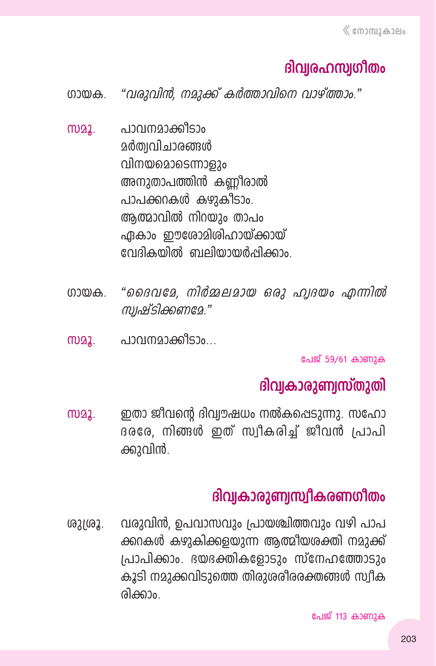# ദിവരഹസ്സ്യിതം

"വരുവിൻ, നമുക്ക് കർത്താവിനെ വാഴ്ത്താം." ഗായക

- പാവനമാക്കീടാം **MD22. ഉർത്വവിചാരങ്ങൾ** വിനയമൊടെന്നാളും അനുതാപത്തിൻ കണ്ണീരാൽ പാപക്കറകൾ കഴുകീടാം. ആത്മാവിൽ നിറയും താപം ഏകാം ഈശോമിശിഹായ്ക്കായ് വേദികയിൽ ബലിയായർഷിക്കാം
- "ദൈവദേ, നിർമ്മലമായ ഒരു ഹ്വദയം എന്നിൽ നായക സ്രഷ്ടിക്കണമേ."
- പാവനമാക്കിടാം... **MD22.**

പേജ് 59/61 കാണുക

# ദിവ്വകാരുണ്വസ്തുതി

ഇതാ ജീവന്റെ ദിവ്വൗഷധം നൽകപ്പെടുന്നു. സഹോ M22. ദരരേ, നിങ്ങൾ ഇത് സ്വീകരിച്ച് ജീവൻ പ്രാപി ക്കുവിൻ.

## ദിവ്വകാരുണ്വസ്വീകരണഗീതം

വരുവിൻ, ഉപവാസവും പ്രായത്രിത്തവും വഴി പാപ ശുശ്രൂ. ക്കറകൾ കഴുകിക്കളയുന്ന ആത്മിയശക്തി നമുക്ക് പ്രാപിക്കാം. ഭയഭക്തികളോടും സ്നേഹത്തോടാം കൂടി നമുക്കവിടുത്തെ തിരുശരീരരക്തങ്ങൾ സ്വീക രിക്കാം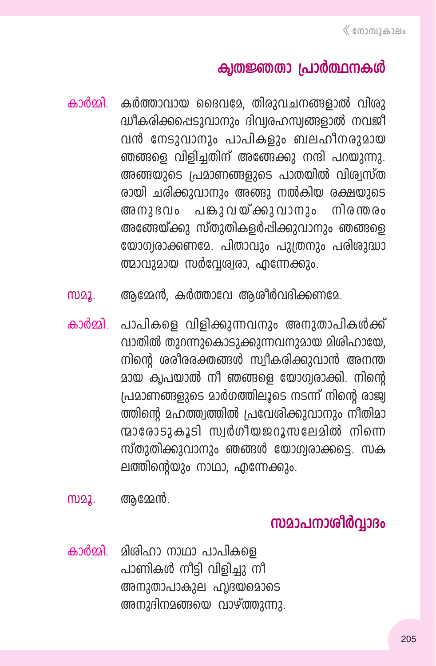### ക്വതജ്ഞതാ പ്രാർത്ഥനകൾ

- കാർമ്മി. കർത്താവായ ദൈവമേ, തിരുവചനങ്ങളാൽ വിരു ദ്ധീകരിക്കപ്പെടുവാനും ദിവ്വരഹസ്വങ്ങളാൽ നവജി വൻ നേടുവാനും പാപികളും ബലഹീനരുമായ ഞങ്ങളെ വിളിച്ചതിന് അങ്ങേക്കു നന്ദി പറയുന്നു. അങ്ങയുടെ പ്രമാണങ്ങളുടെ പാതയിൽ വിശ്വസ്ത രായി ചരിക്കുവാനും അങ്ങു നൽകിയ രക്ഷയുടെ അനുദവം പങ്കുവയ്ക്കുവാനും നിരന്തരം അങ്ങേയ്ക്കു സ്തുതികളർപ്പിക്കുവാനും ഞങ്ങള<del>െ</del> യോഗ്വരാക്കണമേ, പിതാവും പുത്രനും പരിശുദ്ധാ  $\omega$ മാവുമായ സർവേശ്വരാ, എന്നേക്കും,
- സമൂ. ആമ്മേൻ, കർത്താവേ ആശീർവദിക്കണമേ.
- കാർമ്മി. പാപികളെ വിളിക്കുന്നവനും അനുതാപികൾക്ക് വാതിൽ തുറന്നുകൊടുക്കുന്നവനുമായ മിശിഹായേ, നിന്റെ ശരീരരക്തങ്ങൾ സ്വീകരിക്കുവാൻ അനന്ത മായ ക്വപയാൽ നീ ഞങ്ങളെ യോഗ്വരാക്കി. നിന്റെ  $|$ പമാണങ്ങളുടെ മാർഗത്തിലൂടെ നടന്ന് നിന്റെ രാജ്വ ത്തിന്റെ മഹത്ത്വത്തിൽ പ്രവേശിക്കുവാനും നീതിമാ ന്മാരോടുകൂടി സ്വർഗീയജറൂസലേമിൽ നിന്നെ സ്തുതിക്കുവാനും ഞങ്ങൾ യോഗ്വരാക്കടെ, സക ലത്തിന്റെയും നാഥാ, എന്നേക്കും.
- സമൂ. ആമേൻ.

## **kam-]-\m-io¿∆mZw**

കാർമ്മി. മിശിഹാ നാഥാ പാപികളെ പാണികൾ നീട്ടി വിളിച്ചു നീ അനുതാപാകുല ഹ്വദയമൊടെ അനുദിനമങ്ങയെ വാഴ്ത്തുന്നു.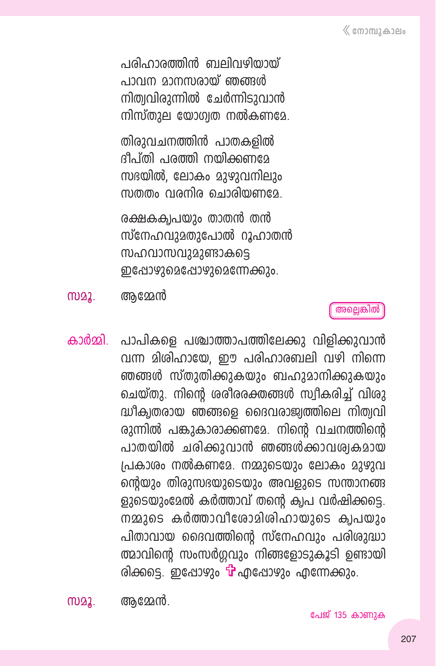പരിഹാരത്തിൻ ബലിവഴിയായ് പാവന മാനസരായ് ഞങ്ങൾ നിത്വവിരുന്നിൽ ചേർന്നിടുവാൻ നിസ്തുല യോഗ്വത നൽകണമേ.

തിരുവചനത്തിൻ പാതകളിൽ ദിപ്തി പരത്തി നയിക്കണമേ സഭയിൽ, ലോകം മാഴാവനിലാം സത്തം വരനിര ചൊരിയണമേ

രക്ഷകക്വപയും താതൻ തൻ സ്നേഹവുമതുപോൽ റൂഹാതൻ സഹവാസവുമുണ്ടാകടെ ഇപ്പോഴുമെപ്പോഴുമെന്നേക്കും.

M22. ആമ്മേൻ

അല്ലെങ്കിൽ

കാർമ്മി. പാപികളെ പശ്ചാത്താപത്തിലേക്കു വിളിക്കുവാൻ വന്ന മിശിഹായേ, ഈ പരിഹാരബലി വഴി നിന്നെ ഞങ്ങൾ സ്തുതിക്കുകയും ബഹുമാനിക്കുകയും ചെയ്തു. നിന്റെ ശരീരരക്തങ്ങൾ സ്വീകരിച്ച് വിശു ദ്ധീക്വതരായ ഞങ്ങളെ ദൈവരാജ്വത്തിലെ നിത്വവി രുന്നിൽ പങ്കുകാരാക്കണമേ. നിന്റെ വചനത്തിന്റെ പാതയിൽ ചരിക്കുവാൻ ഞങ്ങൾക്കാവശ്വകമായ പ്രകാശം നൽകണമേ. നമ്മുടെയും ലോകം മുഴുവ ന്റെയും തിരുസഭയുടെയും അവളുടെ സന്താനങ്ങ ളുടെയുംമേൽ കർത്താവ് തന്റെ ക്വപ വർഷിക്കട്ടെ. നമ്മുടെ കർത്താവീരോമിശിഹായുടെ ക്വപയും പിതാവായ ദൈവത്തിന്റെ സ്നേഹവും പരിശുദ്ധാ ത്മാവിന്റെ സംസർഗവും നിങ്ങളോടുകൂടി ഉണ്ടായി രിക്കട്ടെ. ഇപ്പോഴും <mark>പ</mark>് എപ്പോഴും എന്നേക്കും.

M22. അമ്മേൻ.

പേജ് 135 കാണുക